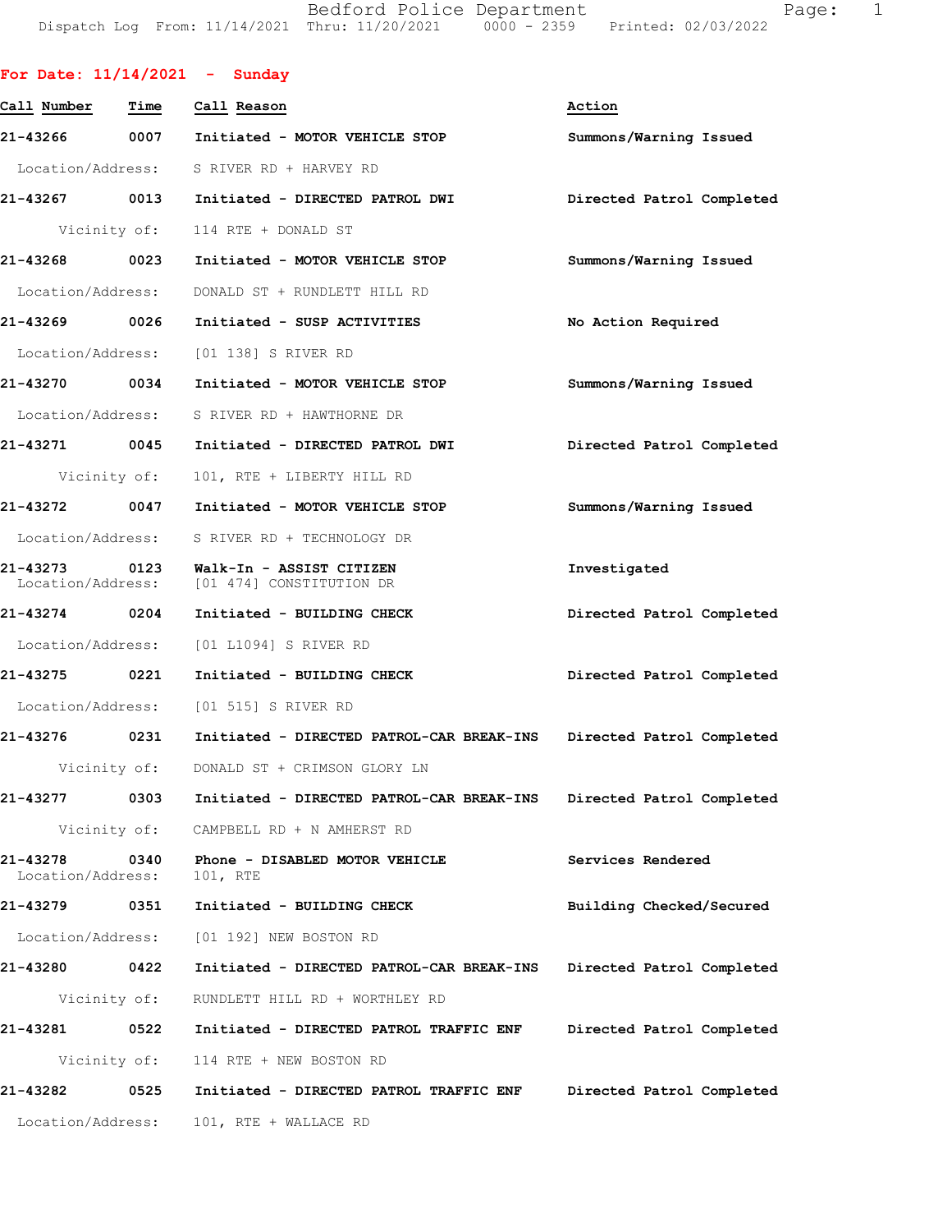Bedford Police Department Page: 1 Dispatch Log From: 11/14/2021 Thru: 11/20/2021 0000 - 2359 Printed: 02/03/2022

| For Date: $11/14/2021$ - Sunday |              |                                                                        |                           |
|---------------------------------|--------------|------------------------------------------------------------------------|---------------------------|
| Call Number                     | Time         | Call Reason                                                            | Action                    |
| 21-43266                        |              | 0007 Initiated - MOTOR VEHICLE STOP                                    | Summons/Warning Issued    |
|                                 |              | Location/Address: S RIVER RD + HARVEY RD                               |                           |
| 21-43267                        |              | 0013 Initiated - DIRECTED PATROL DWI                                   | Directed Patrol Completed |
|                                 |              | Vicinity of: 114 RTE + DONALD ST                                       |                           |
| 21-43268                        | 0023         | Initiated - MOTOR VEHICLE STOP                                         | Summons/Warning Issued    |
| Location/Address:               |              | DONALD ST + RUNDLETT HILL RD                                           |                           |
| 21-43269 0026                   |              | Initiated - SUSP ACTIVITIES                                            | No Action Required        |
|                                 |              | Location/Address: [01 138] S RIVER RD                                  |                           |
| 21-43270                        | 0034         | Initiated - MOTOR VEHICLE STOP                                         | Summons/Warning Issued    |
|                                 |              | Location/Address: S RIVER RD + HAWTHORNE DR                            |                           |
|                                 |              |                                                                        | Directed Patrol Completed |
|                                 |              | Vicinity of: 101, RTE + LIBERTY HILL RD                                |                           |
| 21-43272                        |              | 0047 Initiated - MOTOR VEHICLE STOP                                    | Summons/Warning Issued    |
|                                 |              | Location/Address: S RIVER RD + TECHNOLOGY DR                           |                           |
| 21-43273 0123                   |              | Walk-In - ASSIST CITIZEN<br>Location/Address: [01 474] CONSTITUTION DR | Investigated              |
| 21-43274 0204                   |              | Initiated - BUILDING CHECK                                             | Directed Patrol Completed |
|                                 |              | Location/Address: [01 L1094] S RIVER RD                                |                           |
| 21-43275 0221                   |              | Initiated - BUILDING CHECK                                             | Directed Patrol Completed |
|                                 |              | Location/Address: [01 515] S RIVER RD                                  |                           |
| 21-43276                        | 0231         | Initiated - DIRECTED PATROL-CAR BREAK-INS Directed Patrol Completed    |                           |
| Vicinity of:                    |              | DONALD ST + CRIMSON GLORY LN                                           |                           |
| 21-43277                        | 0303         | Initiated - DIRECTED PATROL-CAR BREAK-INS Directed Patrol Completed    |                           |
|                                 | Vicinity of: | CAMPBELL RD + N AMHERST RD                                             |                           |
| 21-43278<br>Location/Address:   | 0340         | Phone - DISABLED MOTOR VEHICLE<br>101, RTE                             | Services Rendered         |
| 21-43279                        | 0351         | Initiated - BUILDING CHECK                                             | Building Checked/Secured  |
|                                 |              | Location/Address: [01 192] NEW BOSTON RD                               |                           |
| 21-43280                        | 0422         | Initiated - DIRECTED PATROL-CAR BREAK-INS                              | Directed Patrol Completed |
|                                 | Vicinity of: | RUNDLETT HILL RD + WORTHLEY RD                                         |                           |
| 21-43281                        | 0522         | Initiated - DIRECTED PATROL TRAFFIC ENF                                | Directed Patrol Completed |
|                                 |              | Vicinity of: 114 RTE + NEW BOSTON RD                                   |                           |
| 21-43282                        | 0525         | Initiated - DIRECTED PATROL TRAFFIC ENF                                | Directed Patrol Completed |
| Location/Address:               |              | 101, RTE + WALLACE RD                                                  |                           |
|                                 |              |                                                                        |                           |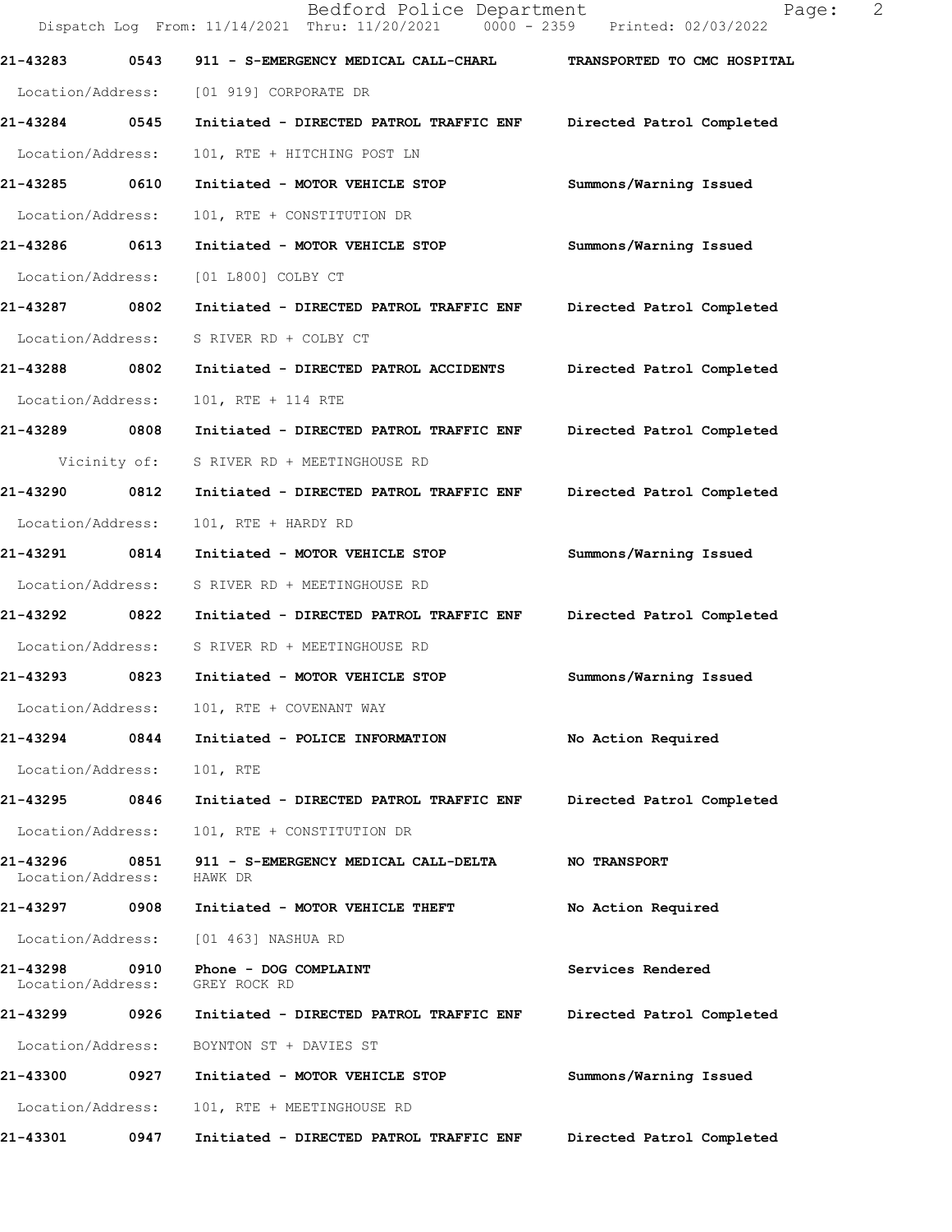|                                    |              | Bedford Police Department<br>Dispatch Log From: 11/14/2021 Thru: 11/20/2021 0000 - 2359 Printed: 02/03/2022 | 2<br>Page:                  |  |
|------------------------------------|--------------|-------------------------------------------------------------------------------------------------------------|-----------------------------|--|
| 21-43283                           | 0543         | 911 - S-EMERGENCY MEDICAL CALL-CHARL                                                                        | TRANSPORTED TO CMC HOSPITAL |  |
| Location/Address:                  |              | [01 919] CORPORATE DR                                                                                       |                             |  |
| 21-43284 0545                      |              | Initiated - DIRECTED PATROL TRAFFIC ENF                                                                     | Directed Patrol Completed   |  |
| Location/Address:                  |              | 101, RTE + HITCHING POST LN                                                                                 |                             |  |
| 21-43285                           | 0610         | Initiated - MOTOR VEHICLE STOP                                                                              | Summons/Warning Issued      |  |
| Location/Address:                  |              | 101, RTE + CONSTITUTION DR                                                                                  |                             |  |
| 21-43286                           | 0613         | Initiated - MOTOR VEHICLE STOP                                                                              | Summons/Warning Issued      |  |
| Location/Address:                  |              | [01 L800] COLBY CT                                                                                          |                             |  |
| 21-43287 0802                      |              | Initiated - DIRECTED PATROL TRAFFIC ENF                                                                     | Directed Patrol Completed   |  |
| Location/Address:                  |              | S RIVER RD + COLBY CT                                                                                       |                             |  |
| 21-43288 0802                      |              | Initiated - DIRECTED PATROL ACCIDENTS                                                                       | Directed Patrol Completed   |  |
| Location/Address:                  |              | 101, RTE + 114 RTE                                                                                          |                             |  |
| 21-43289                           | 0808         | Initiated - DIRECTED PATROL TRAFFIC ENF                                                                     | Directed Patrol Completed   |  |
|                                    | Vicinity of: | S RIVER RD + MEETINGHOUSE RD                                                                                |                             |  |
| 21-43290                           | 0812         | Initiated - DIRECTED PATROL TRAFFIC ENF                                                                     | Directed Patrol Completed   |  |
| Location/Address:                  |              | 101, RTE + HARDY RD                                                                                         |                             |  |
| 21-43291 0814                      |              | Initiated - MOTOR VEHICLE STOP                                                                              | Summons/Warning Issued      |  |
| Location/Address:                  |              | S RIVER RD + MEETINGHOUSE RD                                                                                |                             |  |
| 21-43292                           | 0822         | Initiated - DIRECTED PATROL TRAFFIC ENF                                                                     | Directed Patrol Completed   |  |
| Location/Address:                  |              | S RIVER RD + MEETINGHOUSE RD                                                                                |                             |  |
| 21-43293                           | 0823         | Initiated - MOTOR VEHICLE STOP                                                                              | Summons/Warning Issued      |  |
| Location/Address:                  |              | 101, RTE + COVENANT WAY                                                                                     |                             |  |
| 21-43294                           | 0844         | Initiated - POLICE INFORMATION                                                                              | No Action Required          |  |
| Location/Address:                  |              | 101, RTE                                                                                                    |                             |  |
| 21-43295 0846                      |              | Initiated - DIRECTED PATROL TRAFFIC ENF                                                                     | Directed Patrol Completed   |  |
| Location/Address:                  |              | 101, RTE + CONSTITUTION DR                                                                                  |                             |  |
| 21-43296 0851<br>Location/Address: |              | 911 - S-EMERGENCY MEDICAL CALL-DELTA<br>HAWK DR                                                             | <b>NO TRANSPORT</b>         |  |
| 21-43297 0908                      |              | Initiated - MOTOR VEHICLE THEFT                                                                             | No Action Required          |  |
| Location/Address:                  |              | [01 463] NASHUA RD                                                                                          |                             |  |
| 21-43298 0910<br>Location/Address: |              | Phone - DOG COMPLAINT<br>GREY ROCK RD                                                                       | Services Rendered           |  |
| 21-43299 0926                      |              | Initiated - DIRECTED PATROL TRAFFIC ENF                                                                     | Directed Patrol Completed   |  |
| Location/Address:                  |              | BOYNTON ST + DAVIES ST                                                                                      |                             |  |
| 21-43300                           | 0927         | Initiated - MOTOR VEHICLE STOP                                                                              | Summons/Warning Issued      |  |
| Location/Address:                  |              | 101, RTE + MEETINGHOUSE RD                                                                                  |                             |  |
| 21-43301                           | 0947         | Initiated - DIRECTED PATROL TRAFFIC ENF                                                                     | Directed Patrol Completed   |  |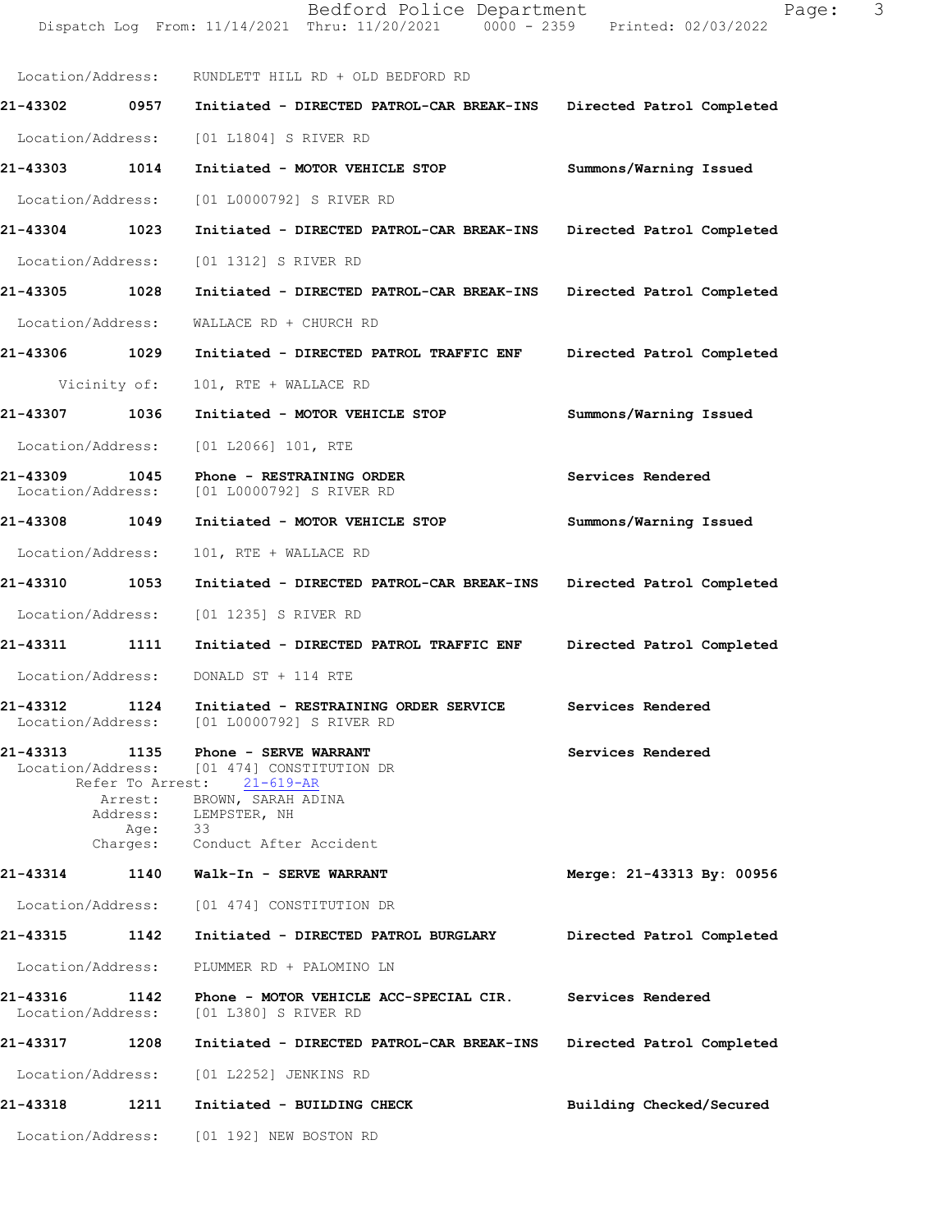|                               |                             | Dispatch Log From: $11/14/2021$ Thru: $11/20/2021$ 0000 - 2359 Printed: 02/03/2022                    |                           |
|-------------------------------|-----------------------------|-------------------------------------------------------------------------------------------------------|---------------------------|
|                               |                             | Location/Address: RUNDLETT HILL RD + OLD BEDFORD RD                                                   |                           |
| 21-43302 0957                 |                             | Initiated - DIRECTED PATROL-CAR BREAK-INS Directed Patrol Completed                                   |                           |
| Location/Address:             |                             | [01 L1804] S RIVER RD                                                                                 |                           |
| 21-43303                      | 1014                        | Initiated - MOTOR VEHICLE STOP                                                                        | Summons/Warning Issued    |
|                               |                             | Location/Address: [01 L0000792] S RIVER RD                                                            |                           |
| 21-43304                      | 1023                        | Initiated - DIRECTED PATROL-CAR BREAK-INS Directed Patrol Completed                                   |                           |
| Location/Address:             |                             | [01 1312] S RIVER RD                                                                                  |                           |
| 21-43305 1028                 |                             | Initiated - DIRECTED PATROL-CAR BREAK-INS Directed Patrol Completed                                   |                           |
| Location/Address:             |                             | WALLACE RD + CHURCH RD                                                                                |                           |
| 21-43306 1029                 |                             | Initiated - DIRECTED PATROL TRAFFIC ENF                                                               | Directed Patrol Completed |
|                               | Vicinity of:                | 101, RTE + WALLACE RD                                                                                 |                           |
| 21-43307 1036                 |                             | Initiated - MOTOR VEHICLE STOP                                                                        | Summons/Warning Issued    |
| Location/Address:             |                             | [01 L2066] 101, RTE                                                                                   |                           |
| 21-43309<br>Location/Address: | 1045                        | Phone - RESTRAINING ORDER<br>[01 L0000792] S RIVER RD                                                 | Services Rendered         |
| 21-43308 1049                 |                             | Initiated - MOTOR VEHICLE STOP                                                                        | Summons/Warning Issued    |
| Location/Address:             |                             | 101, RTE + WALLACE RD                                                                                 |                           |
| 21-43310                      | 1053                        | Initiated - DIRECTED PATROL-CAR BREAK-INS Directed Patrol Completed                                   |                           |
|                               |                             | Location/Address: [01 1235] S RIVER RD                                                                |                           |
| 21-43311 1111                 |                             | Initiated - DIRECTED PATROL TRAFFIC ENF                                                               | Directed Patrol Completed |
|                               |                             | Location/Address: DONALD ST + 114 RTE                                                                 |                           |
| 21-43312                      | 1124                        | Initiated - RESTRAINING ORDER SERVICE Services Rendered<br>Location/Address: [01 L0000792] S RIVER RD |                           |
| 21-43313                      | 1135                        | Phone - SERVE WARRANT<br>Location/Address: [01 474] CONSTITUTION DR<br>Refer To Arrest: 21-619-AR     | Services Rendered         |
|                               | Arrest:<br>Address:<br>Age: | BROWN, SARAH ADINA<br>LEMPSTER, NH<br>33                                                              |                           |
| 21-43314                      | Charges:<br>1140            | Conduct After Accident<br>Walk-In - SERVE WARRANT                                                     |                           |
| Location/Address:             |                             |                                                                                                       | Merge: 21-43313 By: 00956 |
|                               |                             | [01 474] CONSTITUTION DR                                                                              |                           |
| 21-43315                      | 1142                        | Initiated - DIRECTED PATROL BURGLARY                                                                  | Directed Patrol Completed |
| Location/Address:             |                             | PLUMMER RD + PALOMINO LN                                                                              |                           |
| 21-43316<br>Location/Address: | 1142                        | Phone - MOTOR VEHICLE ACC-SPECIAL CIR.<br>[01 L380] S RIVER RD                                        | Services Rendered         |
| 21-43317                      | 1208                        | Initiated - DIRECTED PATROL-CAR BREAK-INS                                                             | Directed Patrol Completed |
| Location/Address:             |                             | [01 L2252] JENKINS RD                                                                                 |                           |
| 21-43318                      | 1211                        | Initiated - BUILDING CHECK                                                                            | Building Checked/Secured  |
| Location/Address:             |                             | [01 192] NEW BOSTON RD                                                                                |                           |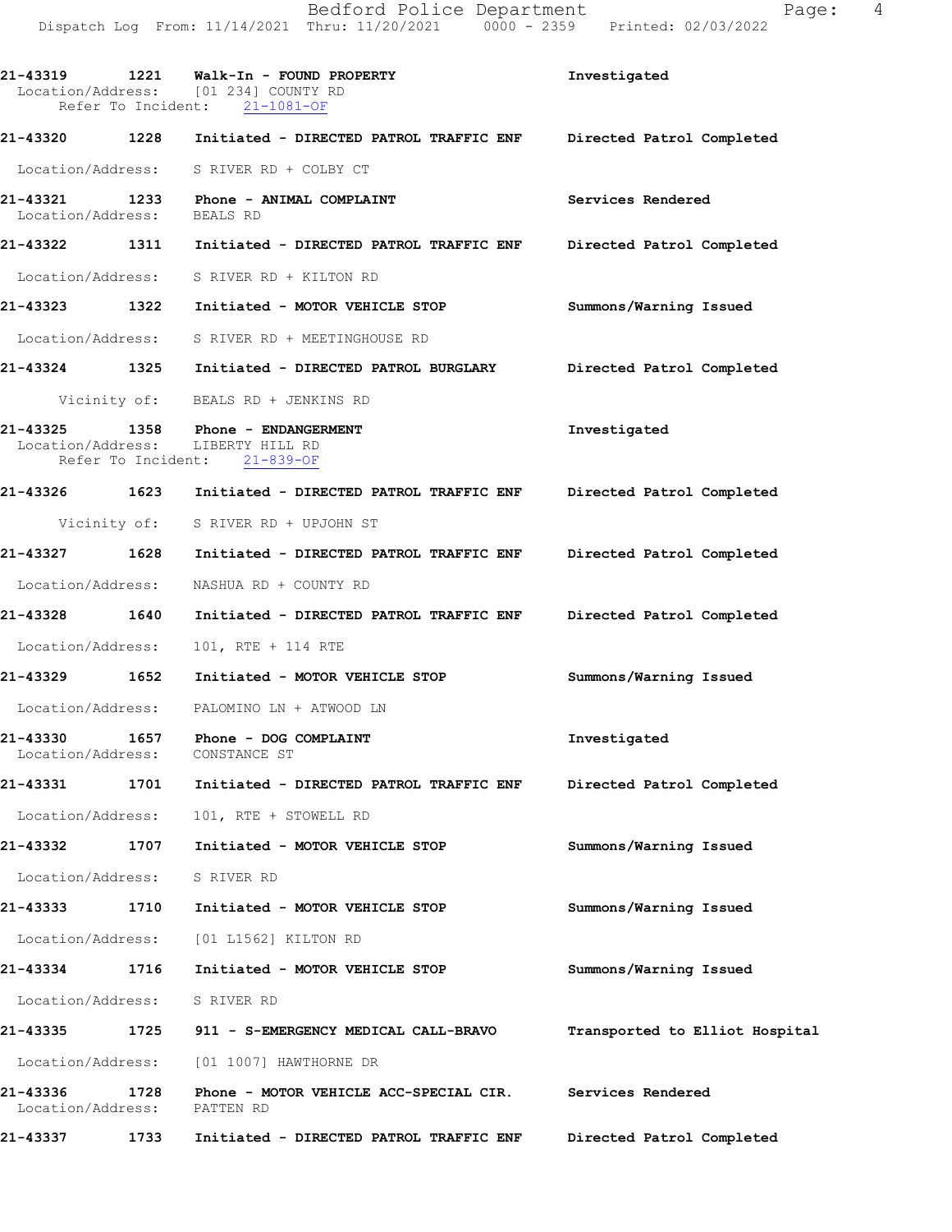21-43319 1221 Walk-In - FOUND PROPERTY Investigated Location/Address: [01 234] COUNTY RD Refer To Incident: 21-1081-OF 21-43320 1228 Initiated - DIRECTED PATROL TRAFFIC ENF Directed Patrol Completed Location/Address: S RIVER RD + COLBY CT 21-43321 1233 Phone - ANIMAL COMPLAINT Services Rendered Location/Address: BEALSRD 21-43322 1311 Initiated - DIRECTED PATROL TRAFFIC ENF Directed Patrol Completed Location/Address: S RIVER RD + KILTON RD 21-43323 1322 Initiated - MOTOR VEHICLE STOP Summons/Warning Issued Location/Address: S RIVER RD + MEETINGHOUSE RD 21-43324 1325 Initiated - DIRECTED PATROL BURGLARY Directed Patrol Completed Vicinity of: BEALS RD + JENKINS RD 21-43325 1358 Phone - ENDANGERMENT 1nvestigated Investigated Location/Address: LIBERTY HILL RD Location/Address: Refer To Incident: 21-839-OF 21-43326 1623 Initiated - DIRECTED PATROL TRAFFIC ENF Directed Patrol Completed Vicinity of: S RIVER RD + UPJOHN ST 21-43327 1628 Initiated - DIRECTED PATROL TRAFFIC ENF Directed Patrol Completed Location/Address: NASHUARD + COUNTYRD 21-43328 1640 Initiated - DIRECTED PATROL TRAFFIC ENF Directed Patrol Completed Location/Address: 101, RTE + 114 RTE 21-43329 1652 Initiated - MOTOR VEHICLE STOP Summons/Warning Issued

Location/Address: PALOMINO LN + ATWOOD LN

21-433301657 Phone-DOGCOMPLAINT Investigated Location/Address:

21-43331 1701 Initiated - DIRECTED PATROL TRAFFIC ENF Directed Patrol Completed Location/Address: 101, RTE + STOWELL RD

21-43332 1707 Initiated - MOTOR VEHICLE STOP Summons/Warning Issued Location/Address: S RIVER RD

21-43333 1710 Initiated - MOTOR VEHICLE STOP Summons/Warning Issued

Location/Address: [01 L1562] KILTON RD

21-43334 1716 Initiated - MOTOR VEHICLE STOP Summons/Warning Issued Location/Address: S RIVER RD 21-43335 1725 911 - S-EMERGENCY MEDICAL CALL-BRAVO Transported to Elliot Hospital

Location/Address: [01 1007] HAWTHORNE DR

21-43336 1728 Phone - MOTOR VEHICLE ACC-SPECIAL CIR. Services Rendered<br>Location/Address: PATTEN RD Location/Address:

21-43337 1733 Initiated - DIRECTED PATROL TRAFFIC ENF Directed Patrol Completed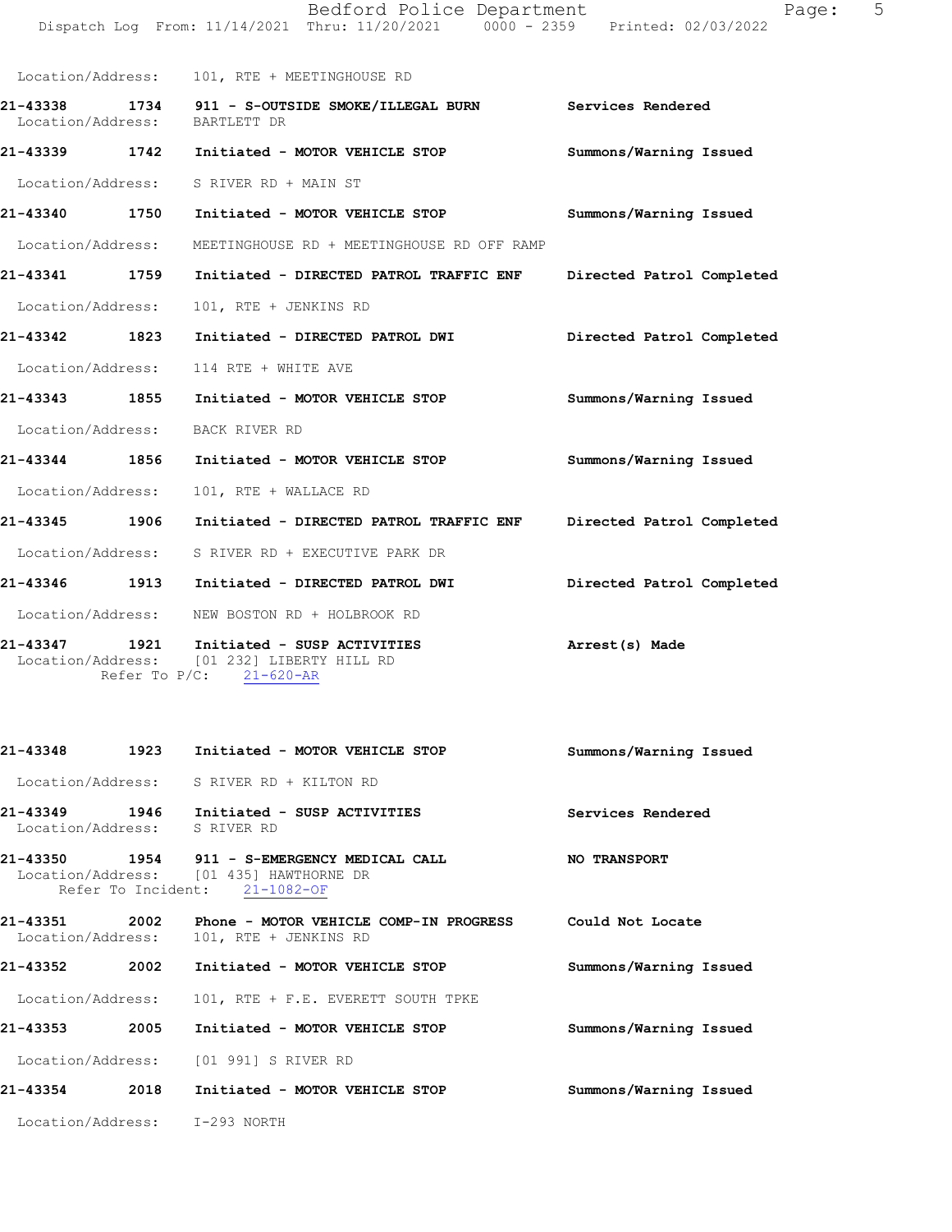|                                                                                                                                                                                                                                                                                         | Bedford Police Department<br>Dispatch Log From: 11/14/2021 Thru: 11/20/2021 0000 - 2359 Printed: 02/03/2022 | Page:                     | 5 |
|-----------------------------------------------------------------------------------------------------------------------------------------------------------------------------------------------------------------------------------------------------------------------------------------|-------------------------------------------------------------------------------------------------------------|---------------------------|---|
| Location/Address:                                                                                                                                                                                                                                                                       | 101, RTE + MEETINGHOUSE RD                                                                                  |                           |   |
| 21-43338<br>Location/Address:                                                                                                                                                                                                                                                           | 1734 911 - S-OUTSIDE SMOKE/ILLEGAL BURN Services Rendered<br>BARTLETT DR                                    |                           |   |
| 21-43339 1742                                                                                                                                                                                                                                                                           | Initiated - MOTOR VEHICLE STOP                                                                              | Summons/Warning Issued    |   |
| Location/Address:                                                                                                                                                                                                                                                                       | S RIVER RD + MAIN ST                                                                                        |                           |   |
| 21-43340 1750                                                                                                                                                                                                                                                                           | Initiated - MOTOR VEHICLE STOP                                                                              | Summons/Warning Issued    |   |
| Location/Address:                                                                                                                                                                                                                                                                       | MEETINGHOUSE RD + MEETINGHOUSE RD OFF RAMP                                                                  |                           |   |
| 21-43341 1759                                                                                                                                                                                                                                                                           | Initiated - DIRECTED PATROL TRAFFIC ENF                                                                     | Directed Patrol Completed |   |
| Location/Address:                                                                                                                                                                                                                                                                       | 101, RTE + JENKINS RD                                                                                       |                           |   |
| 21-43342 1823                                                                                                                                                                                                                                                                           | Initiated - DIRECTED PATROL DWI                                                                             | Directed Patrol Completed |   |
| Location/Address:                                                                                                                                                                                                                                                                       | 114 RTE + WHITE AVE                                                                                         |                           |   |
| 21-43343 1855                                                                                                                                                                                                                                                                           | Initiated - MOTOR VEHICLE STOP                                                                              | Summons/Warning Issued    |   |
| Location/Address:                                                                                                                                                                                                                                                                       | BACK RIVER RD                                                                                               |                           |   |
| 21-43344 1856                                                                                                                                                                                                                                                                           | Initiated - MOTOR VEHICLE STOP                                                                              | Summons/Warning Issued    |   |
| Location/Address:                                                                                                                                                                                                                                                                       | 101, RTE + WALLACE RD                                                                                       |                           |   |
| 21-43345 1906                                                                                                                                                                                                                                                                           | Initiated - DIRECTED PATROL TRAFFIC ENF                                                                     | Directed Patrol Completed |   |
| Location/Address:                                                                                                                                                                                                                                                                       | S RIVER RD + EXECUTIVE PARK DR                                                                              |                           |   |
| 21-43346 1913                                                                                                                                                                                                                                                                           | Initiated - DIRECTED PATROL DWI                                                                             | Directed Patrol Completed |   |
| Location/Address:                                                                                                                                                                                                                                                                       | NEW BOSTON RD + HOLBROOK RD                                                                                 |                           |   |
| 1921<br>21-43347<br>$T = 1.25 + 1.25 + 1.75 + 1.75 + 1.75 + 1.75 + 1.75 + 1.75 + 1.75 + 1.75 + 1.75 + 1.75 + 1.75 + 1.75 + 1.75 + 1.75 + 1.75 + 1.75 + 1.75 + 1.75 + 1.75 + 1.75 + 1.75 + 1.75 + 1.75 + 1.75 + 1.75 + 1.75 + 1.75 + 1.75 + 1.75 + 1.75 + 1.75 + 1.75 + 1.75 + 1.75 + 1$ | Initiated - SUSP ACTIVITIES<br>LO1 2221 ITHOMAN UTTI DE                                                     | Arrest(s) Made            |   |

Location/Address: [01 232] LIBERTY HILL RD Refer To P/C: 21-620-AR

| 21-43348                     |      | 1923 Initiated - MOTOR VEHICLE STOP                                                                                                        | Summons/Warning Issued |
|------------------------------|------|--------------------------------------------------------------------------------------------------------------------------------------------|------------------------|
|                              |      | Location/Address: S RIVER RD + KILTON RD                                                                                                   |                        |
| Location/Address: S RIVER RD |      | 21-43349 1946 Initiated - SUSP ACTIVITIES                                                                                                  | Services Rendered      |
|                              |      | 21-43350 1954 911 - S-EMERGENCY MEDICAL CALL<br>Location/Address: [01 435] HAWTHORNE DR<br>Refer To Incident: 21-1082-OF                   | <b>NO TRANSPORT</b>    |
|                              |      | 21-43351             2002       Phone - MOTOR VEHICLE COMP-IN PROGRESS         Could Not Locate<br>Location/Address: 101, RTE + JENKINS RD |                        |
| 21-43352 2002                |      | Initiated - MOTOR VEHICLE STOP                                                                                                             | Summons/Warning Issued |
|                              |      | Location/Address: 101, RTE + F.E. EVERETT SOUTH TPKE                                                                                       |                        |
| 21-43353                     | 2005 | Initiated - MOTOR VEHICLE STOP                                                                                                             | Summons/Warning Issued |
|                              |      | Location/Address: [01 991] S RIVER RD                                                                                                      |                        |
| 21-43354                     | 2018 | Initiated - MOTOR VEHICLE STOP                                                                                                             | Summons/Warning Issued |
|                              |      | Location/Address: I-293 NORTH                                                                                                              |                        |
|                              |      |                                                                                                                                            |                        |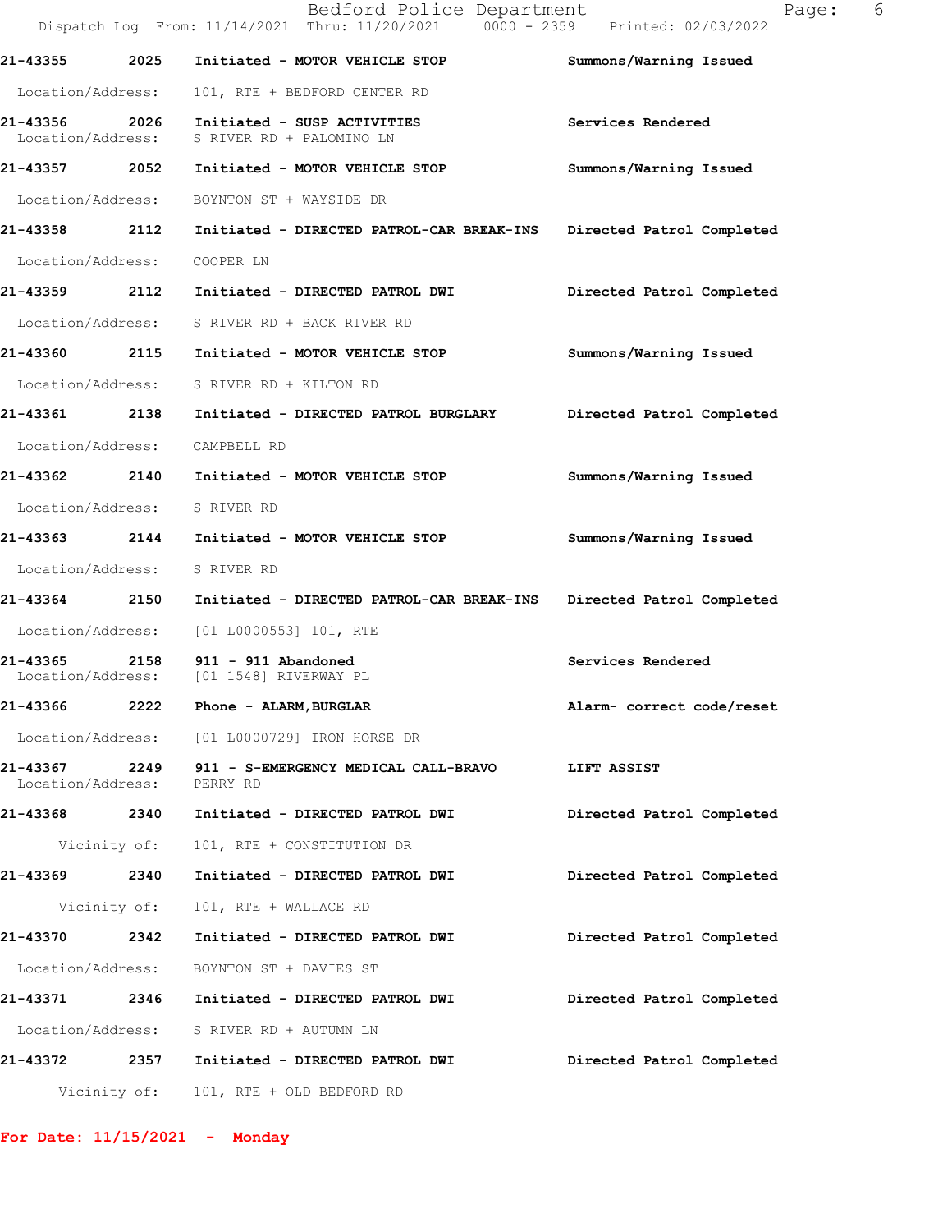|                              |              | Bedford Police Department<br>Dispatch Log From: 11/14/2021 Thru: 11/20/2021 0000 - 2359 Printed: 02/03/2022 | 6<br>Page:                |
|------------------------------|--------------|-------------------------------------------------------------------------------------------------------------|---------------------------|
| 21-43355                     | 2025         | Initiated - MOTOR VEHICLE STOP                                                                              | Summons/Warning Issued    |
| Location/Address:            |              | 101, RTE + BEDFORD CENTER RD                                                                                |                           |
|                              |              | 21-43356 2026 Initiated - SUSP ACTIVITIES<br>Location/Address: S RIVER RD + PALOMINO LN                     | Services Rendered         |
|                              |              | 21-43357 2052 Initiated - MOTOR VEHICLE STOP                                                                | Summons/Warning Issued    |
| Location/Address:            |              | BOYNTON ST + WAYSIDE DR                                                                                     |                           |
|                              |              | 21-43358 2112 Initiated - DIRECTED PATROL-CAR BREAK-INS                                                     | Directed Patrol Completed |
| Location/Address:            |              | COOPER LN                                                                                                   |                           |
|                              |              | 21-43359 2112 Initiated - DIRECTED PATROL DWI                                                               | Directed Patrol Completed |
|                              |              | Location/Address: S RIVER RD + BACK RIVER RD                                                                |                           |
|                              |              | 21-43360 2115 Initiated - MOTOR VEHICLE STOP                                                                | Summons/Warning Issued    |
|                              |              | Location/Address: S RIVER RD + KILTON RD                                                                    |                           |
|                              |              | 21-43361  2138  Initiated - DIRECTED PATROL BURGLARY                                                        | Directed Patrol Completed |
|                              |              | Location/Address: CAMPBELL RD                                                                               |                           |
|                              |              | 21-43362 2140 Initiated - MOTOR VEHICLE STOP                                                                | Summons/Warning Issued    |
| Location/Address: S RIVER RD |              |                                                                                                             |                           |
|                              |              | 21-43363 2144 Initiated - MOTOR VEHICLE STOP                                                                | Summons/Warning Issued    |
| Location/Address: S RIVER RD |              |                                                                                                             |                           |
|                              |              | 21-43364 2150 Initiated - DIRECTED PATROL-CAR BREAK-INS Directed Patrol Completed                           |                           |
|                              |              | Location/Address: [01 L0000553] 101, RTE                                                                    |                           |
|                              |              | 21-43365 2158 911 - 911 Abandoned<br>Location/Address: [01 1548] RIVERWAY PL                                | Services Rendered         |
| 21-43366                     | 2222         | Phone - ALARM, BURGLAR                                                                                      | Alarm- correct code/reset |
|                              |              | Location/Address: [01 L0000729] IRON HORSE DR                                                               |                           |
| Location/Address:            |              | 21-43367 2249 911 - S-EMERGENCY MEDICAL CALL-BRAVO LIFT ASSIST<br>PERRY RD                                  |                           |
|                              |              | 21-43368 2340 Initiated - DIRECTED PATROL DWI                                                               | Directed Patrol Completed |
|                              | Vicinity of: | 101, RTE + CONSTITUTION DR                                                                                  |                           |
|                              |              | 21-43369 2340 Initiated - DIRECTED PATROL DWI                                                               | Directed Patrol Completed |
|                              | Vicinity of: | 101, RTE + WALLACE RD                                                                                       |                           |
| 21-43370 2342                |              | Initiated - DIRECTED PATROL DWI                                                                             | Directed Patrol Completed |
|                              |              | Location/Address: BOYNTON ST + DAVIES ST                                                                    |                           |
|                              |              | 21-43371 2346 Initiated - DIRECTED PATROL DWI                                                               | Directed Patrol Completed |
|                              |              | Location/Address: S RIVER RD + AUTUMN LN                                                                    |                           |
|                              |              | 21-43372 2357 Initiated - DIRECTED PATROL DWI                                                               | Directed Patrol Completed |
|                              |              | Vicinity of: 101, RTE + OLD BEDFORD RD                                                                      |                           |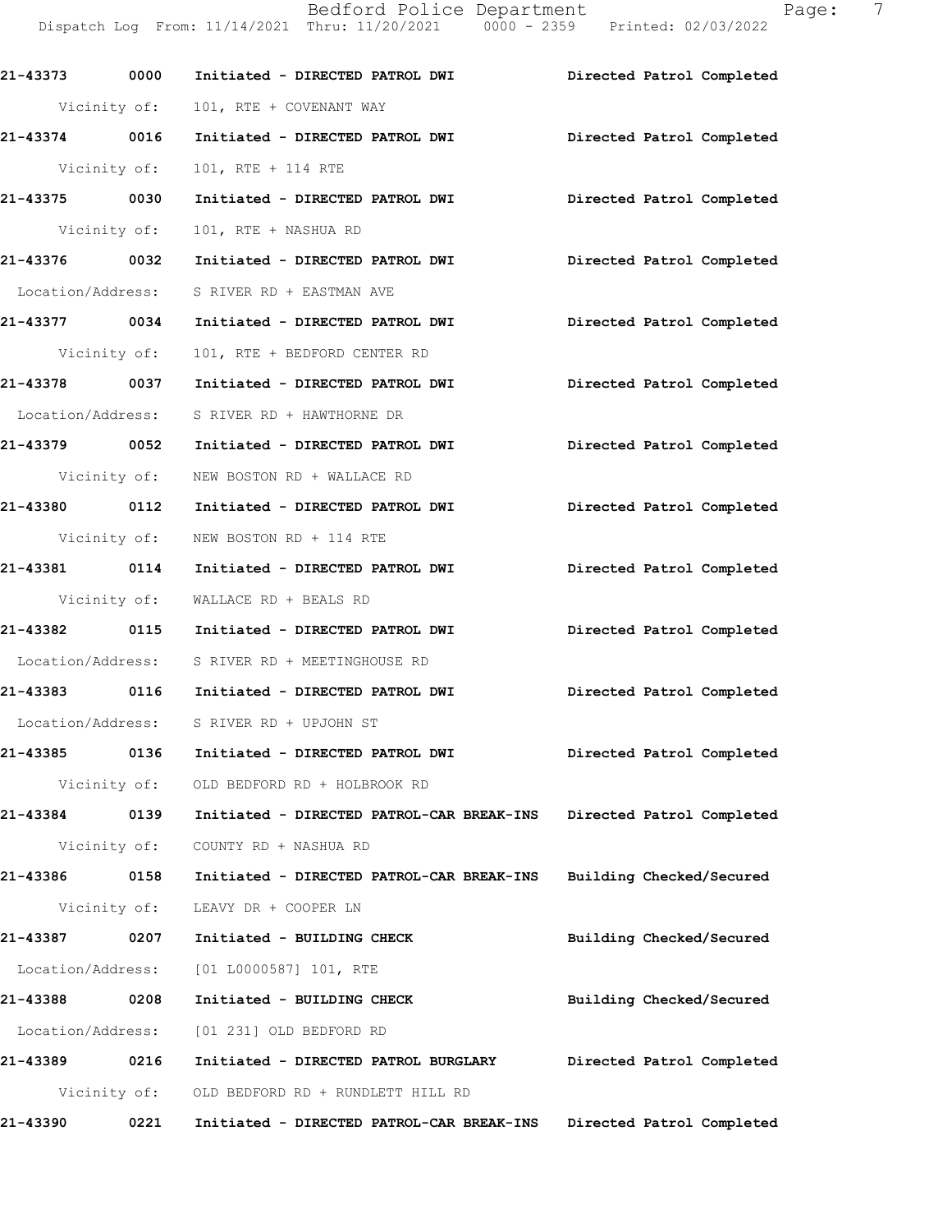Bedford Police Department Page: 7 Dispatch Log From: 11/14/2021 Thru: 11/20/2021 0000 - 2359 Printed: 02/03/2022

| 21-43373 0000     | Initiated - DIRECTED PATROL DWI Directed Patrol Completed               |                           |
|-------------------|-------------------------------------------------------------------------|---------------------------|
| Vicinity of:      | 101, RTE + COVENANT WAY                                                 |                           |
| 21-43374 0016     | Initiated - DIRECTED PATROL DWI Directed Patrol Completed               |                           |
| Vicinity of:      | 101, RTE + 114 RTE                                                      |                           |
| 21-43375 0030     | Initiated - DIRECTED PATROL DWI                                         | Directed Patrol Completed |
| Vicinity of:      | 101, RTE + NASHUA RD                                                    |                           |
| 21-43376 0032     | Initiated - DIRECTED PATROL DWI                                         | Directed Patrol Completed |
|                   | Location/Address: S RIVER RD + EASTMAN AVE                              |                           |
| 21-43377 0034     | Initiated - DIRECTED PATROL DWI                                         | Directed Patrol Completed |
| Vicinity of:      | 101, RTE + BEDFORD CENTER RD                                            |                           |
|                   | 21-43378 0037 Initiated - DIRECTED PATROL DWI Directed Patrol Completed |                           |
|                   | Location/Address: S RIVER RD + HAWTHORNE DR                             |                           |
|                   | 21-43379 0052 Initiated - DIRECTED PATROL DWI Directed Patrol Completed |                           |
|                   | Vicinity of: NEW BOSTON RD + WALLACE RD                                 |                           |
|                   | 21-43380 0112 Initiated - DIRECTED PATROL DWI                           | Directed Patrol Completed |
|                   | Vicinity of: NEW BOSTON RD + 114 RTE                                    |                           |
| 21-43381 0114     | Initiated - DIRECTED PATROL DWI                                         | Directed Patrol Completed |
|                   | Vicinity of: WALLACE RD + BEALS RD                                      |                           |
|                   | 21-43382 0115 Initiated - DIRECTED PATROL DWI                           | Directed Patrol Completed |
|                   | Location/Address: S RIVER RD + MEETINGHOUSE RD                          |                           |
|                   | 21-43383 0116 Initiated - DIRECTED PATROL DWI Directed Patrol Completed |                           |
|                   | Location/Address: S RIVER RD + UPJOHN ST                                |                           |
| 21-43385 0136     | Initiated - DIRECTED PATROL DWI                                         | Directed Patrol Completed |
|                   | Vicinity of: OLD BEDFORD RD + HOLBROOK RD                               |                           |
| 21-43384<br>0139  | Initiated - DIRECTED PATROL-CAR BREAK-INS                               | Directed Patrol Completed |
| Vicinity of:      | COUNTY RD + NASHUA RD                                                   |                           |
| 21-43386<br>0158  | Initiated - DIRECTED PATROL-CAR BREAK-INS                               | Building Checked/Secured  |
|                   | Vicinity of: LEAVY DR + COOPER LN                                       |                           |
| 21-43387<br>0207  | Initiated - BUILDING CHECK                                              | Building Checked/Secured  |
| Location/Address: | [01 L0000587] 101, RTE                                                  |                           |
| 21-43388<br>0208  | Initiated - BUILDING CHECK                                              | Building Checked/Secured  |
| Location/Address: | [01 231] OLD BEDFORD RD                                                 |                           |
| 0216<br>21-43389  | Initiated - DIRECTED PATROL BURGLARY                                    | Directed Patrol Completed |
|                   | Vicinity of: OLD BEDFORD RD + RUNDLETT HILL RD                          |                           |
| 21-43390<br>0221  | Initiated - DIRECTED PATROL-CAR BREAK-INS                               | Directed Patrol Completed |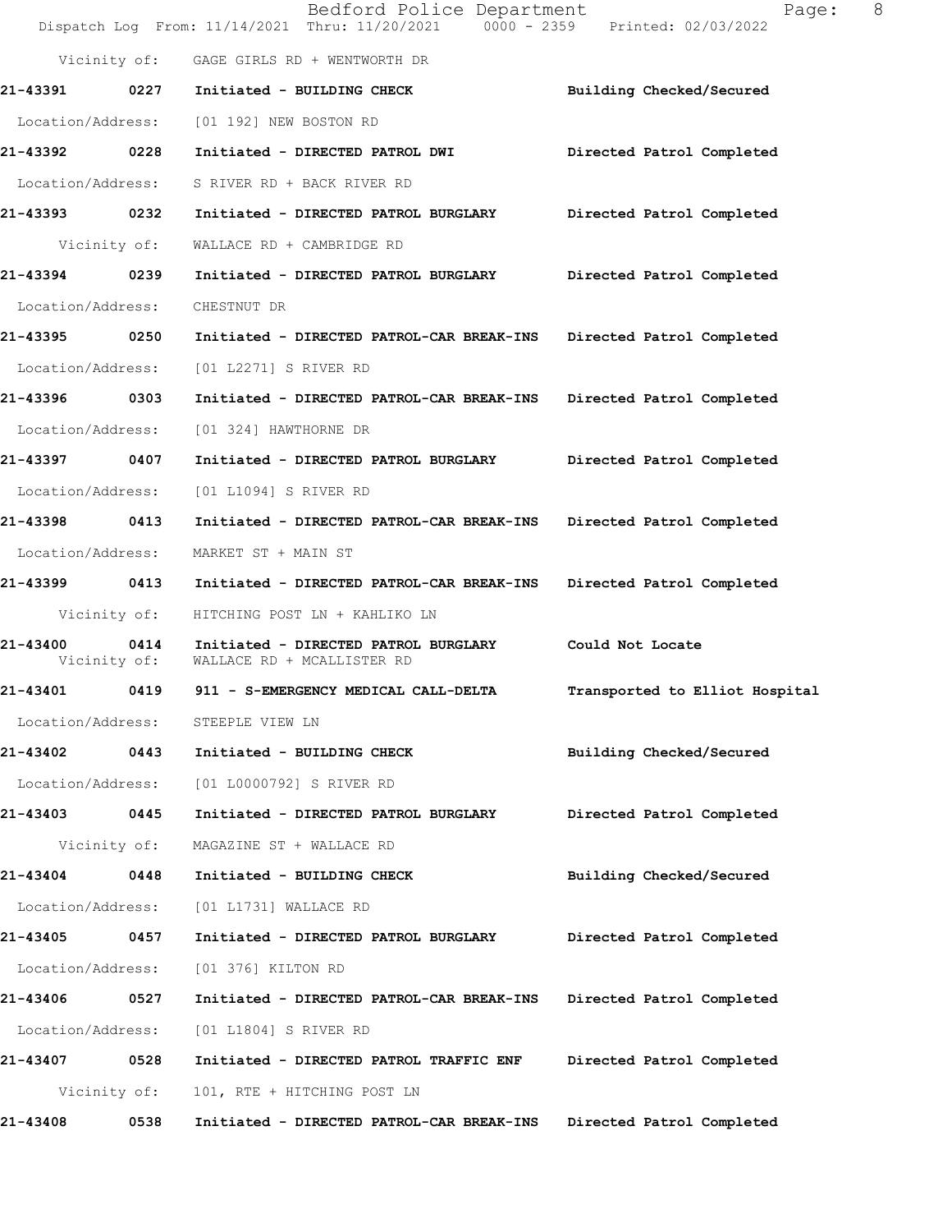|                               |      | Bedford Police Department<br>Dispatch Log From: 11/14/2021 Thru: 11/20/2021 0000 - 2359 Printed: 02/03/2022 | 8<br>Page:                     |
|-------------------------------|------|-------------------------------------------------------------------------------------------------------------|--------------------------------|
|                               |      | Vicinity of: GAGE GIRLS RD + WENTWORTH DR                                                                   |                                |
| 21-43391 0227                 |      | Initiated - BUILDING CHECK                                                                                  | Building Checked/Secured       |
| Location/Address:             |      | [01 192] NEW BOSTON RD                                                                                      |                                |
| 21-43392 0228                 |      | Initiated - DIRECTED PATROL DWI                                                                             | Directed Patrol Completed      |
| Location/Address:             |      | S RIVER RD + BACK RIVER RD                                                                                  |                                |
| 21-43393 0232                 |      | Initiated - DIRECTED PATROL BURGLARY                                                                        | Directed Patrol Completed      |
| Vicinity of:                  |      | WALLACE RD + CAMBRIDGE RD                                                                                   |                                |
| 21-43394 0239                 |      | Initiated - DIRECTED PATROL BURGLARY Directed Patrol Completed                                              |                                |
| Location/Address:             |      | CHESTNUT DR                                                                                                 |                                |
| 21-43395 0250                 |      | Initiated - DIRECTED PATROL-CAR BREAK-INS Directed Patrol Completed                                         |                                |
| Location/Address:             |      | [01 L2271] S RIVER RD                                                                                       |                                |
| 21-43396 0303                 |      | Initiated - DIRECTED PATROL-CAR BREAK-INS Directed Patrol Completed                                         |                                |
| Location/Address:             |      | [01 324] HAWTHORNE DR                                                                                       |                                |
| 21-43397 0407                 |      | Initiated - DIRECTED PATROL BURGLARY                                                                        | Directed Patrol Completed      |
| Location/Address:             |      | [01 L1094] S RIVER RD                                                                                       |                                |
| 21-43398 0413                 |      | Initiated - DIRECTED PATROL-CAR BREAK-INS                                                                   | Directed Patrol Completed      |
| Location/Address:             |      | MARKET ST + MAIN ST                                                                                         |                                |
| 21-43399 0413                 |      | Initiated - DIRECTED PATROL-CAR BREAK-INS Directed Patrol Completed                                         |                                |
| Vicinity of:                  |      | HITCHING POST LN + KAHLIKO LN                                                                               |                                |
| 21-43400 0414<br>Vicinity of: |      | Initiated - DIRECTED PATROL BURGLARY<br>WALLACE RD + MCALLISTER RD                                          | Could Not Locate               |
| 21-43401                      | 0419 | 911 - S-EMERGENCY MEDICAL CALL-DELTA                                                                        | Transported to Elliot Hospital |
| Location/Address:             |      | STEEPLE VIEW LN                                                                                             |                                |
| 21-43402                      | 0443 | Initiated - BUILDING CHECK                                                                                  | Building Checked/Secured       |
| Location/Address:             |      | [01 L0000792] S RIVER RD                                                                                    |                                |
| 21-43403                      | 0445 | Initiated - DIRECTED PATROL BURGLARY                                                                        | Directed Patrol Completed      |
| Vicinity of:                  |      | MAGAZINE ST + WALLACE RD                                                                                    |                                |
| 21-43404                      | 0448 | Initiated - BUILDING CHECK                                                                                  | Building Checked/Secured       |
| Location/Address:             |      | [01 L1731] WALLACE RD                                                                                       |                                |
| 21-43405                      | 0457 | Initiated - DIRECTED PATROL BURGLARY                                                                        | Directed Patrol Completed      |
| Location/Address:             |      | [01 376] KILTON RD                                                                                          |                                |
| 21-43406                      | 0527 | Initiated - DIRECTED PATROL-CAR BREAK-INS                                                                   | Directed Patrol Completed      |
| Location/Address:             |      | [01 L1804] S RIVER RD                                                                                       |                                |
| 21-43407                      | 0528 | Initiated - DIRECTED PATROL TRAFFIC ENF                                                                     | Directed Patrol Completed      |
| Vicinity of:                  |      | 101, RTE + HITCHING POST LN                                                                                 |                                |
| 21-43408                      | 0538 | Initiated - DIRECTED PATROL-CAR BREAK-INS                                                                   | Directed Patrol Completed      |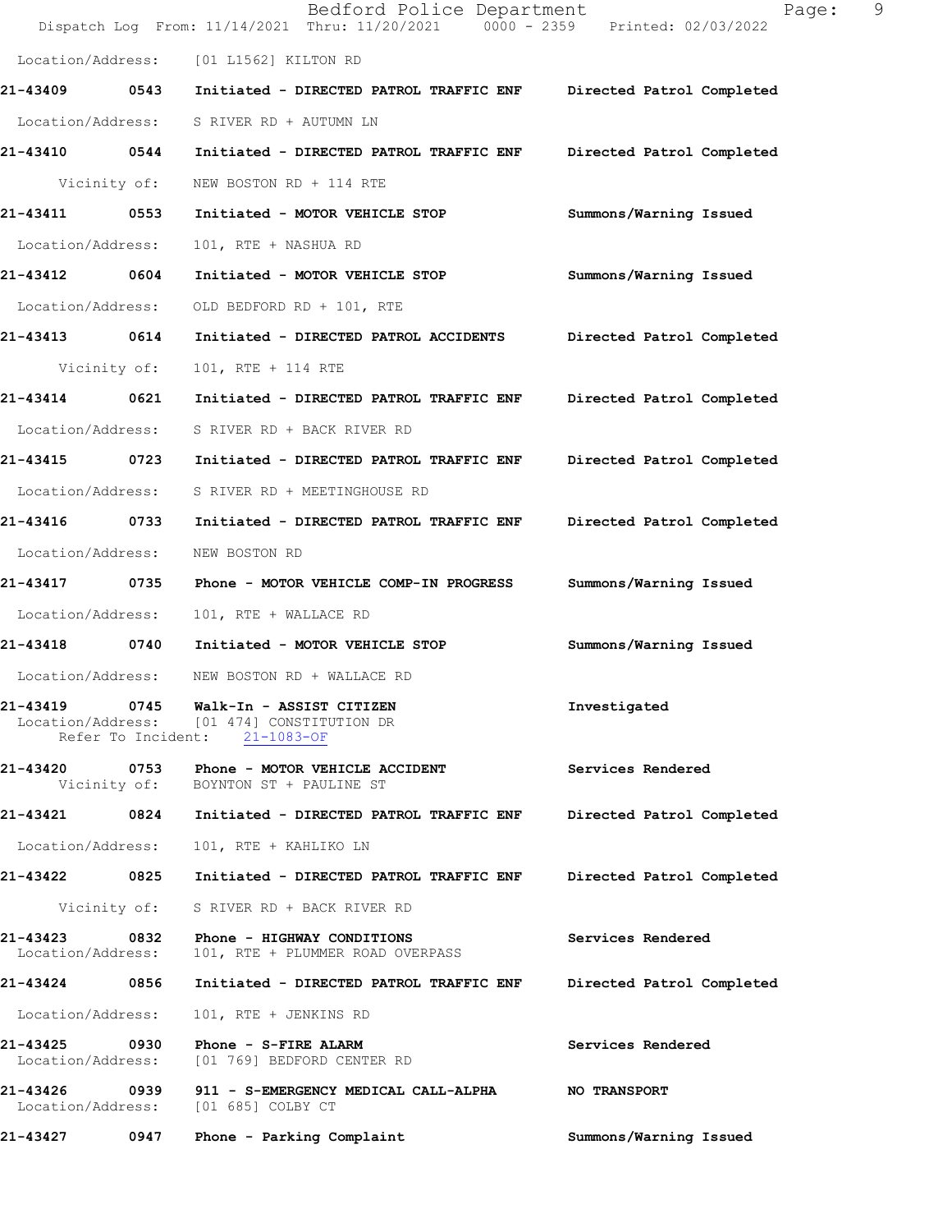|                                    |              | Bedford Police Department<br>Dispatch Log From: 11/14/2021 Thru: 11/20/2021 0000 - 2359 Printed: 02/03/2022 | 9<br>Page:                |
|------------------------------------|--------------|-------------------------------------------------------------------------------------------------------------|---------------------------|
|                                    |              | Location/Address: [01 L1562] KILTON RD                                                                      |                           |
| 21-43409 0543                      |              | Initiated - DIRECTED PATROL TRAFFIC ENF                                                                     | Directed Patrol Completed |
| Location/Address:                  |              | S RIVER RD + AUTUMN LN                                                                                      |                           |
| 21-43410 0544                      |              | Initiated - DIRECTED PATROL TRAFFIC ENF                                                                     | Directed Patrol Completed |
|                                    | Vicinity of: | NEW BOSTON RD + 114 RTE                                                                                     |                           |
| 21-43411                           | 0553         | Initiated - MOTOR VEHICLE STOP                                                                              | Summons/Warning Issued    |
| Location/Address:                  |              | 101, RTE + NASHUA RD                                                                                        |                           |
| 21-43412 0604                      |              | Initiated - MOTOR VEHICLE STOP                                                                              | Summons/Warning Issued    |
| Location/Address:                  |              | OLD BEDFORD RD + 101, RTE                                                                                   |                           |
| 21-43413 0614                      |              | Initiated - DIRECTED PATROL ACCIDENTS                                                                       | Directed Patrol Completed |
| Vicinity of:                       |              | 101, RTE + 114 RTE                                                                                          |                           |
| 21-43414                           | 0621         | Initiated - DIRECTED PATROL TRAFFIC ENF                                                                     | Directed Patrol Completed |
| Location/Address:                  |              | S RIVER RD + BACK RIVER RD                                                                                  |                           |
| 21-43415 0723                      |              | Initiated - DIRECTED PATROL TRAFFIC ENF                                                                     | Directed Patrol Completed |
| Location/Address:                  |              | S RIVER RD + MEETINGHOUSE RD                                                                                |                           |
| 21-43416 0733                      |              | Initiated - DIRECTED PATROL TRAFFIC ENF                                                                     | Directed Patrol Completed |
| Location/Address:                  |              | NEW BOSTON RD                                                                                               |                           |
| 21-43417                           | 0735         | Phone - MOTOR VEHICLE COMP-IN PROGRESS                                                                      | Summons/Warning Issued    |
| Location/Address:                  |              | 101, RTE + WALLACE RD                                                                                       |                           |
| 21-43418                           | 0740         | Initiated - MOTOR VEHICLE STOP                                                                              | Summons/Warning Issued    |
| Location/Address:                  |              | NEW BOSTON RD + WALLACE RD                                                                                  |                           |
|                                    |              | Location/Address: [01 474] CONSTITUTION DR<br>Refer To Incident: 21-1083-OF                                 | Investigated              |
|                                    |              | 21-43420 0753 Phone - MOTOR VEHICLE ACCIDENT<br>Vicinity of: BOYNTON ST + PAULINE ST                        | Services Rendered         |
|                                    |              |                                                                                                             | Directed Patrol Completed |
| Location/Address:                  |              | 101, RTE + KAHLIKO LN                                                                                       |                           |
|                                    |              |                                                                                                             | Directed Patrol Completed |
|                                    |              | Vicinity of: S RIVER RD + BACK RIVER RD                                                                     |                           |
| 21-43423 0832<br>Location/Address: |              | Phone - HIGHWAY CONDITIONS<br>101, RTE + PLUMMER ROAD OVERPASS                                              | Services Rendered         |
| 21-43424 0856                      |              | Initiated - DIRECTED PATROL TRAFFIC ENF Directed Patrol Completed                                           |                           |
| Location/Address:                  |              | 101, RTE + JENKINS RD                                                                                       |                           |
| 21-43425 0930<br>Location/Address: |              | Phone - S-FIRE ALARM<br>[01 769] BEDFORD CENTER RD                                                          | Services Rendered         |
|                                    |              | 21-43426 0939 911 - S-EMERGENCY MEDICAL CALL-ALPHA<br>Location/Address: [01 685] COLBY CT                   | <b>NO TRANSPORT</b>       |
| 21-43427                           | 0947         | Phone - Parking Complaint                                                                                   | Summons/Warning Issued    |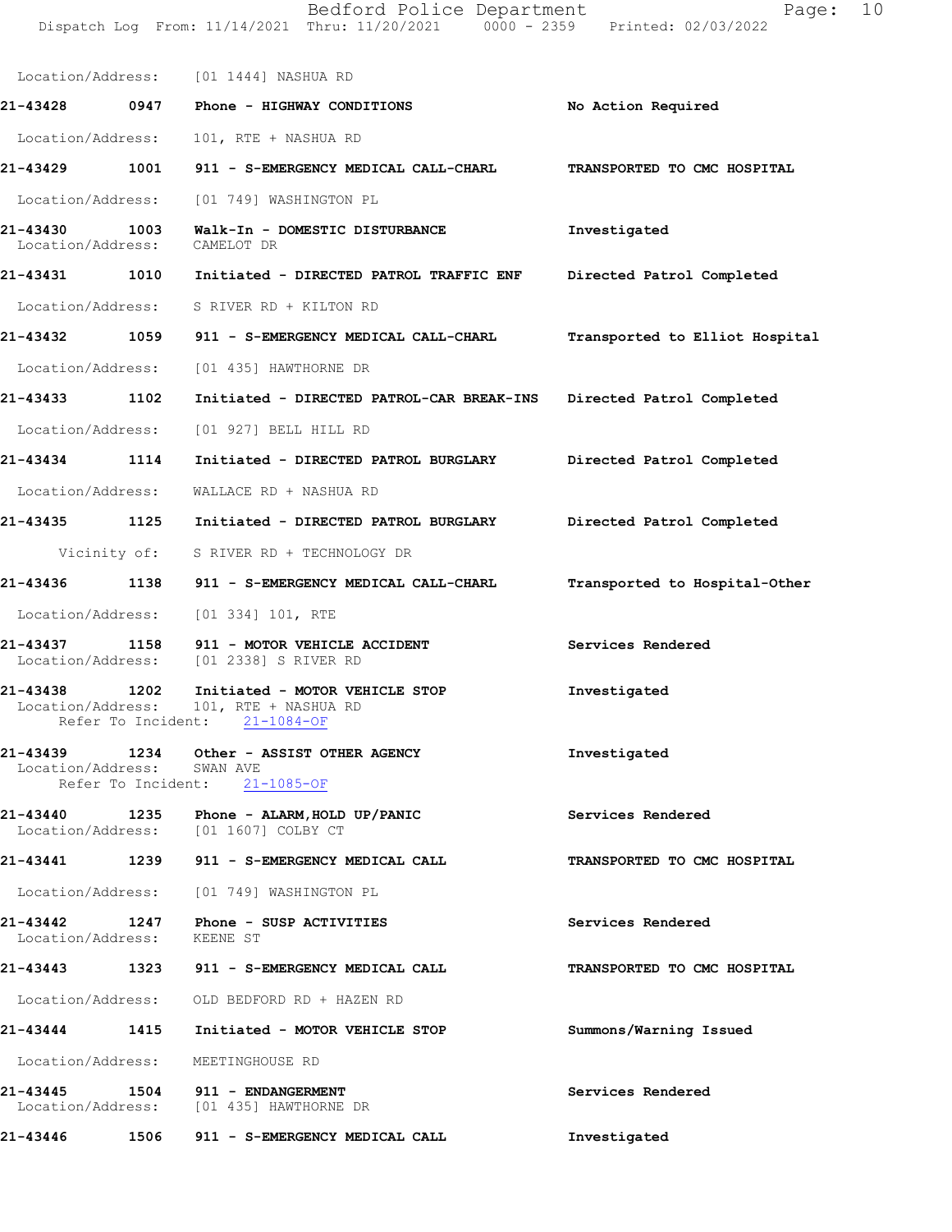Bedford Police Department Page: 10 Dispatch Log From: 11/14/2021 Thru: 11/20/2021 0000 - 2359 Printed: 02/03/2022

Location/Address: [01 1444] NASHUA RD 21-43428 0947 Phone - HIGHWAY CONDITIONS No Action Required Location/Address: 101, RTE + NASHUA RD 21-43429 1001 911 - S-EMERGENCY MEDICAL CALL-CHARL TRANSPORTED TO CMC HOSPITAL Location/Address: [01 749] WASHINGTON PL 21-43430 1003 Walk-In - DOMESTIC DISTURBANCE Investigated Location/Address: CAMELOT DR Location/Address: 21-43431 1010 Initiated - DIRECTED PATROL TRAFFIC ENF Directed Patrol Completed Location/Address: S RIVER RD + KILTON RD 21-43432 1059 911 - S-EMERGENCY MEDICAL CALL-CHARL Transported to Elliot Hospital Location/Address: [01 435] HAWTHORNE DR 21-43433 1102 Initiated - DIRECTED PATROL-CAR BREAK-INS Directed Patrol Completed Location/Address: [01 927] BELL HILL RD 21-43434 1114 Initiated - DIRECTED PATROL BURGLARY Directed Patrol Completed Location/Address: WALLACERD + NASHUARD 21-43435 1125 Initiated - DIRECTED PATROL BURGLARY Directed Patrol Completed Vicinity of: S RIVER RD + TECHNOLOGY DR 21-43436 1138 911 - S-EMERGENCY MEDICAL CALL-CHARL Transported to Hospital-Other Location/Address: [01 334] 101, RTE 21-43437 1158 911 - MOTOR VEHICLE ACCIDENT Services Rendered Location/Address: [01 2338] S RIVER RD [01 2338] S RIVER RD 21-43438 1202 Initiated - MOTOR VEHICLE STOP Investigated Location/Address: 101, RTE + NASHUA RD Refer To Incident: 21-1084-OF 21-43439 1234 Other - ASSIST OTHER AGENCY **Investigated** Location/Address: SWAN AVE Refer To Incident: 21-1085-OF 21-43440 1235 Phone - ALARM,HOLD UP/PANIC Services Rendered Location/Address: [01 1607] COLBY CT 21-43441 1239 911 - S-EMERGENCY MEDICAL CALL **TRANSPORTED TO CMC HOSPITAL** Location/Address: [01 749] WASHINGTON PL 21-43442 1247 Phone - SUSP ACTIVITIES Services Rendered Location/Address: KEENE ST 21-43443 1323 911 - S-EMERGENCY MEDICAL CALL TRANSPORTED TO CMC HOSPITAL Location/Address: OLD BEDFORD RD + HAZEN RD 21-43444 1415 Initiated - MOTOR VEHICLE STOP Summons/Warning Issued Location/Address: MEETINGHOUSE RD 21-43445 1504 911 - ENDANGERMENT Services Rendered Location/Address: [01 435] HAWTHORNE DR 21-43446 1506 911 - S-EMERGENCY MEDICAL CALL 1nvestigated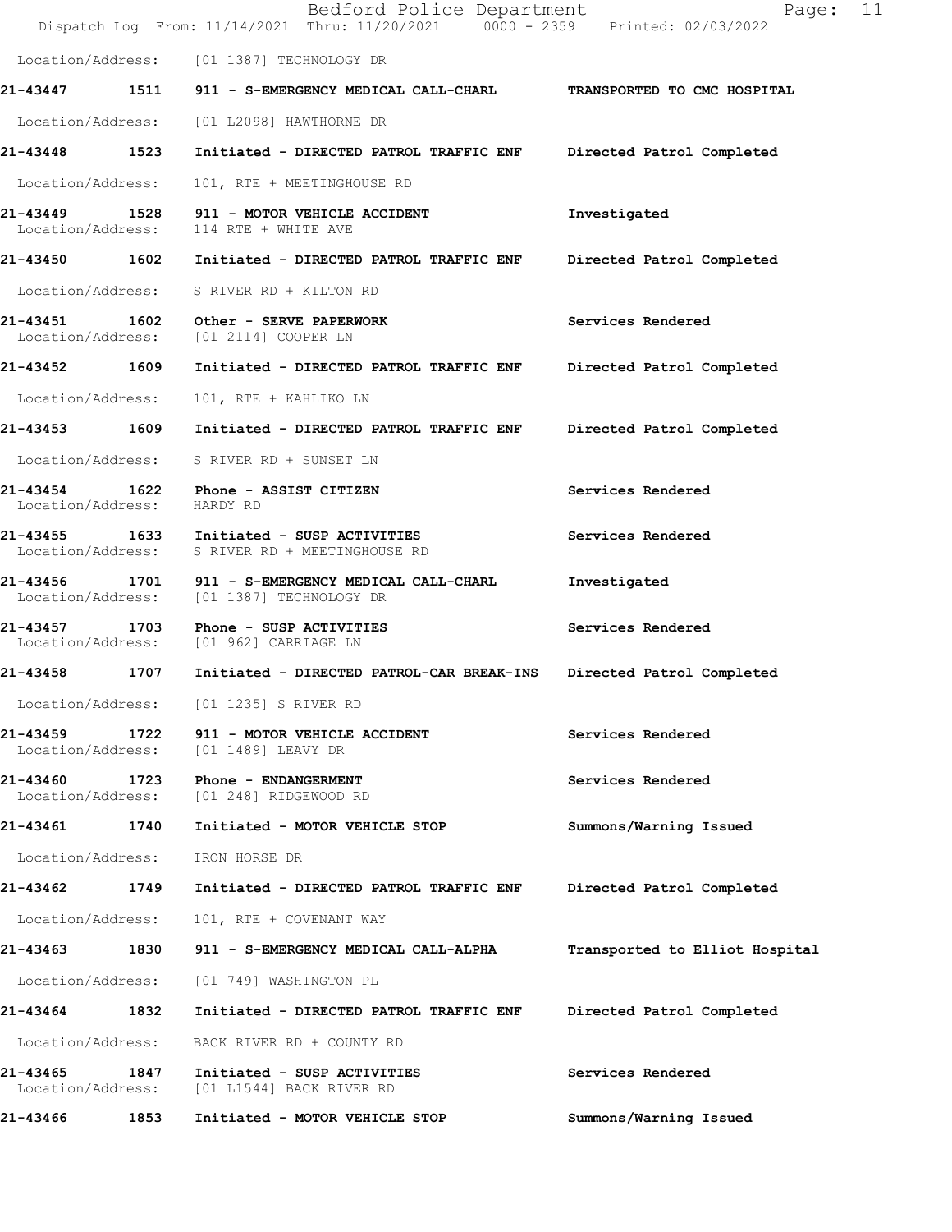|                               |      | Bedford Police Department<br>Dispatch Log From: 11/14/2021 Thru: 11/20/2021 0000 - 2359 Printed: 02/03/2022 | Page: 11                       |
|-------------------------------|------|-------------------------------------------------------------------------------------------------------------|--------------------------------|
|                               |      | Location/Address: [01 1387] TECHNOLOGY DR                                                                   |                                |
|                               |      | 21-43447 1511 911 - S-EMERGENCY MEDICAL CALL-CHARL                                                          | TRANSPORTED TO CMC HOSPITAL    |
|                               |      | Location/Address: [01 L2098] HAWTHORNE DR                                                                   |                                |
| 21-43448 1523                 |      | Initiated - DIRECTED PATROL TRAFFIC ENF Directed Patrol Completed                                           |                                |
| Location/Address:             |      | 101, RTE + MEETINGHOUSE RD                                                                                  |                                |
| Location/Address:             |      | 21-43449 1528 911 - MOTOR VEHICLE ACCIDENT<br>114 RTE + WHITE AVE                                           | Investigated                   |
|                               |      | 21-43450  1602  Initiated - DIRECTED PATROL TRAFFIC ENF                                                     | Directed Patrol Completed      |
|                               |      | Location/Address: S RIVER RD + KILTON RD                                                                    |                                |
|                               |      | 21-43451 1602 Other - SERVE PAPERWORK<br>Location/Address: [01 2114] COOPER LN                              | Services Rendered              |
| 21-43452 1609                 |      | Initiated - DIRECTED PATROL TRAFFIC ENF Directed Patrol Completed                                           |                                |
| Location/Address:             |      | 101, RTE + KAHLIKO LN                                                                                       |                                |
|                               |      | 21-43453 1609 Initiated - DIRECTED PATROL TRAFFIC ENF                                                       | Directed Patrol Completed      |
|                               |      | Location/Address: S RIVER RD + SUNSET LN                                                                    |                                |
| Location/Address: HARDY RD    |      | 21-43454 1622 Phone - ASSIST CITIZEN                                                                        | Services Rendered              |
|                               |      | 21-43455 1633 Initiated - SUSP ACTIVITIES<br>Location/Address: S RIVER RD + MEETINGHOUSE RD                 | Services Rendered              |
| Location/Address:             |      | 21-43456 1701 911 - S-EMERGENCY MEDICAL CALL-CHARL<br>[01 1387] TECHNOLOGY DR                               | Investigated                   |
|                               |      | 21-43457 1703 Phone - SUSP ACTIVITIES<br>Location/Address: [01 962] CARRIAGE LN                             | Services Rendered              |
|                               |      | 21-43458 1707 Initiated - DIRECTED PATROL-CAR BREAK-INS                                                     | Directed Patrol Completed      |
| Location/Address:             |      | [01 1235] S RIVER RD                                                                                        |                                |
| 21-43459<br>Location/Address: | 1722 | 911 - MOTOR VEHICLE ACCIDENT<br>[01 1489] LEAVY DR                                                          | Services Rendered              |
| 21-43460<br>Location/Address: | 1723 | Phone - ENDANGERMENT<br>[01 248] RIDGEWOOD RD                                                               | Services Rendered              |
| 21-43461 1740                 |      | Initiated - MOTOR VEHICLE STOP                                                                              | Summons/Warning Issued         |
| Location/Address:             |      | IRON HORSE DR                                                                                               |                                |
| 21-43462                      | 1749 | Initiated - DIRECTED PATROL TRAFFIC ENF                                                                     | Directed Patrol Completed      |
| Location/Address:             |      | 101, RTE + COVENANT WAY                                                                                     |                                |
| 21-43463                      | 1830 | 911 - S-EMERGENCY MEDICAL CALL-ALPHA                                                                        | Transported to Elliot Hospital |
| Location/Address:             |      | [01 749] WASHINGTON PL                                                                                      |                                |
| 21-43464 1832                 |      | Initiated - DIRECTED PATROL TRAFFIC ENF                                                                     | Directed Patrol Completed      |
| Location/Address:             |      | BACK RIVER RD + COUNTY RD                                                                                   |                                |
| 21-43465<br>Location/Address: | 1847 | Initiated - SUSP ACTIVITIES<br>[01 L1544] BACK RIVER RD                                                     | Services Rendered              |
| 21-43466                      | 1853 | Initiated - MOTOR VEHICLE STOP                                                                              | Summons/Warning Issued         |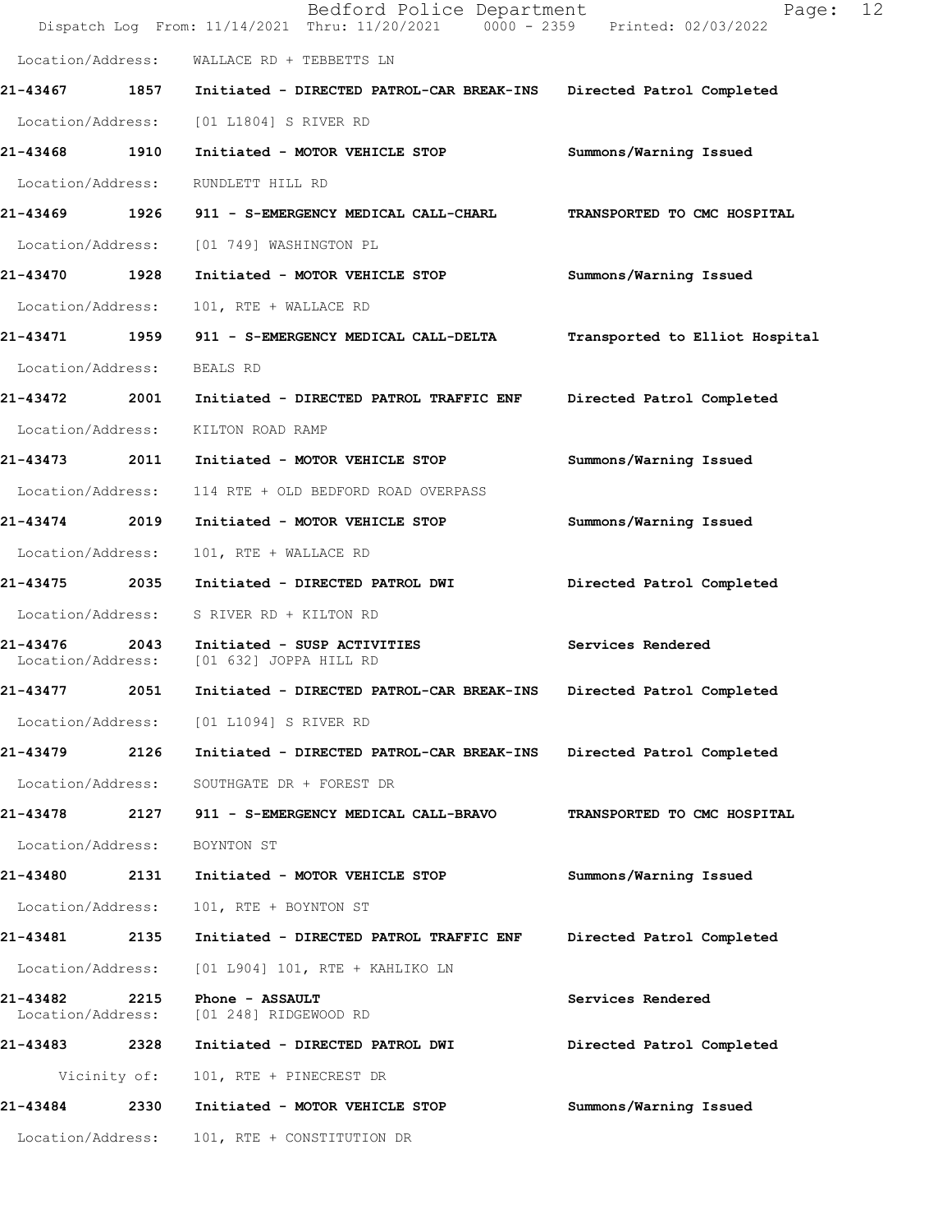|                               |              | Bedford Police Department<br>Dispatch Log From: 11/14/2021 Thru: 11/20/2021 0000 - 2359 Printed: 02/03/2022 | 12<br>Page:                    |
|-------------------------------|--------------|-------------------------------------------------------------------------------------------------------------|--------------------------------|
|                               |              | Location/Address: WALLACE RD + TEBBETTS LN                                                                  |                                |
| 21-43467 1857                 |              | Initiated - DIRECTED PATROL-CAR BREAK-INS Directed Patrol Completed                                         |                                |
| Location/Address:             |              | [01 L1804] S RIVER RD                                                                                       |                                |
| 21-43468                      | 1910         | Initiated - MOTOR VEHICLE STOP                                                                              | Summons/Warning Issued         |
| Location/Address:             |              | RUNDLETT HILL RD                                                                                            |                                |
| 21-43469                      | 1926         | 911 - S-EMERGENCY MEDICAL CALL-CHARL                                                                        | TRANSPORTED TO CMC HOSPITAL    |
| Location/Address:             |              | [01 749] WASHINGTON PL                                                                                      |                                |
| 21-43470 1928                 |              | Initiated - MOTOR VEHICLE STOP                                                                              | Summons/Warning Issued         |
| Location/Address:             |              | 101, RTE + WALLACE RD                                                                                       |                                |
| 21-43471 1959                 |              | 911 - S-EMERGENCY MEDICAL CALL-DELTA                                                                        | Transported to Elliot Hospital |
| Location/Address:             |              | BEALS RD                                                                                                    |                                |
| 21-43472                      | 2001         | Initiated - DIRECTED PATROL TRAFFIC ENF                                                                     | Directed Patrol Completed      |
| Location/Address:             |              | KILTON ROAD RAMP                                                                                            |                                |
| 21-43473 2011                 |              | Initiated - MOTOR VEHICLE STOP                                                                              | Summons/Warning Issued         |
| Location/Address:             |              | 114 RTE + OLD BEDFORD ROAD OVERPASS                                                                         |                                |
| 21-43474 2019                 |              | Initiated - MOTOR VEHICLE STOP                                                                              | Summons/Warning Issued         |
| Location/Address:             |              | 101, RTE + WALLACE RD                                                                                       |                                |
| 21-43475                      | 2035         | Initiated - DIRECTED PATROL DWI                                                                             | Directed Patrol Completed      |
| Location/Address:             |              | S RIVER RD + KILTON RD                                                                                      |                                |
| 21-43476<br>Location/Address: | 2043         | Initiated - SUSP ACTIVITIES<br>[01 632] JOPPA HILL RD                                                       | Services Rendered              |
| 21-43477                      | 2051         | Initiated - DIRECTED PATROL-CAR BREAK-INS                                                                   | Directed Patrol Completed      |
|                               |              | Location/Address: [01 L1094] S RIVER RD                                                                     |                                |
| 21-43479 2126                 |              | Initiated - DIRECTED PATROL-CAR BREAK-INS                                                                   | Directed Patrol Completed      |
| Location/Address:             |              | SOUTHGATE DR + FOREST DR                                                                                    |                                |
| 21-43478                      | 2127         | 911 - S-EMERGENCY MEDICAL CALL-BRAVO                                                                        | TRANSPORTED TO CMC HOSPITAL    |
| Location/Address:             |              | BOYNTON ST                                                                                                  |                                |
| 21-43480                      | 2131         | Initiated - MOTOR VEHICLE STOP                                                                              | Summons/Warning Issued         |
| Location/Address:             |              | 101, RTE + BOYNTON ST                                                                                       |                                |
| 21-43481 2135                 |              | Initiated - DIRECTED PATROL TRAFFIC ENF                                                                     | Directed Patrol Completed      |
| Location/Address:             |              | [01 L904] 101, RTE + KAHLIKO LN                                                                             |                                |
| 21-43482<br>Location/Address: | 2215         | Phone - ASSAULT<br>[01 248] RIDGEWOOD RD                                                                    | Services Rendered              |
| 21-43483                      | 2328         | Initiated - DIRECTED PATROL DWI                                                                             | Directed Patrol Completed      |
|                               | Vicinity of: | 101, RTE + PINECREST DR                                                                                     |                                |
| 21-43484                      | 2330         | Initiated - MOTOR VEHICLE STOP                                                                              | Summons/Warning Issued         |
| Location/Address:             |              | 101, RTE + CONSTITUTION DR                                                                                  |                                |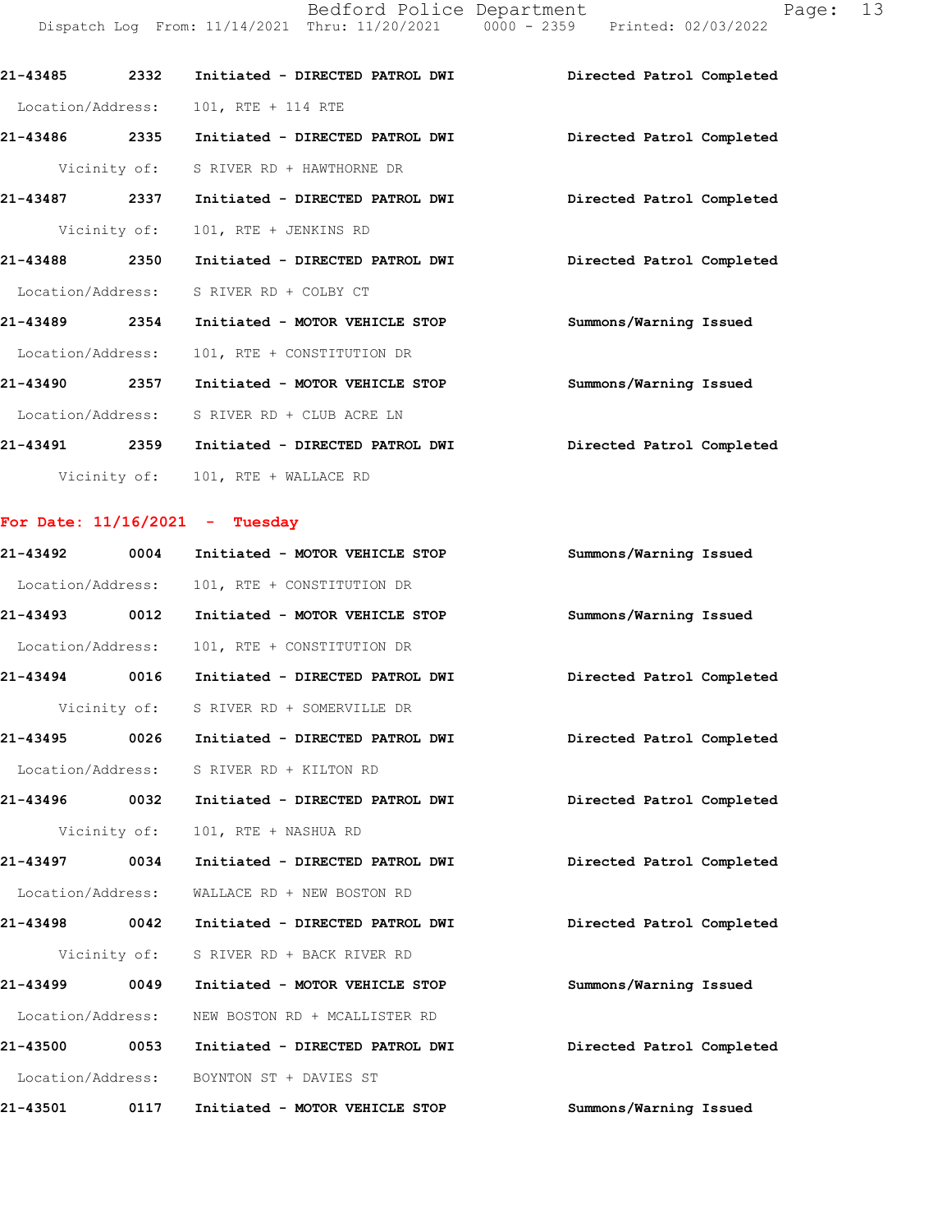Bedford Police Department Page: 13 Dispatch Log From: 11/14/2021 Thru: 11/20/2021 0000 - 2359 Printed: 02/03/2022

| 21-43485          | 2332 | Initiated - DIRECTED PATROL DWI        | Directed Patrol Completed |
|-------------------|------|----------------------------------------|---------------------------|
| Location/Address: |      | 101, RTE + 114 RTE                     |                           |
| 21-43486          | 2335 | Initiated - DIRECTED PATROL DWI        | Directed Patrol Completed |
|                   |      | Vicinity of: S RIVER RD + HAWTHORNE DR |                           |
| 21-43487          | 2337 | Initiated - DIRECTED PATROL DWI        | Directed Patrol Completed |
|                   |      | Vicinity of: 101, RTE + JENKINS RD     |                           |
| 21-43488          | 2350 | Initiated - DIRECTED PATROL DWI        | Directed Patrol Completed |
| Location/Address: |      | S RIVER RD + COLBY CT                  |                           |
| 21-43489          | 2354 | Initiated - MOTOR VEHICLE STOP         | Summons/Warning Issued    |
| Location/Address: |      | 101, RTE + CONSTITUTION DR             |                           |
| 21-43490          | 2357 | Initiated - MOTOR VEHICLE STOP         | Summons/Warning Issued    |
| Location/Address: |      | S RIVER RD + CLUB ACRE LN              |                           |
| 21-43491          | 2359 | Initiated - DIRECTED PATROL DWI        | Directed Patrol Completed |
|                   |      | Vicinity of: 101, RTE + WALLACE RD     |                           |
|                   |      |                                        |                           |

# For Date:  $11/16/2021$  - Tuesday

| 21-43492          | 0004         | Initiated - MOTOR VEHICLE STOP           | Summons/Warning Issued    |
|-------------------|--------------|------------------------------------------|---------------------------|
| Location/Address: |              | 101, RTE + CONSTITUTION DR               |                           |
| 21-43493          | 0012         | Initiated - MOTOR VEHICLE STOP           | Summons/Warning Issued    |
| Location/Address: |              | 101, RTE + CONSTITUTION DR               |                           |
| $21 - 43494$      | 0016         | Initiated - DIRECTED PATROL DWI          | Directed Patrol Completed |
|                   |              | Vicinity of: S RIVER RD + SOMERVILLE DR  |                           |
| 21-43495 0026     |              | Initiated - DIRECTED PATROL DWI          | Directed Patrol Completed |
| Location/Address: |              | S RIVER RD + KILTON RD                   |                           |
| 21-43496 0032     |              | Initiated - DIRECTED PATROL DWI          | Directed Patrol Completed |
|                   | Vicinity of: | 101, RTE + NASHUA RD                     |                           |
| 21-43497 0034     |              | Initiated - DIRECTED PATROL DWI          | Directed Patrol Completed |
| Location/Address: |              | WALLACE RD + NEW BOSTON RD               |                           |
| 21-43498          | 0042         | Initiated - DIRECTED PATROL DWI          | Directed Patrol Completed |
|                   | Vicinity of: | S RIVER RD + BACK RIVER RD               |                           |
| 21-43499 0049     |              | Initiated - MOTOR VEHICLE STOP           | Summons/Warning Issued    |
| Location/Address: |              | NEW BOSTON RD + MCALLISTER RD            |                           |
| 21-43500          | 0053         | Initiated - DIRECTED PATROL DWI          | Directed Patrol Completed |
|                   |              | Location/Address: BOYNTON ST + DAVIES ST |                           |
| 21-43501          | 0117         | Initiated - MOTOR VEHICLE STOP           | Summons/Warning Issued    |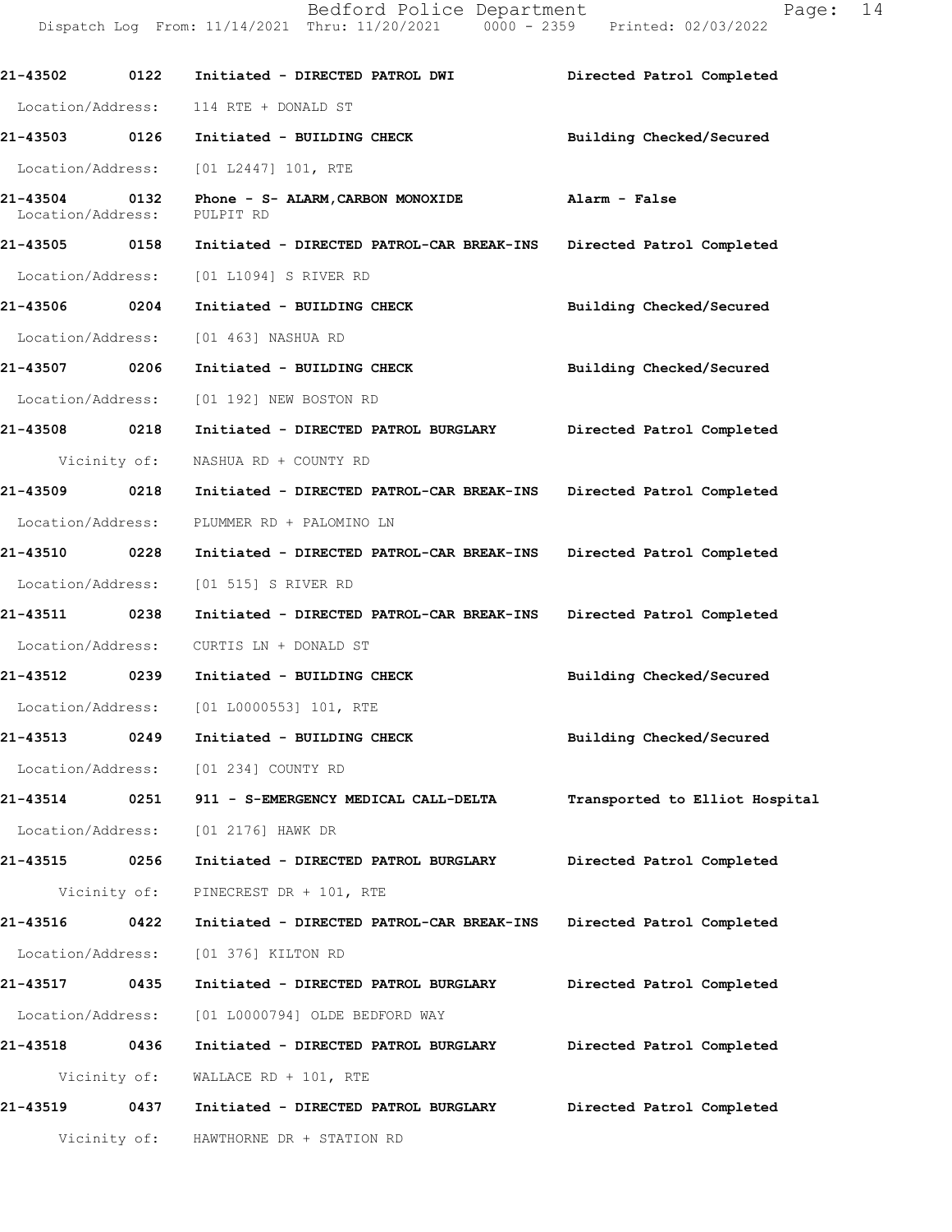Dispatch Log From: 11/14/2021 Thru: 11/20/2021 0000 - 2359 Printed: 02/03/2022 21-43502 0122 Initiated - DIRECTED PATROL DWI Directed Patrol Completed Location/Address: 114 RTE + DONALD ST 21-43503 0126 Initiated - BUILDING CHECK Building Checked/Secured Location/Address: [01 L2447] 101, RTE 21-435040132 Phone-S-ALARM,CARBONMONOXIDE Alarm-False Location/Address: PULPIT RD 21-43505 0158 Initiated - DIRECTED PATROL-CAR BREAK-INS Directed Patrol Completed Location/Address: [01 L1094] S RIVER RD 21-43506 0204 Initiated - BUILDING CHECK Building Checked/Secured Location/Address: [01 463] NASHUA RD 21-43507 0206 Initiated - BUILDING CHECK Building Checked/Secured Location/Address: [01 192] NEW BOSTON RD 21-43508 0218 Initiated - DIRECTED PATROL BURGLARY Directed Patrol Completed Vicinity of: NASHUA RD + COUNTY RD 21-43509 0218 Initiated - DIRECTED PATROL-CAR BREAK-INS Directed Patrol Completed Location/Address: PLUMMER RD + PALOMINO LN 21-43510 0228 Initiated - DIRECTED PATROL-CAR BREAK-INS Directed Patrol Completed Location/Address: [01 515] S RIVER RD 21-43511 0238 Initiated - DIRECTED PATROL-CAR BREAK-INS Directed Patrol Completed Location/Address: CURTIS LN + DONALD ST 21-43512 0239 Initiated - BUILDING CHECK Building Checked/Secured Location/Address: [01 L0000553] 101, RTE 21-43513 0249 Initiated - BUILDING CHECK Building Checked/Secured Location/Address: [01 234] COUNTY RD 21-43514 0251 911 - S-EMERGENCY MEDICAL CALL-DELTA Transported to Elliot Hospital Location/Address: [01 2176] HAWK DR 21-43515 0256 Initiated - DIRECTED PATROL BURGLARY Directed Patrol Completed Vicinity of: PINECREST DR + 101, RTE 21-43516 0422 Initiated - DIRECTED PATROL-CAR BREAK-INS Directed Patrol Completed Location/Address: [01 376] KILTON RD 21-43517 0435 Initiated - DIRECTED PATROL BURGLARY Directed Patrol Completed Location/Address: [01 L0000794] OLDE BEDFORD WAY 21-43518 0436 Initiated - DIRECTED PATROL BURGLARY Directed Patrol Completed Vicinity of: WALLACE RD + 101, RTE 21-43519 0437 Initiated - DIRECTED PATROL BURGLARY Directed Patrol Completed

Vicinity of: HAWTHORNE DR + STATION RD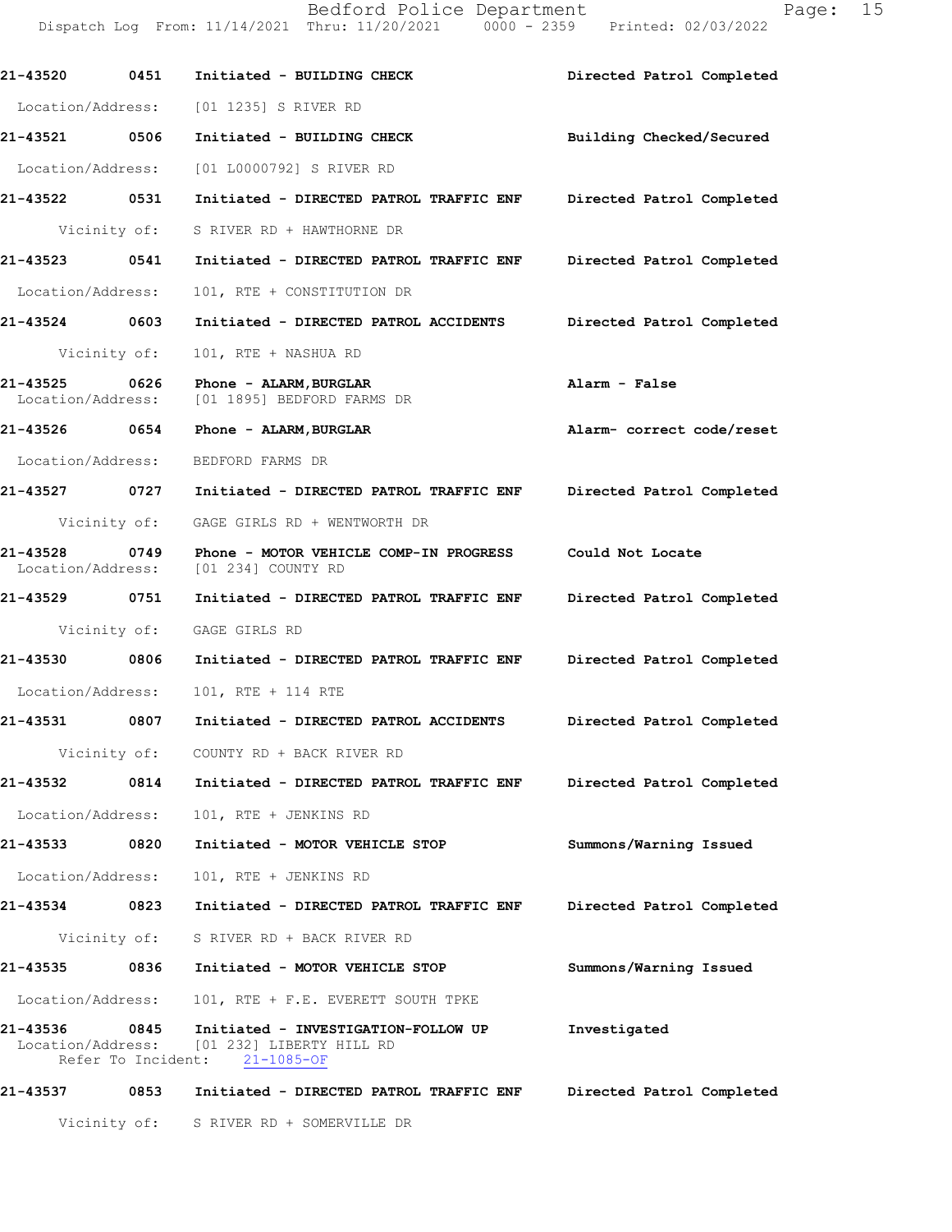|                                    |                    | Dispatch Log From: 11/14/2021 Thru: 11/20/2021 0000 - 2359 Printed: 02/03/2022                        |                           |
|------------------------------------|--------------------|-------------------------------------------------------------------------------------------------------|---------------------------|
| 21-43520                           | 0451               | Initiated - BUILDING CHECK                                                                            | Directed Patrol Completed |
| Location/Address:                  |                    | [01 1235] S RIVER RD                                                                                  |                           |
| 21-43521 0506                      |                    | Initiated - BUILDING CHECK                                                                            | Building Checked/Secured  |
| Location/Address:                  |                    | [01 L0000792] S RIVER RD                                                                              |                           |
| 21-43522 0531                      |                    | Initiated - DIRECTED PATROL TRAFFIC ENF Directed Patrol Completed                                     |                           |
|                                    |                    | Vicinity of: S RIVER RD + HAWTHORNE DR                                                                |                           |
| 21-43523 0541                      |                    | Initiated - DIRECTED PATROL TRAFFIC ENF                                                               | Directed Patrol Completed |
| Location/Address:                  |                    | 101, RTE + CONSTITUTION DR                                                                            |                           |
| 21-43524 0603                      |                    | Initiated - DIRECTED PATROL ACCIDENTS                                                                 | Directed Patrol Completed |
|                                    | Vicinity of:       | 101, RTE + NASHUA RD                                                                                  |                           |
| 21-43525 0626                      |                    | Phone - ALARM, BURGLAR<br>Location/Address: [01 1895] BEDFORD FARMS DR                                | Alarm - False             |
| 21-43526 0654                      |                    | Phone - ALARM, BURGLAR                                                                                | Alarm- correct code/reset |
| Location/Address:                  |                    | BEDFORD FARMS DR                                                                                      |                           |
| 21-43527                           | 0727               | Initiated - DIRECTED PATROL TRAFFIC ENF                                                               | Directed Patrol Completed |
|                                    |                    | Vicinity of: GAGE GIRLS RD + WENTWORTH DR                                                             |                           |
| 21-43528 0749<br>Location/Address: |                    | Phone - MOTOR VEHICLE COMP-IN PROGRESS<br>[01 234] COUNTY RD                                          | Could Not Locate          |
| 21-43529                           | 0751               | Initiated - DIRECTED PATROL TRAFFIC ENF                                                               | Directed Patrol Completed |
|                                    |                    | Vicinity of: GAGE GIRLS RD                                                                            |                           |
| 21-43530                           | 0806               | Initiated - DIRECTED PATROL TRAFFIC ENF                                                               | Directed Patrol Completed |
| Location/Address:                  |                    | 101, RTE + 114 RTE                                                                                    |                           |
| 21-43531                           | 0807               | Initiated - DIRECTED PATROL ACCIDENTS                                                                 | Directed Patrol Completed |
|                                    |                    | Vicinity of: COUNTY RD + BACK RIVER RD                                                                |                           |
| 21-43532                           | 0814               | Initiated - DIRECTED PATROL TRAFFIC ENF                                                               | Directed Patrol Completed |
| Location/Address:                  |                    | 101, RTE + JENKINS RD                                                                                 |                           |
| 21-43533                           | 0820               | Initiated - MOTOR VEHICLE STOP                                                                        | Summons/Warning Issued    |
| Location/Address:                  |                    | 101, RTE + JENKINS RD                                                                                 |                           |
| 21-43534                           | 0823               | Initiated - DIRECTED PATROL TRAFFIC ENF                                                               | Directed Patrol Completed |
|                                    |                    | Vicinity of: S RIVER RD + BACK RIVER RD                                                               |                           |
| 21-43535                           |                    | 0836 Initiated - MOTOR VEHICLE STOP                                                                   | Summons/Warning Issued    |
|                                    |                    | Location/Address: 101, RTE + F.E. EVERETT SOUTH TPKE                                                  |                           |
| 21-43536 0845                      | Refer To Incident: | Initiated - INVESTIGATION-FOLLOW UP<br>Location/Address: [01 232] LIBERTY HILL RD<br>$21 - 1085 - OF$ | Investigated              |
| 21-43537                           | 0853               | Initiated - DIRECTED PATROL TRAFFIC ENF                                                               | Directed Patrol Completed |
|                                    |                    | Vicinity of: S RIVER RD + SOMERVILLE DR                                                               |                           |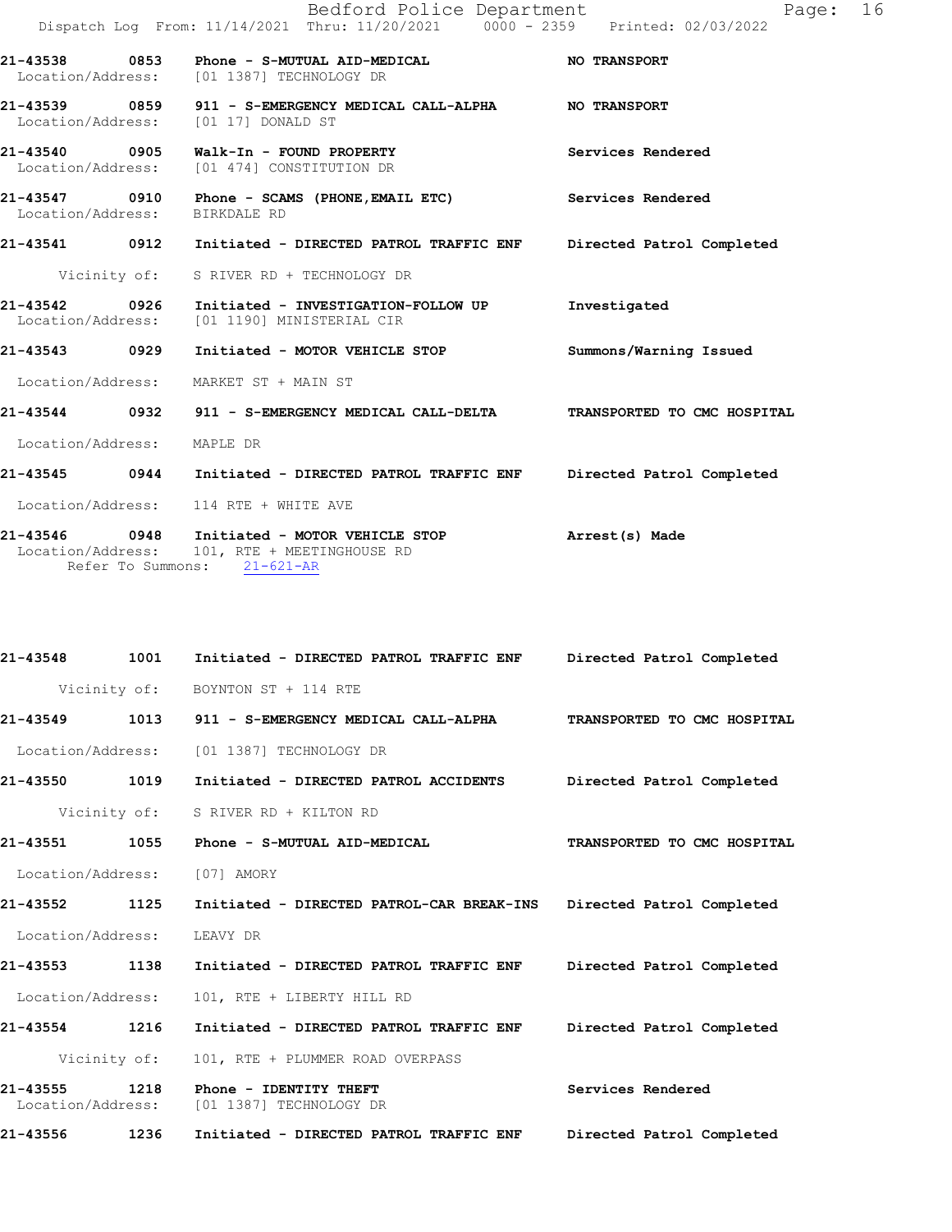|                                       | Bedford Police Department<br>Dispatch Log From: 11/14/2021 Thru: 11/20/2021 0000 - 2359 Printed: 02/03/2022 | 16<br>Page:                 |
|---------------------------------------|-------------------------------------------------------------------------------------------------------------|-----------------------------|
|                                       | Location/Address: [01 1387] TECHNOLOGY DR                                                                   | <b>NO TRANSPORT</b>         |
| 21-43539 0859<br>Location/Address:    | 911 - S-EMERGENCY MEDICAL CALL-ALPHA NO TRANSPORT<br>[01 17] DONALD ST                                      |                             |
| 21-43540                              | 0905 Walk-In - FOUND PROPERTY<br>Location/Address: [01 474] CONSTITUTION DR                                 | Services Rendered           |
| 21-43547 0910<br>Location/Address:    | Phone - SCAMS (PHONE, EMAIL ETC)<br>BIRKDALE RD                                                             | Services Rendered           |
| 21-43541 0912                         | Initiated - DIRECTED PATROL TRAFFIC ENF                                                                     | Directed Patrol Completed   |
| Vicinity of:                          | S RIVER RD + TECHNOLOGY DR                                                                                  |                             |
| 21-43542<br>0926<br>Location/Address: | Initiated - INVESTIGATION-FOLLOW UP<br>[01 1190] MINISTERIAL CIR                                            | Investigated                |
| 21-43543 0929                         | Initiated - MOTOR VEHICLE STOP                                                                              | Summons/Warning Issued      |
| Location/Address:                     | MARKET ST + MAIN ST                                                                                         |                             |
|                                       |                                                                                                             | TRANSPORTED TO CMC HOSPITAL |
| Location/Address:                     | MAPLE DR                                                                                                    |                             |
| 21-43545 0944                         | Initiated - DIRECTED PATROL TRAFFIC ENF Directed Patrol Completed                                           |                             |
| Location/Address:                     | 114 RTE + WHITE AVE                                                                                         |                             |
| Location/Address:                     | 21-43546  0948  Initiated - MOTOR VEHICLE STOP<br>101, RTE + MEETINGHOUSE RD<br>Refer To Summons: 21-621-AR | Arrest(s) Made              |

| 21-43548                      | 1001 | Initiated - DIRECTED PATROL TRAFFIC ENF           | Directed Patrol Completed   |
|-------------------------------|------|---------------------------------------------------|-----------------------------|
|                               |      | Vicinity of: BOYNTON ST + 114 RTE                 |                             |
| 21-43549                      | 1013 | 911 - S-EMERGENCY MEDICAL CALL-ALPHA              | TRANSPORTED TO CMC HOSPITAL |
| Location/Address:             |      | [01 1387] TECHNOLOGY DR                           |                             |
| 21-43550                      | 1019 | Initiated - DIRECTED PATROL ACCIDENTS             | Directed Patrol Completed   |
| Vicinity of:                  |      | S RIVER RD + KILTON RD                            |                             |
| 21-43551                      | 1055 | Phone - S-MUTUAL AID-MEDICAL                      | TRANSPORTED TO CMC HOSPITAL |
| Location/Address:             |      | [07] AMORY                                        |                             |
| 21-43552                      | 1125 | Initiated - DIRECTED PATROL-CAR BREAK-INS         | Directed Patrol Completed   |
| Location/Address:             |      | LEAVY DR                                          |                             |
| 21-43553                      | 1138 | Initiated - DIRECTED PATROL TRAFFIC ENF           | Directed Patrol Completed   |
| Location/Address:             |      | 101, RTE + LIBERTY HILL RD                        |                             |
| 21-43554                      | 1216 | Initiated - DIRECTED PATROL TRAFFIC ENF           | Directed Patrol Completed   |
| Vicinity of:                  |      | 101, RTE + PLUMMER ROAD OVERPASS                  |                             |
| 21-43555<br>Location/Address: | 1218 | Phone - IDENTITY THEFT<br>[01 1387] TECHNOLOGY DR | Services Rendered           |
| 21-43556                      | 1236 | Initiated - DIRECTED PATROL TRAFFIC ENF           | Directed Patrol Completed   |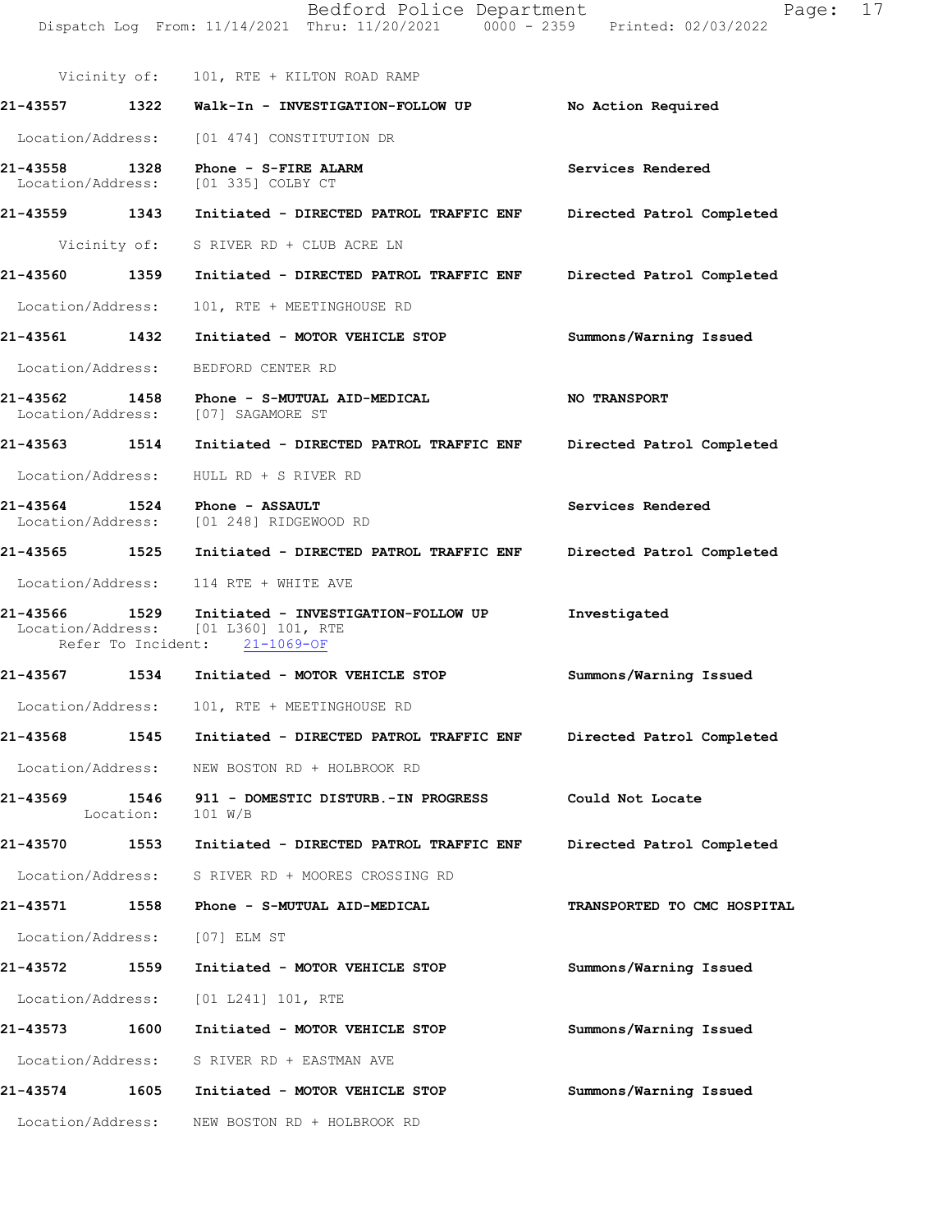Dispatch Log From: 11/14/2021 Thru: 11/20/2021 0000 - 2359 Printed: 02/03/2022 Vicinity of: 101, RTE + KILTON ROAD RAMP 21-43557 1322 Walk-In - INVESTIGATION-FOLLOW UP No Action Required Location/Address: [01 474] CONSTITUTION DR 21-43558 1328 Phone - S-FIREALARM Services Rendered Services Rendered Services Rendered Location/Address: 21-43559 1343 Initiated - DIRECTED PATROL TRAFFIC ENF Directed Patrol Completed Vicinity of: S RIVER RD + CLUB ACRE LN 21-43560 1359 Initiated - DIRECTED PATROL TRAFFIC ENF Directed Patrol Completed Location/Address: 101, RTE + MEETINGHOUSE RD 21-43561 1432 Initiated - MOTOR VEHICLE STOP Summons/Warning Issued Location/Address: BEDFORD CENTER RD 21-43562 1458 Phone - S-MUTUAL AID-MEDICAL NOTRANSPORT Location/Address: [07] SAGAMORE ST 21-43563 1514 Initiated - DIRECTED PATROL TRAFFIC ENF Directed Patrol Completed Location/Address: HULL RD + S RIVER RD 21-43564 1524 Phone - ASSAULT<br>
Location/Address: [01 248] RIDGEWOOD RD [01 248] RIDGEWOOD RD 21-43565 1525 Initiated - DIRECTED PATROL TRAFFICENF Directed Patrol Completed Location/Address: 114 RTE + WHITE AVE 21-43566 1529 Initiated - INVESTIGATION-FOLLOWUP Investigated<br>Location/Address: [01 L360] 101, RTE Location/Address: [01 L360] 101, R<br>Refer To Incident: 21-1069-OF Refer To Incident: 21-43567 1534 Initiated - MOTOR VEHICLE STOP Summons/Warning Issued Location/Address: 101, RTE + MEETINGHOUSE RD 21-43568 1545 Initiated - DIRECTED PATROL TRAFFICENF Directed Patrol Completed Location/Address: NEW BOSTON RD + HOLBROOK RD 21-43569 1546 911 - DOMESTIC DISTURB.-IN PROGRESS Could Not Locate Location: 101 W/B 21-43570 1553 Initiated - DIRECTED PATROL TRAFFIC ENF Directed Patrol Completed Location/Address: S RIVER RD + MOORES CROSSING RD 21-43571 1558 Phone - S-MUTUAL AID-MEDICAL TRANSPORTED TO CMC HOSPITAL Location/Address: [07] ELM ST 21-43572 1559 Initiated - MOTOR VEHICLE STOP Summons/Warning Issued Location/Address: [01 L241] 101, RTE 21-43573 1600 Initiated - MOTOR VEHICLE STOP Summons/Warning Issued Location/Address: S RIVER RD + EASTMAN AVE 21-43574 1605 Initiated - MOTOR VEHICLE STOP Summons/Warning Issued Location/Address: NEW BOSTON RD + HOLBROOK RD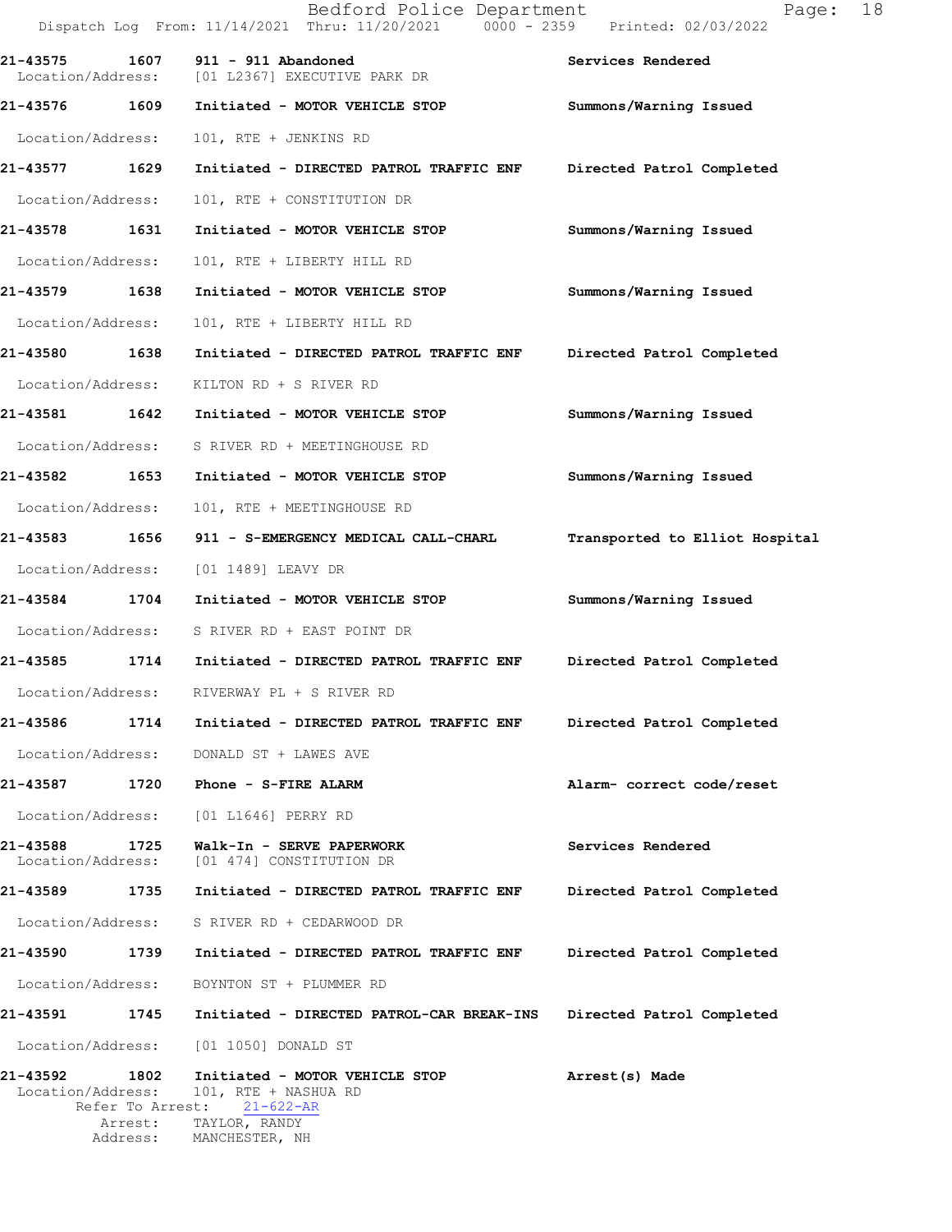|                   |                                               | Bedford Police Department<br>Dispatch Log From: 11/14/2021 Thru: 11/20/2021 0000 - 2359 Printed: 02/03/2022 | 18<br>Page:                    |  |
|-------------------|-----------------------------------------------|-------------------------------------------------------------------------------------------------------------|--------------------------------|--|
| 21-43575          | 1607<br>Location/Address:                     | 911 - 911 Abandoned<br>[01 L2367] EXECUTIVE PARK DR                                                         | Services Rendered              |  |
| 21-43576 1609     |                                               | Initiated - MOTOR VEHICLE STOP                                                                              | Summons/Warning Issued         |  |
| Location/Address: |                                               | 101, RTE + JENKINS RD                                                                                       |                                |  |
| 21-43577 1629     |                                               | Initiated - DIRECTED PATROL TRAFFIC ENF                                                                     | Directed Patrol Completed      |  |
| Location/Address: |                                               | 101, RTE + CONSTITUTION DR                                                                                  |                                |  |
| 21-43578          | 1631                                          | Initiated - MOTOR VEHICLE STOP                                                                              | Summons/Warning Issued         |  |
|                   | Location/Address:                             | 101, RTE + LIBERTY HILL RD                                                                                  |                                |  |
| 21-43579 1638     |                                               | Initiated - MOTOR VEHICLE STOP                                                                              | Summons/Warning Issued         |  |
| Location/Address: |                                               | 101, RTE + LIBERTY HILL RD                                                                                  |                                |  |
| 21-43580 1638     |                                               | Initiated - DIRECTED PATROL TRAFFIC ENF                                                                     | Directed Patrol Completed      |  |
|                   | Location/Address:                             | KILTON RD + S RIVER RD                                                                                      |                                |  |
| 21-43581          | 1642                                          | Initiated - MOTOR VEHICLE STOP                                                                              | Summons/Warning Issued         |  |
|                   | Location/Address:                             | S RIVER RD + MEETINGHOUSE RD                                                                                |                                |  |
| 21-43582          | 1653                                          | Initiated - MOTOR VEHICLE STOP                                                                              | Summons/Warning Issued         |  |
| Location/Address: |                                               | 101, RTE + MEETINGHOUSE RD                                                                                  |                                |  |
| 21-43583 1656     |                                               | 911 - S-EMERGENCY MEDICAL CALL-CHARL                                                                        | Transported to Elliot Hospital |  |
|                   | Location/Address:                             | [01 1489] LEAVY DR                                                                                          |                                |  |
| 21-43584          | 1704                                          | Initiated - MOTOR VEHICLE STOP                                                                              | Summons/Warning Issued         |  |
|                   |                                               | Location/Address: S RIVER RD + EAST POINT DR                                                                |                                |  |
| 21-43585          | 1714                                          | Initiated - DIRECTED PATROL TRAFFIC ENF                                                                     | Directed Patrol Completed      |  |
| Location/Address: |                                               | RIVERWAY PL + S RIVER RD                                                                                    |                                |  |
| 21-43586          | 1714                                          | Initiated - DIRECTED PATROL TRAFFIC ENF                                                                     | Directed Patrol Completed      |  |
|                   | Location/Address:                             | DONALD ST + LAWES AVE                                                                                       |                                |  |
| 21-43587          | 1720                                          | Phone - S-FIRE ALARM                                                                                        | Alarm- correct code/reset      |  |
|                   | Location/Address:                             | [01 L1646] PERRY RD                                                                                         |                                |  |
| 21-43588          | 1725<br>Location/Address:                     | Walk-In - SERVE PAPERWORK<br>[01 474] CONSTITUTION DR                                                       | Services Rendered              |  |
| 21-43589          | 1735                                          | Initiated - DIRECTED PATROL TRAFFIC ENF                                                                     | Directed Patrol Completed      |  |
|                   | Location/Address:                             | S RIVER RD + CEDARWOOD DR                                                                                   |                                |  |
| 21-43590          | 1739                                          | Initiated - DIRECTED PATROL TRAFFIC ENF                                                                     | Directed Patrol Completed      |  |
| Location/Address: |                                               | BOYNTON ST + PLUMMER RD                                                                                     |                                |  |
| 21-43591 1745     |                                               | Initiated - DIRECTED PATROL-CAR BREAK-INS                                                                   | Directed Patrol Completed      |  |
|                   | Location/Address:                             | [01 1050] DONALD ST                                                                                         |                                |  |
| 21-43592          | 1802<br>Location/Address:<br>Refer To Arrest: | Initiated - MOTOR VEHICLE STOP<br>101, RTE + NASHUA RD<br>$21 - 622 - AR$                                   | Arrest(s) Made                 |  |
|                   | Arrest:<br>Address:                           | TAYLOR, RANDY<br>MANCHESTER, NH                                                                             |                                |  |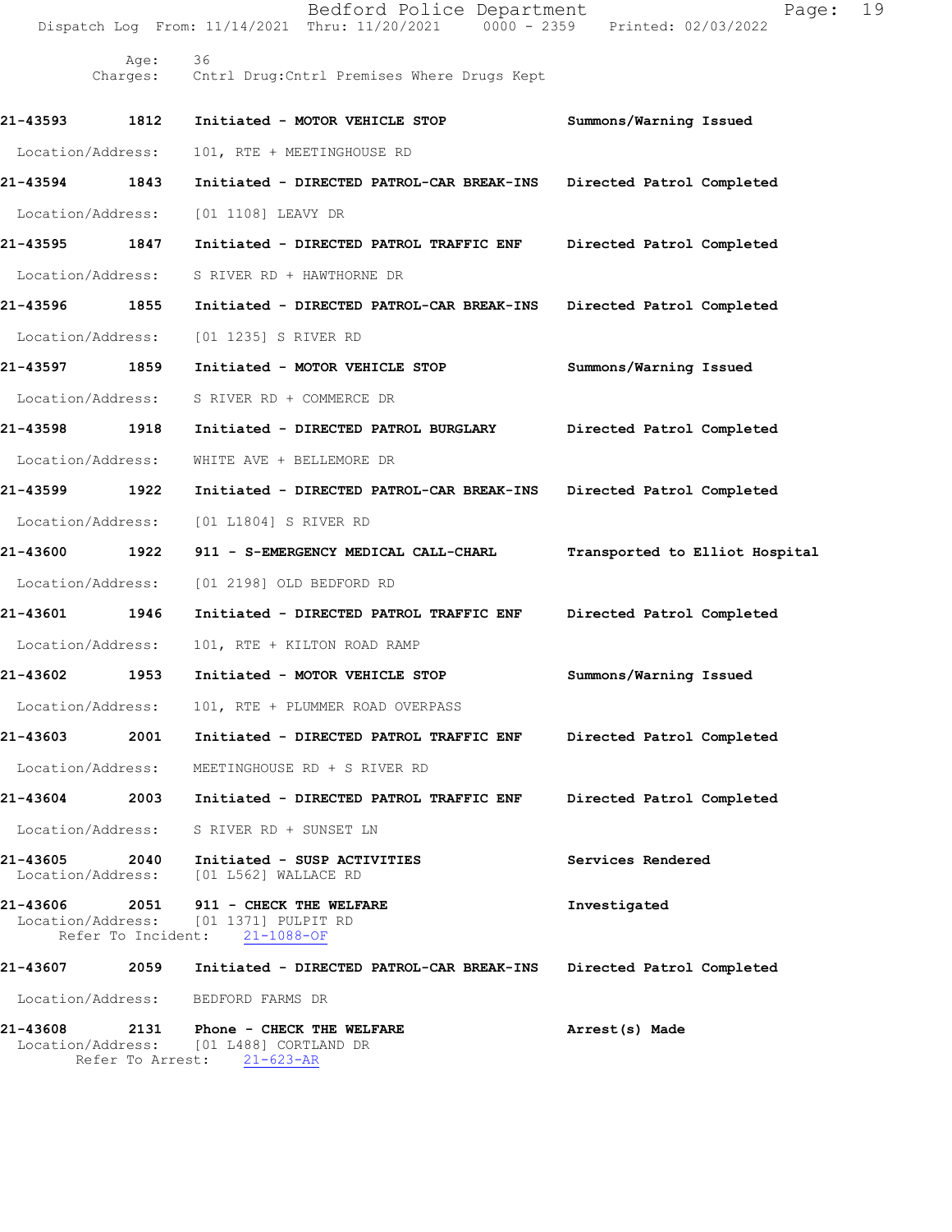|                               |                          | Bedford Police Department<br>Dispatch Log From: 11/14/2021 Thru: 11/20/2021 0000 - 2359 Printed: 02/03/2022 | Page:                          | 19 |
|-------------------------------|--------------------------|-------------------------------------------------------------------------------------------------------------|--------------------------------|----|
|                               | Age:                     | 36<br>Charges: Cntrl Drug: Cntrl Premises Where Drugs Kept                                                  |                                |    |
| 21-43593                      | 1812                     | Initiated - MOTOR VEHICLE STOP                                                                              | Summons/Warning Issued         |    |
| Location/Address:             |                          | 101, RTE + MEETINGHOUSE RD                                                                                  |                                |    |
| 21-43594                      | 1843                     | Initiated - DIRECTED PATROL-CAR BREAK-INS                                                                   | Directed Patrol Completed      |    |
| Location/Address:             |                          | [01 1108] LEAVY DR                                                                                          |                                |    |
| 21-43595                      | 1847                     | Initiated - DIRECTED PATROL TRAFFIC ENF                                                                     | Directed Patrol Completed      |    |
| Location/Address:             |                          | S RIVER RD + HAWTHORNE DR                                                                                   |                                |    |
| 21-43596                      | 1855                     | Initiated - DIRECTED PATROL-CAR BREAK-INS                                                                   | Directed Patrol Completed      |    |
| Location/Address:             |                          | [01 1235] S RIVER RD                                                                                        |                                |    |
| 21-43597 1859                 |                          | Initiated - MOTOR VEHICLE STOP                                                                              | Summons/Warning Issued         |    |
| Location/Address:             |                          | S RIVER RD + COMMERCE DR                                                                                    |                                |    |
| 21-43598                      | 1918                     | Initiated - DIRECTED PATROL BURGLARY                                                                        | Directed Patrol Completed      |    |
| Location/Address:             |                          | WHITE AVE + BELLEMORE DR                                                                                    |                                |    |
| 21-43599                      | 1922                     | Initiated - DIRECTED PATROL-CAR BREAK-INS                                                                   | Directed Patrol Completed      |    |
| Location/Address:             |                          | [01 L1804] S RIVER RD                                                                                       |                                |    |
| 21-43600 1922                 |                          | 911 - S-EMERGENCY MEDICAL CALL-CHARL                                                                        | Transported to Elliot Hospital |    |
| Location/Address:             |                          | [01 2198] OLD BEDFORD RD                                                                                    |                                |    |
| 21-43601                      | 1946                     | Initiated - DIRECTED PATROL TRAFFIC ENF                                                                     | Directed Patrol Completed      |    |
| Location/Address:             |                          | 101, RTE + KILTON ROAD RAMP                                                                                 |                                |    |
| 21-43602                      | 1953                     | Initiated - MOTOR VEHICLE STOP                                                                              | Summons/Warning Issued         |    |
| Location/Address:             |                          | 101, RTE + PLUMMER ROAD OVERPASS                                                                            |                                |    |
| 21-43603                      | 2001                     | Initiated - DIRECTED PATROL TRAFFIC ENF                                                                     | Directed Patrol Completed      |    |
| Location/Address:             |                          | MEETINGHOUSE RD + S RIVER RD                                                                                |                                |    |
| 21-43604                      | 2003                     | Initiated - DIRECTED PATROL TRAFFIC ENF                                                                     | Directed Patrol Completed      |    |
| Location/Address:             |                          | S RIVER RD + SUNSET LN                                                                                      |                                |    |
| 21-43605<br>Location/Address: |                          | 2040 Initiated - SUSP ACTIVITIES<br>[01 L562] WALLACE RD                                                    | Services Rendered              |    |
| 21-43606                      |                          | 2051 911 - CHECK THE WELFARE<br>Location/Address: [01 1371] PULPIT RD<br>Refer To Incident: 21-1088-OF      | Investigated                   |    |
| 21-43607                      | 2059                     | Initiated - DIRECTED PATROL-CAR BREAK-INS                                                                   | Directed Patrol Completed      |    |
| Location/Address:             |                          | BEDFORD FARMS DR                                                                                            |                                |    |
| 21-43608                      | 2131<br>Refer To Arrest: | Phone - CHECK THE WELFARE<br>Location/Address: [01 L488] CORTLAND DR<br>$21 - 623 - AR$                     | Arrest(s) Made                 |    |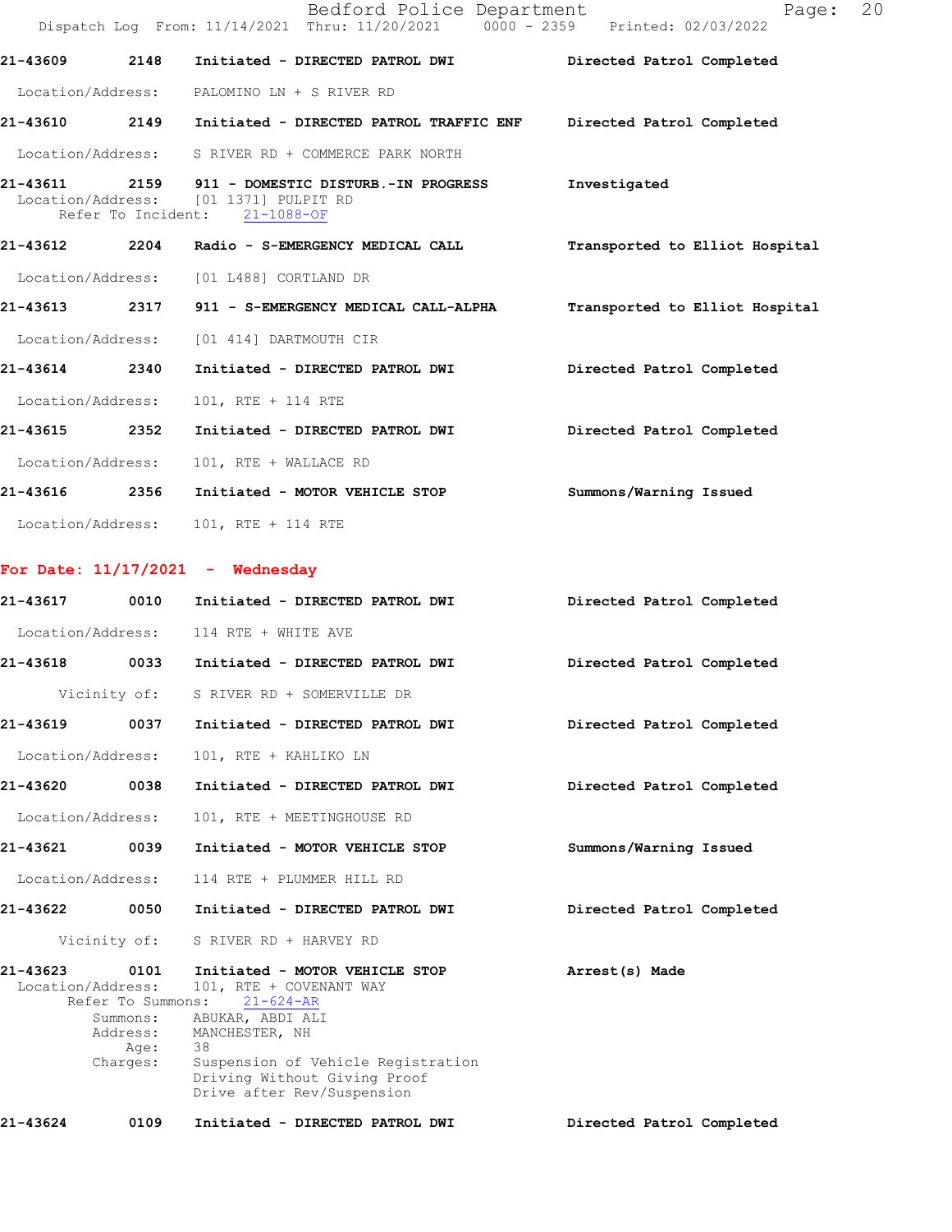|                               |                                                                       | Bedford Police Department<br>Dispatch Log From: 11/14/2021 Thru: 11/20/2021 0000 - 2359 Printed: 02/03/2022                                                                                                                  | Page:                          | 20 |
|-------------------------------|-----------------------------------------------------------------------|------------------------------------------------------------------------------------------------------------------------------------------------------------------------------------------------------------------------------|--------------------------------|----|
| 21-43609                      | 2148                                                                  | Initiated - DIRECTED PATROL DWI Directed Patrol Completed                                                                                                                                                                    |                                |    |
|                               |                                                                       | Location/Address: PALOMINO LN + S RIVER RD                                                                                                                                                                                   |                                |    |
|                               |                                                                       | 21-43610 2149 Initiated - DIRECTED PATROL TRAFFIC ENF Directed Patrol Completed                                                                                                                                              |                                |    |
|                               |                                                                       | Location/Address: S RIVER RD + COMMERCE PARK NORTH                                                                                                                                                                           |                                |    |
|                               |                                                                       | 21-43611 2159 911 - DOMESTIC DISTURB.-IN PROGRESS<br>Location/Address: [01 1371] PULPIT RD<br>Refer To Incident: 21-1088-OF                                                                                                  | Investigated                   |    |
|                               |                                                                       |                                                                                                                                                                                                                              | Transported to Elliot Hospital |    |
|                               |                                                                       | Location/Address: [01 L488] CORTLAND DR                                                                                                                                                                                      |                                |    |
|                               |                                                                       | 21-43613   2317   911 - S-EMERGENCY MEDICAL CALL-ALPHA                                                                                                                                                                       | Transported to Elliot Hospital |    |
|                               |                                                                       | Location/Address: [01 414] DARTMOUTH CIR                                                                                                                                                                                     |                                |    |
| 21-43614 2340                 |                                                                       | Initiated - DIRECTED PATROL DWI                                                                                                                                                                                              | Directed Patrol Completed      |    |
| Location/Address:             |                                                                       | 101, RTE + 114 RTE                                                                                                                                                                                                           |                                |    |
| 21-43615 2352                 |                                                                       | Initiated - DIRECTED PATROL DWI                                                                                                                                                                                              | Directed Patrol Completed      |    |
| Location/Address:             |                                                                       | 101, RTE + WALLACE RD                                                                                                                                                                                                        |                                |    |
|                               |                                                                       | 21-43616 2356 Initiated - MOTOR VEHICLE STOP                                                                                                                                                                                 | Summons/Warning Issued         |    |
|                               |                                                                       | Location/Address: 101, RTE + 114 RTE                                                                                                                                                                                         |                                |    |
|                               |                                                                       | For Date: $11/17/2021$ - Wednesday                                                                                                                                                                                           |                                |    |
|                               |                                                                       | 21-43617 0010 Initiated - DIRECTED PATROL DWI Directed Patrol Completed                                                                                                                                                      |                                |    |
|                               |                                                                       | Location/Address: 114 RTE + WHITE AVE                                                                                                                                                                                        |                                |    |
|                               |                                                                       | 21-43618 0033 Initiated - DIRECTED PATROL DWI                                                                                                                                                                                | Directed Patrol Completed      |    |
|                               | Vicinity of:                                                          | S RIVER RD + SOMERVILLE DR                                                                                                                                                                                                   |                                |    |
| 21-43619                      | 0037                                                                  | Initiated - DIRECTED PATROL DWI                                                                                                                                                                                              | Directed Patrol Completed      |    |
| Location/Address:             |                                                                       | 101, RTE + KAHLIKO LN                                                                                                                                                                                                        |                                |    |
| 21-43620                      | 0038                                                                  | Initiated - DIRECTED PATROL DWI                                                                                                                                                                                              | Directed Patrol Completed      |    |
| Location/Address:             |                                                                       | 101, RTE + MEETINGHOUSE RD                                                                                                                                                                                                   |                                |    |
| 21-43621                      | 0039                                                                  | Initiated - MOTOR VEHICLE STOP                                                                                                                                                                                               | Summons/Warning Issued         |    |
| Location/Address:             |                                                                       | 114 RTE + PLUMMER HILL RD                                                                                                                                                                                                    |                                |    |
| 21-43622                      | 0050                                                                  | Initiated - DIRECTED PATROL DWI                                                                                                                                                                                              | Directed Patrol Completed      |    |
|                               | Vicinity of:                                                          | S RIVER RD + HARVEY RD                                                                                                                                                                                                       |                                |    |
| 21-43623<br>Location/Address: | 0101<br>Refer To Summons:<br>Summons:<br>Address:<br>Age:<br>Charges: | Initiated - MOTOR VEHICLE STOP<br>101, RTE + COVENANT WAY<br>$21 - 624 - AR$<br>ABUKAR, ABDI ALI<br>MANCHESTER, NH<br>38<br>Suspension of Vehicle Registration<br>Driving Without Giving Proof<br>Drive after Rev/Suspension | Arrest(s) Made                 |    |
| 21-43624                      | 0109                                                                  | Initiated - DIRECTED PATROL DWI                                                                                                                                                                                              | Directed Patrol Completed      |    |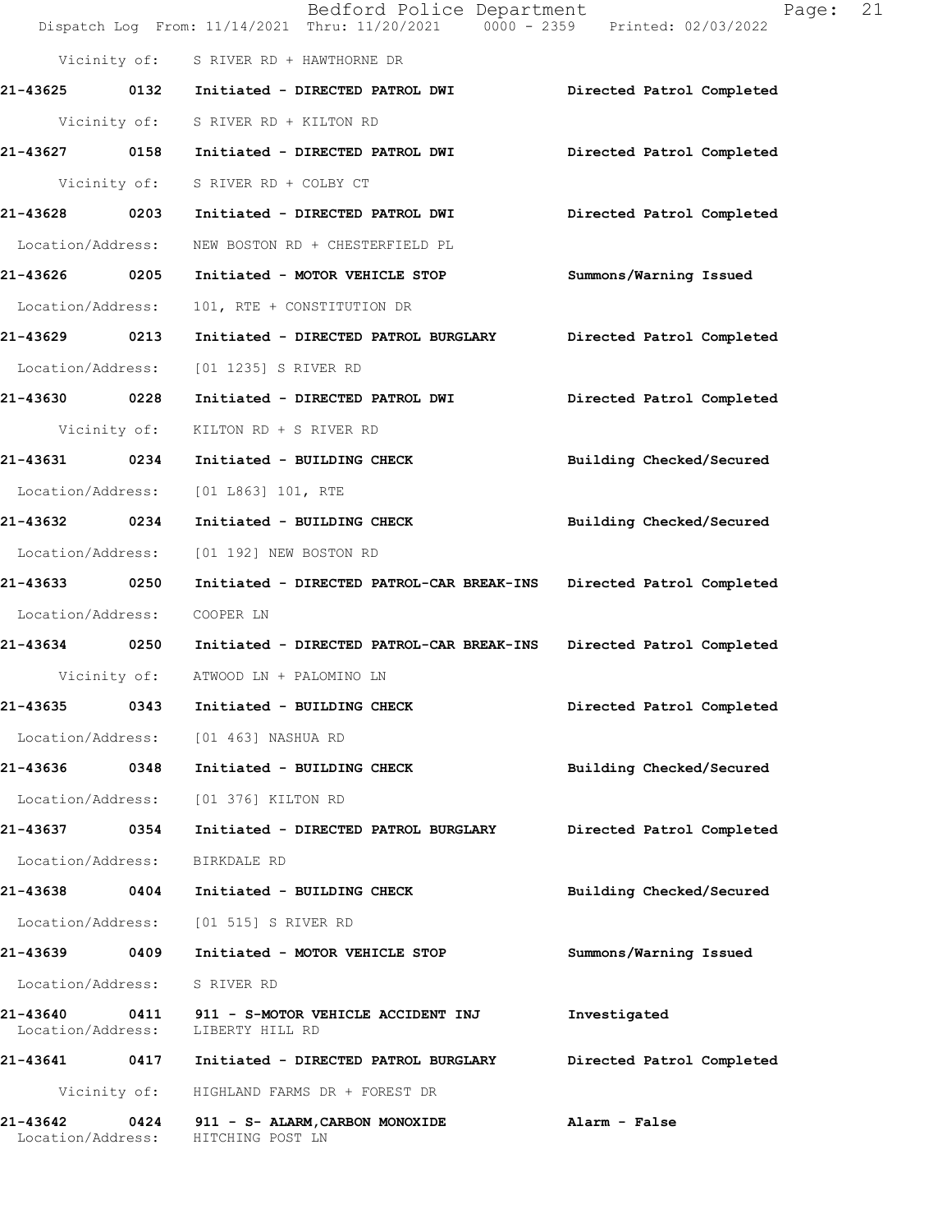|                                       | Bedford Police Department<br>Dispatch Log From: 11/14/2021 Thru: 11/20/2021 0000 - 2359 Printed: 02/03/2022 | 21<br>Page:               |
|---------------------------------------|-------------------------------------------------------------------------------------------------------------|---------------------------|
|                                       | Vicinity of: S RIVER RD + HAWTHORNE DR                                                                      |                           |
|                                       |                                                                                                             | Directed Patrol Completed |
|                                       | Vicinity of: S RIVER RD + KILTON RD                                                                         |                           |
| 21-43627 0158                         | Initiated - DIRECTED PATROL DWI                                                                             | Directed Patrol Completed |
| Vicinity of:                          | S RIVER RD + COLBY CT                                                                                       |                           |
| 21-43628 0203                         | Initiated - DIRECTED PATROL DWI                                                                             | Directed Patrol Completed |
| Location/Address:                     | NEW BOSTON RD + CHESTERFIELD PL                                                                             |                           |
| 21-43626 0205                         | Initiated - MOTOR VEHICLE STOP                                                                              | Summons/Warning Issued    |
| Location/Address:                     | 101, RTE + CONSTITUTION DR                                                                                  |                           |
| 21-43629<br>0213                      | Initiated - DIRECTED PATROL BURGLARY                                                                        | Directed Patrol Completed |
| Location/Address:                     | [01 1235] S RIVER RD                                                                                        |                           |
| 21-43630 0228                         | Initiated - DIRECTED PATROL DWI                                                                             | Directed Patrol Completed |
| Vicinity of:                          | KILTON RD + S RIVER RD                                                                                      |                           |
| 21-43631 0234                         | Initiated - BUILDING CHECK                                                                                  | Building Checked/Secured  |
| Location/Address:                     | [01 L863] 101, RTE                                                                                          |                           |
| 21-43632 0234                         | Initiated - BUILDING CHECK                                                                                  | Building Checked/Secured  |
| Location/Address:                     | [01 192] NEW BOSTON RD                                                                                      |                           |
| 21-43633 0250                         | Initiated - DIRECTED PATROL-CAR BREAK-INS                                                                   | Directed Patrol Completed |
| Location/Address:                     | COOPER LN                                                                                                   |                           |
| 21-43634 0250                         | Initiated - DIRECTED PATROL-CAR BREAK-INS                                                                   | Directed Patrol Completed |
|                                       | Vicinity of: ATWOOD LN + PALOMINO LN                                                                        |                           |
| 21-43635<br>0343                      | Initiated - BUILDING CHECK                                                                                  | Directed Patrol Completed |
|                                       | Location/Address: [01 463] NASHUA RD                                                                        |                           |
| 21-43636 0348                         | Initiated - BUILDING CHECK                                                                                  | Building Checked/Secured  |
| Location/Address:                     | [01 376] KILTON RD                                                                                          |                           |
| 0354<br>21-43637                      | Initiated - DIRECTED PATROL BURGLARY                                                                        | Directed Patrol Completed |
| Location/Address:                     | BIRKDALE RD                                                                                                 |                           |
| 21-43638 0404                         | Initiated - BUILDING CHECK                                                                                  | Building Checked/Secured  |
|                                       | Location/Address: [01 515] S RIVER RD                                                                       |                           |
| 21-43639 0409                         | Initiated - MOTOR VEHICLE STOP                                                                              | Summons/Warning Issued    |
| Location/Address:                     | S RIVER RD                                                                                                  |                           |
| 21-43640<br>Location/Address:         | 0411 911 - S-MOTOR VEHICLE ACCIDENT INJ<br>LIBERTY HILL RD                                                  | Investigated              |
|                                       |                                                                                                             | Directed Patrol Completed |
|                                       | Vicinity of: HIGHLAND FARMS DR + FOREST DR                                                                  |                           |
| 21-43642<br>0424<br>Location/Address: | 911 - S- ALARM, CARBON MONOXIDE<br>HITCHING POST LN                                                         | Alarm - False             |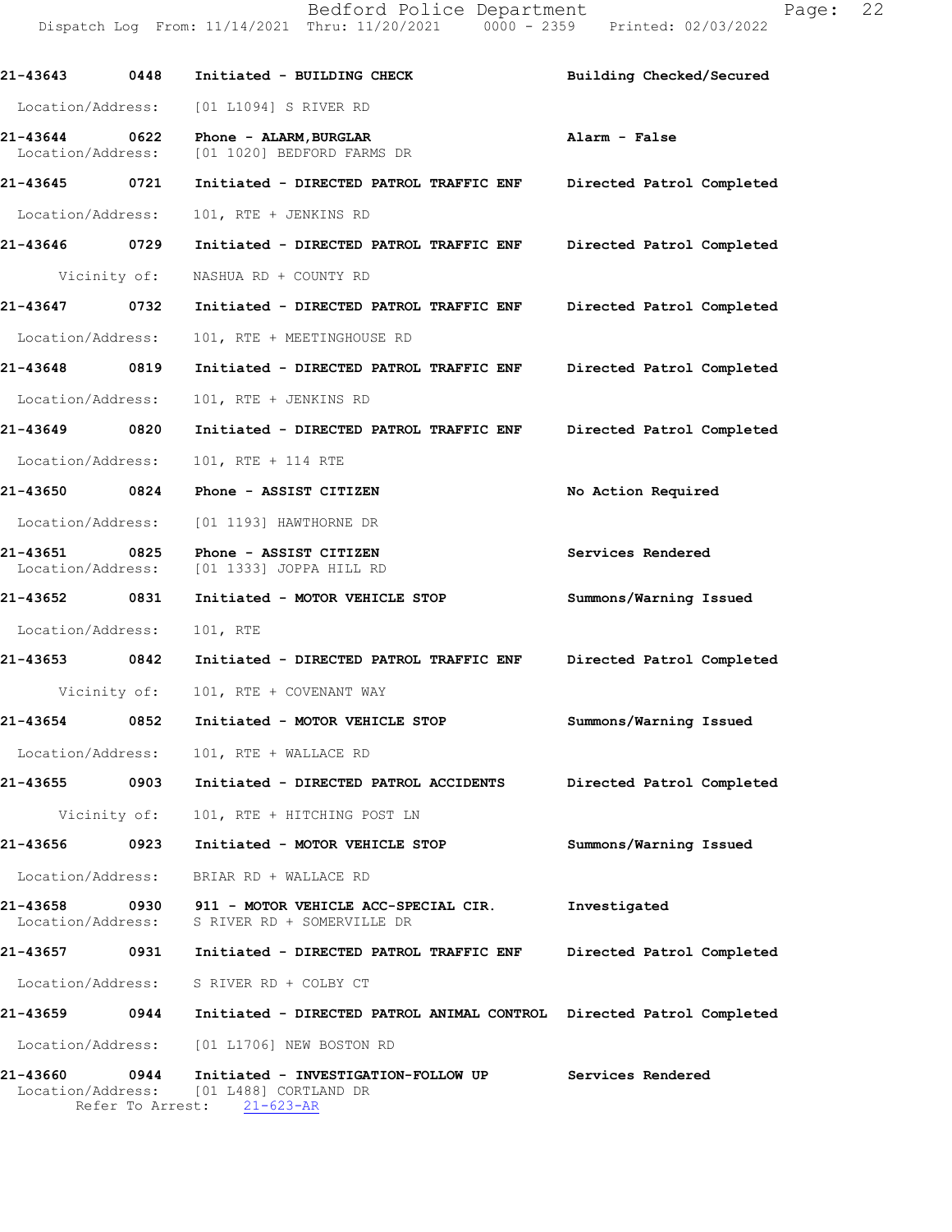21-43643 0448 Initiated - BUILDING CHECK Building Checked/Secured Location/Address: [01 L1094] S RIVER RD 21-436440622 Phone-ALARM,BURGLAR Alarm-False [01 1020] BEDFORD FARMS DR 21-43645 0721 Initiated - DIRECTED PATROL TRAFFIC ENF Directed Patrol Completed Location/Address: 101, RTE + JENKINS RD 21-43646 0729 Initiated - DIRECTED PATROL TRAFFIC ENF Directed Patrol Completed Vicinity of: NASHUA RD + COUNTY RD 21-43647 0732 Initiated - DIRECTED PATROL TRAFFIC ENF Directed Patrol Completed Location/Address: 101, RTE + MEETINGHOUSE RD 21-43648 0819 Initiated - DIRECTED PATROL TRAFFIC ENF Directed Patrol Completed Location/Address: 101, RTE + JENKINS RD 21-43649 0820 Initiated - DIRECTED PATROL TRAFFIC ENF Directed Patrol Completed Location/Address: 101, RTE + 114 RTE 21-43650 0824 Phone - ASSIST CITIZEN No Action Required Location/Address: [01 1193] HAWTHORNE DR 21-43651 0825 Phone - ASSIST CITIZEN Services Rendered Location/Address: [01 1333] JOPPA HILL RD Location/Address:[011333]JOPPAHILLRD 21-43652 0831 Initiated - MOTOR VEHICLE STOP Summons/Warning Issued Location/Address: 101, RTE 21-43653 6842 Initiated - DIRECTED PATROL TRAFFICENF Directed Patrol Completed Vicinity of: 101, RTE + COVENANT WAY 21-43654 0852 Initiated - MOTOR VEHICLE STOP Summons/Warning Issued Location/Address: 101, RTE + WALLACE RD 21-43655 0903 Initiated - DIRECTED PATROL ACCIDENTS Directed Patrol Completed Vicinity of: 101, RTE + HITCHING POST LN 21-43656 0923 Initiated - MOTOR VEHICLE STOP Summons/Warning Issued Location/Address: BRIAR RD + WALLACE RD 21-43658 0930 911 - MOTOR VEHICLE ACC-SPECIAL CIR. Investigated<br>Location/Address: S RIVER RD + SOMERVILLE DR S RIVER RD + SOMERVILLE DR 21-43657 0931 Initiated - DIRECTED PATROL TRAFFIC ENF Directed Patrol Completed Location/Address: S RIVER RD + COLBY CT 21-43659 0944 Initiated - DIRECTED PATROL ANIMAL CONTROL Directed Patrol Completed Location/Address: [01 L1706] NEW BOSTON RD 21-43660 0944 Initiated - INVESTIGATION-FOLLOW UP Services Rendered Location/Address: [01 L488] CORTLAND DR<br>Refer To Arrest: 21-623-AR Refer To Arrest: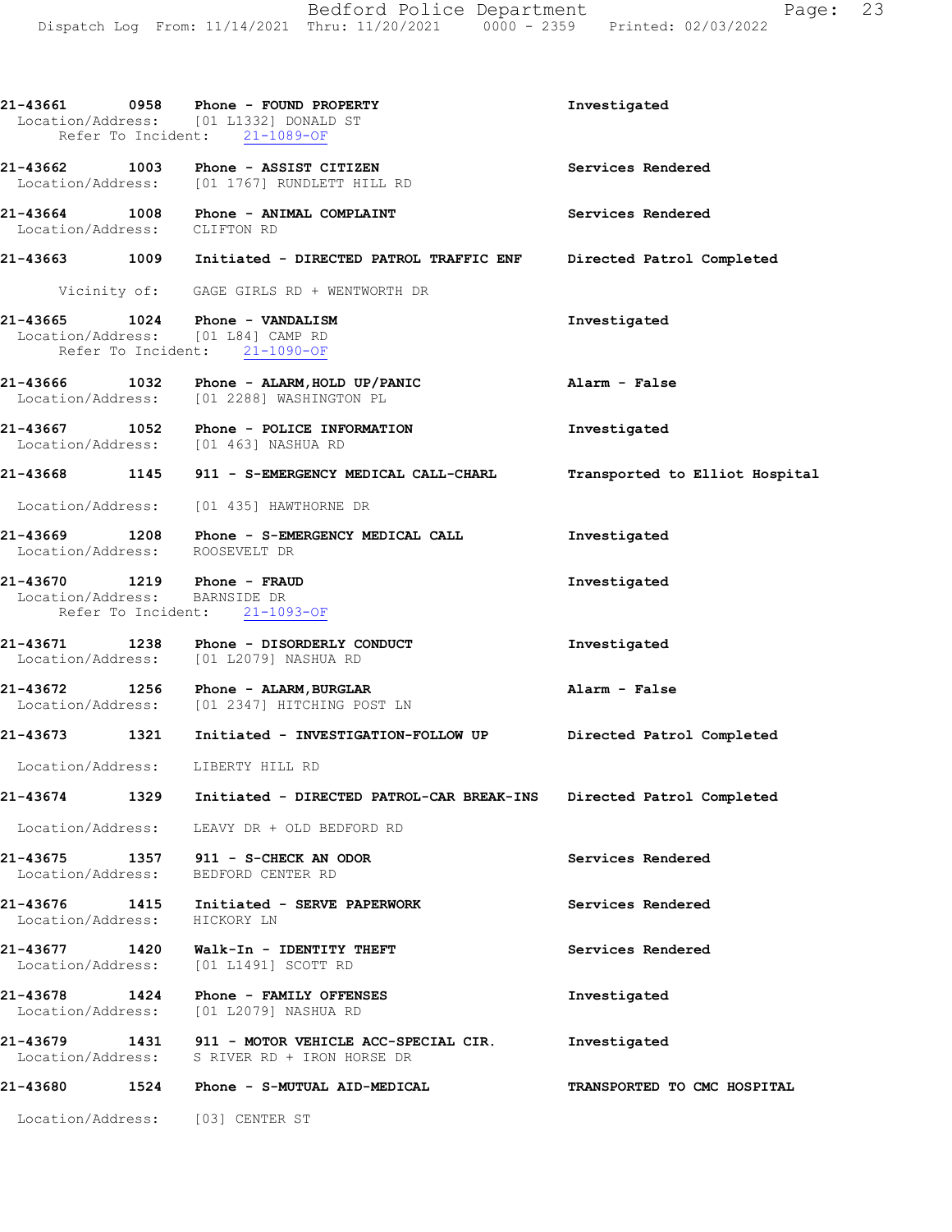|                                                              |      | $21-43661$ 0958 Phone - FOUND PROPERTY<br>Location/Address: [01 L1332] DONALD ST<br>Refer To Incident: 21-1089-OF | Investigated                   |
|--------------------------------------------------------------|------|-------------------------------------------------------------------------------------------------------------------|--------------------------------|
| 21-43662 1003                                                |      | Phone - ASSIST CITIZEN<br>Location/Address: [01 1767] RUNDLETT HILL RD                                            | Services Rendered              |
| Location/Address: CLIFTON RD                                 |      | 21-43664 1008 Phone - ANIMAL COMPLAINT                                                                            | Services Rendered              |
|                                                              |      | 21-43663 1009 Initiated - DIRECTED PATROL TRAFFIC ENF                                                             | Directed Patrol Completed      |
|                                                              |      | Vicinity of: GAGE GIRLS RD + WENTWORTH DR                                                                         |                                |
| 21-43665 1024                                                |      | Phone - VANDALISM<br>Location/Address: [01 L84] CAMP RD<br>Refer To Incident: 21-1090-OF                          | Investigated                   |
|                                                              |      | 21-43666 1032 Phone - ALARM, HOLD UP/PANIC<br>Location/Address: [01 2288] WASHINGTON PL                           | Alarm - False                  |
|                                                              |      | 21-43667 1052 Phone - POLICE INFORMATION<br>Location/Address: [01 463] NASHUA RD                                  | Investigated                   |
|                                                              |      | 21-43668 1145 911 - S-EMERGENCY MEDICAL CALL-CHARL                                                                | Transported to Elliot Hospital |
|                                                              |      | Location/Address: [01 435] HAWTHORNE DR                                                                           |                                |
| Location/Address: ROOSEVELT DR                               |      | 21-43669 1208 Phone - S-EMERGENCY MEDICAL CALL                                                                    | Investigated                   |
| 21-43670 1219 Phone - FRAUD<br>Location/Address: BARNSIDE DR |      | Refer To Incident: 21-1093-OF                                                                                     | Investigated                   |
|                                                              |      | 21-43671 1238 Phone - DISORDERLY CONDUCT<br>Location/Address: [01 L2079] NASHUA RD                                | Investigated                   |
|                                                              |      | $21-43672$ 1256 Phone - ALARM, BURGLAR<br>Location/Address: [01 2347] HITCHING POST LN                            | Alarm - False                  |
|                                                              |      | 21-43673 1321 Initiated - INVESTIGATION-FOLLOW UP                                                                 | Directed Patrol Completed      |
|                                                              |      | Location/Address: LIBERTY HILL RD                                                                                 |                                |
| 21-43674                                                     | 1329 | Initiated - DIRECTED PATROL-CAR BREAK-INS                                                                         | Directed Patrol Completed      |
|                                                              |      | Location/Address: LEAVY DR + OLD BEDFORD RD                                                                       |                                |
| 21-43675<br>Location/Address:                                | 1357 | 911 - S-CHECK AN ODOR<br>BEDFORD CENTER RD                                                                        | Services Rendered              |
| Location/Address:                                            |      | 21-43676 1415 Initiated - SERVE PAPERWORK<br>HICKORY LN                                                           | Services Rendered              |
| 21-43677 1420<br>Location/Address:                           |      | Walk-In - IDENTITY THEFT<br>[01 L1491] SCOTT RD                                                                   | Services Rendered              |
| 21-43678 1424<br>Location/Address:                           |      | Phone - FAMILY OFFENSES<br>[01 L2079] NASHUA RD                                                                   | Investigated                   |
| 21-43679                                                     |      | 1431 911 - MOTOR VEHICLE ACC-SPECIAL CIR.<br>Location/Address: S RIVER RD + IRON HORSE DR                         | Investigated                   |
| 21-43680                                                     | 1524 | Phone - S-MUTUAL AID-MEDICAL                                                                                      | TRANSPORTED TO CMC HOSPITAL    |
|                                                              |      | Location/Address: [03] CENTER ST                                                                                  |                                |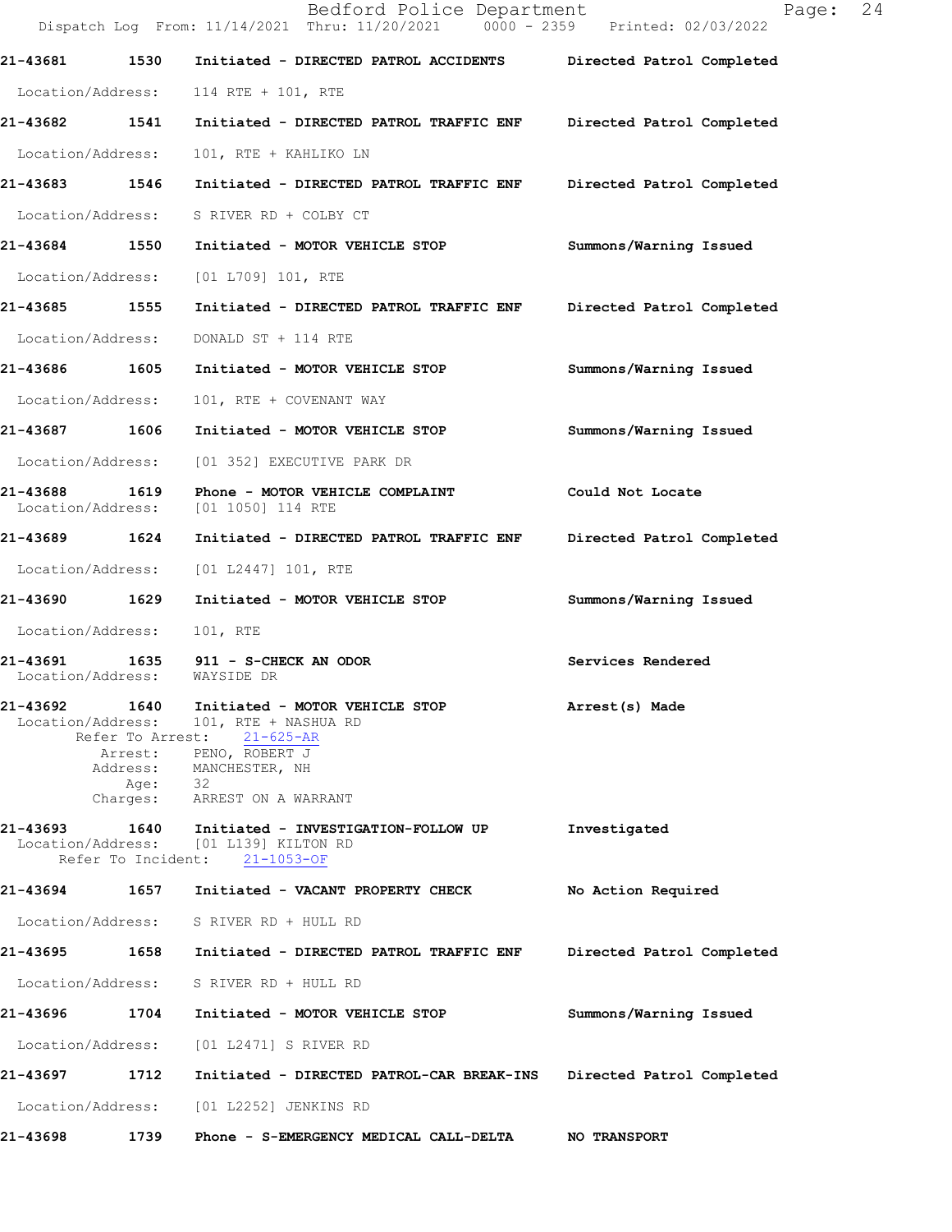|                                    |                                  | Bedford Police Department<br>Dispatch Log From: 11/14/2021 Thru: 11/20/2021 0000 - 2359 Printed: 02/03/2022                                                            | 24<br>Page:               |
|------------------------------------|----------------------------------|------------------------------------------------------------------------------------------------------------------------------------------------------------------------|---------------------------|
| 21-43681                           | 1530                             | Initiated - DIRECTED PATROL ACCIDENTS Directed Patrol Completed                                                                                                        |                           |
| Location/Address:                  |                                  | 114 RTE + 101, RTE                                                                                                                                                     |                           |
| 21-43682 1541                      |                                  | Initiated - DIRECTED PATROL TRAFFIC ENF Directed Patrol Completed                                                                                                      |                           |
| Location/Address:                  |                                  | 101, RTE + KAHLIKO LN                                                                                                                                                  |                           |
| 21-43683 1546                      |                                  | Initiated - DIRECTED PATROL TRAFFIC ENF                                                                                                                                | Directed Patrol Completed |
| Location/Address:                  |                                  | S RIVER RD + COLBY CT                                                                                                                                                  |                           |
| 21-43684 1550                      |                                  | Initiated - MOTOR VEHICLE STOP                                                                                                                                         | Summons/Warning Issued    |
| Location/Address:                  |                                  | [01 L709] 101, RTE                                                                                                                                                     |                           |
| 21-43685 1555                      |                                  | Initiated - DIRECTED PATROL TRAFFIC ENF                                                                                                                                | Directed Patrol Completed |
| Location/Address:                  |                                  | DONALD ST + 114 RTE                                                                                                                                                    |                           |
| 21-43686 1605                      |                                  | Initiated - MOTOR VEHICLE STOP                                                                                                                                         | Summons/Warning Issued    |
| Location/Address:                  |                                  | 101, RTE + COVENANT WAY                                                                                                                                                |                           |
| 21-43687 1606                      |                                  | Initiated - MOTOR VEHICLE STOP                                                                                                                                         | Summons/Warning Issued    |
| Location/Address:                  |                                  | [01 352] EXECUTIVE PARK DR                                                                                                                                             |                           |
| 21-43688 1619<br>Location/Address: |                                  | Phone - MOTOR VEHICLE COMPLAINT<br>[01 1050] 114 RTE                                                                                                                   | Could Not Locate          |
| 21-43689 1624                      |                                  | Initiated - DIRECTED PATROL TRAFFIC ENF                                                                                                                                | Directed Patrol Completed |
| Location/Address:                  |                                  | [01 L2447] 101, RTE                                                                                                                                                    |                           |
| 21-43690 1629                      |                                  | Initiated - MOTOR VEHICLE STOP                                                                                                                                         | Summons/Warning Issued    |
| Location/Address:                  |                                  | 101, RTE                                                                                                                                                               |                           |
| 21-43691<br>Location/Address:      |                                  | 1635 911 - S-CHECK AN ODOR<br>WAYSIDE DR                                                                                                                               | Services Rendered         |
| 21-43692<br>Location/Address:      | 1640<br>Refer To Arrest:<br>Age: | Initiated - MOTOR VEHICLE STOP<br>101, RTE + NASHUA RD<br>$21 - 625 - AR$<br>Arrest: PENO, ROBERT J<br>Address: MANCHESTER, NH<br>- 32<br>Charges: ARREST ON A WARRANT | Arrest(s) Made            |
| 21-43693                           | 1640                             | Initiated - INVESTIGATION-FOLLOW UP<br>Location/Address: [01 L139] KILTON RD<br>Refer To Incident: 21-1053-OF                                                          | Investigated              |
| 21-43694                           | 1657                             | Initiated - VACANT PROPERTY CHECK                                                                                                                                      | No Action Required        |
|                                    |                                  | Location/Address: S RIVER RD + HULL RD                                                                                                                                 |                           |
| 21-43695 1658                      |                                  | Initiated - DIRECTED PATROL TRAFFIC ENF                                                                                                                                | Directed Patrol Completed |
|                                    |                                  | Location/Address: S RIVER RD + HULL RD                                                                                                                                 |                           |
| 21-43696 1704                      |                                  | Initiated - MOTOR VEHICLE STOP                                                                                                                                         | Summons/Warning Issued    |
| Location/Address:                  |                                  | [01 L2471] S RIVER RD                                                                                                                                                  |                           |
| 21-43697                           | 1712                             | Initiated - DIRECTED PATROL-CAR BREAK-INS                                                                                                                              | Directed Patrol Completed |
| Location/Address:                  |                                  | [01 L2252] JENKINS RD                                                                                                                                                  |                           |
| 21-43698                           | 1739                             | Phone - S-EMERGENCY MEDICAL CALL-DELTA                                                                                                                                 | <b>NO TRANSPORT</b>       |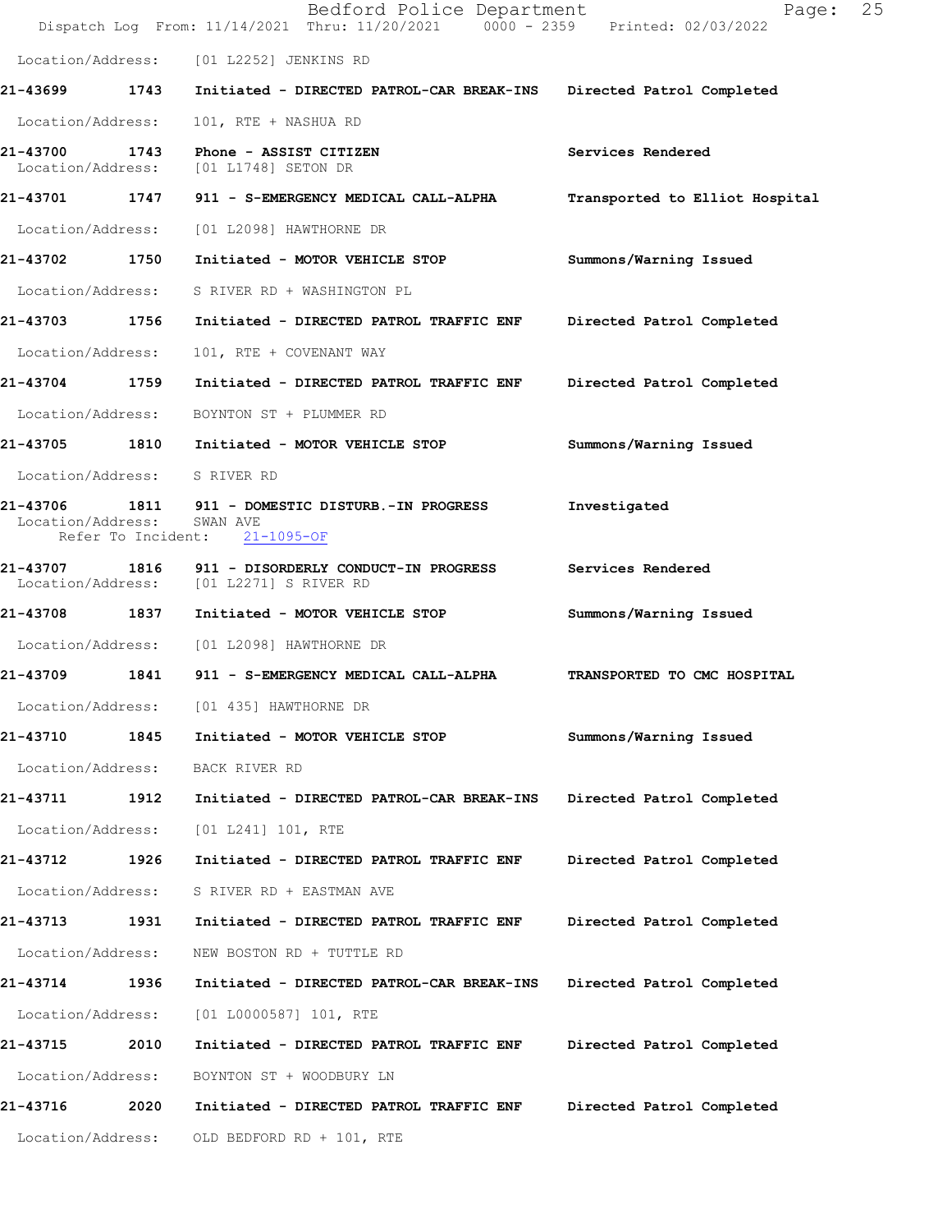|                               |      | Bedford Police Department<br>Dispatch Log From: 11/14/2021 Thru: 11/20/2021 0000 - 2359 Printed: 02/03/2022 | 25<br>Page:                    |
|-------------------------------|------|-------------------------------------------------------------------------------------------------------------|--------------------------------|
|                               |      | Location/Address: [01 L2252] JENKINS RD                                                                     |                                |
| 21-43699 1743                 |      | Initiated - DIRECTED PATROL-CAR BREAK-INS Directed Patrol Completed                                         |                                |
| Location/Address:             |      | 101, RTE + NASHUA RD                                                                                        |                                |
| 21-43700<br>Location/Address: | 1743 | Phone - ASSIST CITIZEN<br>[01 L1748] SETON DR                                                               | Services Rendered              |
| 21-43701 1747                 |      | 911 - S-EMERGENCY MEDICAL CALL-ALPHA                                                                        | Transported to Elliot Hospital |
| Location/Address:             |      | [01 L2098] HAWTHORNE DR                                                                                     |                                |
| 21-43702 1750                 |      | Initiated - MOTOR VEHICLE STOP                                                                              | Summons/Warning Issued         |
| Location/Address:             |      | S RIVER RD + WASHINGTON PL                                                                                  |                                |
| 21-43703                      | 1756 | Initiated - DIRECTED PATROL TRAFFIC ENF                                                                     | Directed Patrol Completed      |
| Location/Address:             |      | 101, RTE + COVENANT WAY                                                                                     |                                |
| 21-43704 1759                 |      | Initiated - DIRECTED PATROL TRAFFIC ENF                                                                     | Directed Patrol Completed      |
| Location/Address:             |      | BOYNTON ST + PLUMMER RD                                                                                     |                                |
|                               |      | 21-43705 1810 Initiated - MOTOR VEHICLE STOP                                                                | Summons/Warning Issued         |
| Location/Address: S RIVER RD  |      |                                                                                                             |                                |
| Location/Address:             |      | 21-43706 1811 911 - DOMESTIC DISTURB.-IN PROGRESS<br>SWAN AVE<br>Refer To Incident: 21-1095-OF              | Investigated                   |
|                               |      | 21-43707 1816 911 - DISORDERLY CONDUCT-IN PROGRESS<br>Location/Address: [01 L2271] S RIVER RD               | Services Rendered              |
| 21-43708 1837                 |      | Initiated - MOTOR VEHICLE STOP                                                                              | Summons/Warning Issued         |
|                               |      | Location/Address: [01 L2098] HAWTHORNE DR                                                                   |                                |
| 21-43709                      |      | 1841 911 - S-EMERGENCY MEDICAL CALL-ALPHA                                                                   | TRANSPORTED TO CMC HOSPITAL    |
| Location/Address:             |      | [01 435] HAWTHORNE DR                                                                                       |                                |
| 21-43710                      | 1845 | Initiated - MOTOR VEHICLE STOP                                                                              | Summons/Warning Issued         |
| Location/Address:             |      | BACK RIVER RD                                                                                               |                                |
| 21-43711                      | 1912 | Initiated - DIRECTED PATROL-CAR BREAK-INS                                                                   | Directed Patrol Completed      |
| Location/Address:             |      | [01 L241] 101, RTE                                                                                          |                                |
| 21-43712                      | 1926 | Initiated - DIRECTED PATROL TRAFFIC ENF                                                                     | Directed Patrol Completed      |
| Location/Address:             |      | S RIVER RD + EASTMAN AVE                                                                                    |                                |
| 21-43713                      | 1931 | Initiated - DIRECTED PATROL TRAFFIC ENF                                                                     | Directed Patrol Completed      |
| Location/Address:             |      | NEW BOSTON RD + TUTTLE RD                                                                                   |                                |
| 21-43714                      | 1936 | Initiated - DIRECTED PATROL-CAR BREAK-INS                                                                   | Directed Patrol Completed      |
| Location/Address:             |      | [01 L0000587] 101, RTE                                                                                      |                                |
| 21-43715                      | 2010 | Initiated - DIRECTED PATROL TRAFFIC ENF                                                                     | Directed Patrol Completed      |
| Location/Address:             |      | BOYNTON ST + WOODBURY LN                                                                                    |                                |
| 21-43716                      | 2020 | Initiated - DIRECTED PATROL TRAFFIC ENF                                                                     | Directed Patrol Completed      |
| Location/Address:             |      | OLD BEDFORD RD + 101, RTE                                                                                   |                                |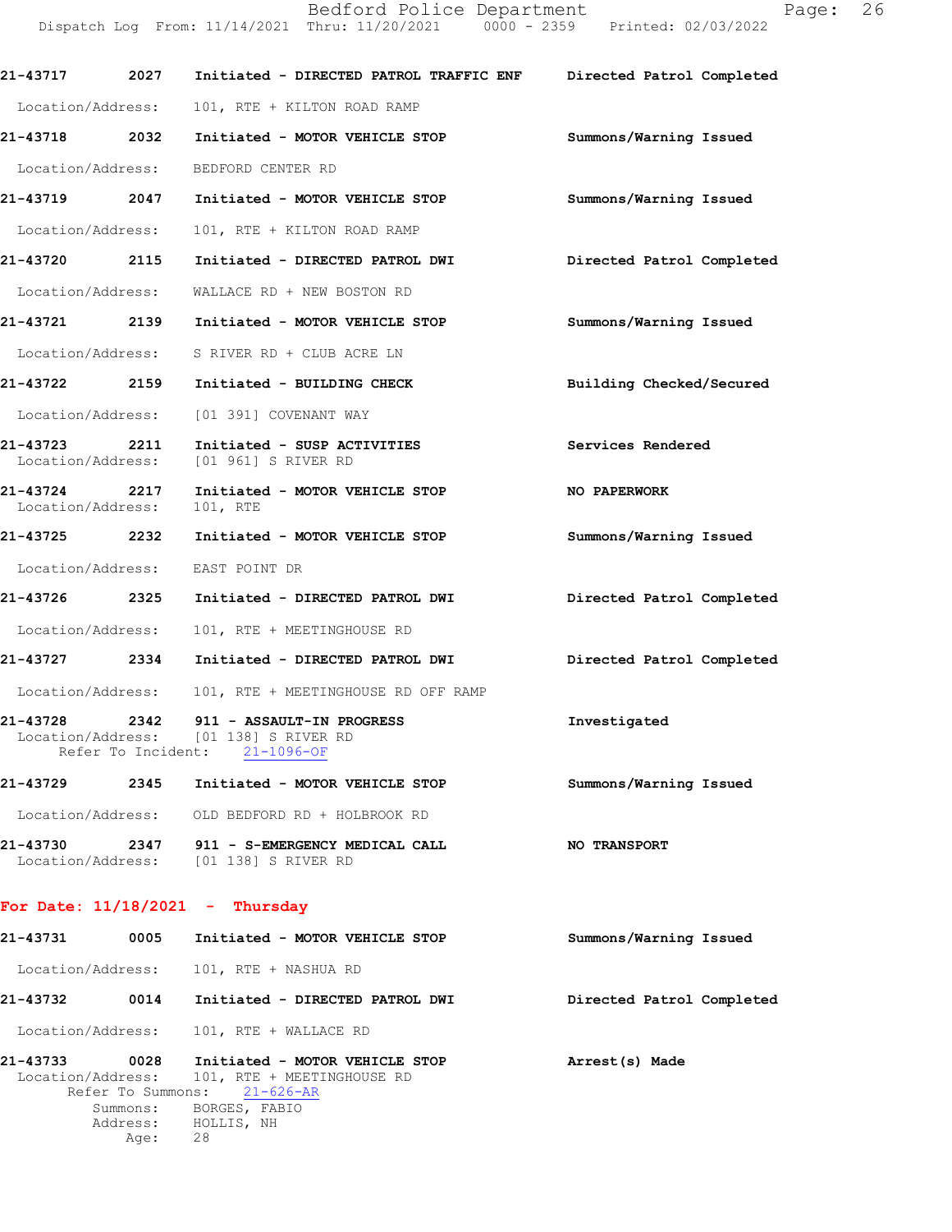Bedford Police Department Page: 26 Dispatch Log From: 11/14/2021 Thru: 11/20/2021 0000 - 2359 Printed: 02/03/2022

21-43717 2027 Initiated - DIRECTED PATROL TRAFFIC ENF Directed Patrol Completed Location/Address: 101, RTE + KILTON ROAD RAMP 21-43718 2032 Initiated - MOTOR VEHICLE STOP Summons/Warning Issued Location/Address: BEDFORD CENTER RD 21-43719 2047 Initiated - MOTOR VEHICLE STOP Summons/Warning Issued Location/Address: 101, RTE + KILTON ROAD RAMP 21-43720 2115 Initiated - DIRECTED PATROL DWI Directed Patrol Completed Location/Address: WALLACE RD + NEW BOSTON RD 21-43721 2139 Initiated - MOTOR VEHICLE STOP Summons/Warning Issued Location/Address: S RIVER RD + CLUB ACRE LN 21-43722 2159 Initiated - BUILDING CHECK Building Checked/Secured Location/Address: [01 391] COVENANT WAY 21-43723 2211 Initiated - SUSP ACTIVITIES Services Rendered Location/Address: [01 961] S RIVER RD [01 961] S RIVER RD 21-43724 2217 Initiated - MOTOR VEHICLE STOP  **NO PAPERWORK** Location/Address: 101, RTE Location/Address: 21-43725 2232 Initiated - MOTOR VEHICLE STOP Summons/Warning Issued Location/Address: EAST POINT DR 21-43726 2325 Initiated - DIRECTED PATROL DWI Directed Patrol Completed Location/Address: 101, RTE + MEETINGHOUSE RD 21-43727 2334 Initiated - DIRECTED PATROL DWI Directed Patrol Completed Location/Address: 101, RTE + MEETINGHOUSE RD OFF RAMP 21-43728 2342 911 - ASSAULT-IN PROGRESS 1nvestigated Investigated Location/Address: [01 138] S RIVER RD [01 138] S RIVER RD<br>nt: 21-1096-OF Refer To Incident: 21-43729 2345 Initiated - MOTOR VEHICLE STOP Summons/Warning Issued Location/Address: OLD BEDFORD RD + HOLBROOK RD 21-43730 2347 911 - S-EMERGENCY MEDICAL CALL NO TRANSPORT Location/Address: [01 138] S RIVER RD

#### For Date:  $11/18/2021$  - Thursday

| 21-43731 | 0005              | Initiated - MOTOR VEHICLE STOP                                                 | Summons/Warning Issued    |
|----------|-------------------|--------------------------------------------------------------------------------|---------------------------|
|          |                   | Location/Address: 101, RTE + NASHUA RD                                         |                           |
| 21-43732 | 0014              | Initiated - DIRECTED PATROL DWI                                                | Directed Patrol Completed |
|          |                   | Location/Address: 101, RTE + WALLACE RD                                        |                           |
| 21-43733 | 0028              | Initiated - MOTOR VEHICLE STOP<br>Location/Address: 101, RTE + MEETINGHOUSE RD | Arrest(s) Made            |
|          | Refer To Summons: | $21 - 626 - AR$                                                                |                           |
|          | Summons:          | BORGES, FABIO                                                                  |                           |
|          |                   | Address: HOLLIS, NH                                                            |                           |
|          | Age:              | 28                                                                             |                           |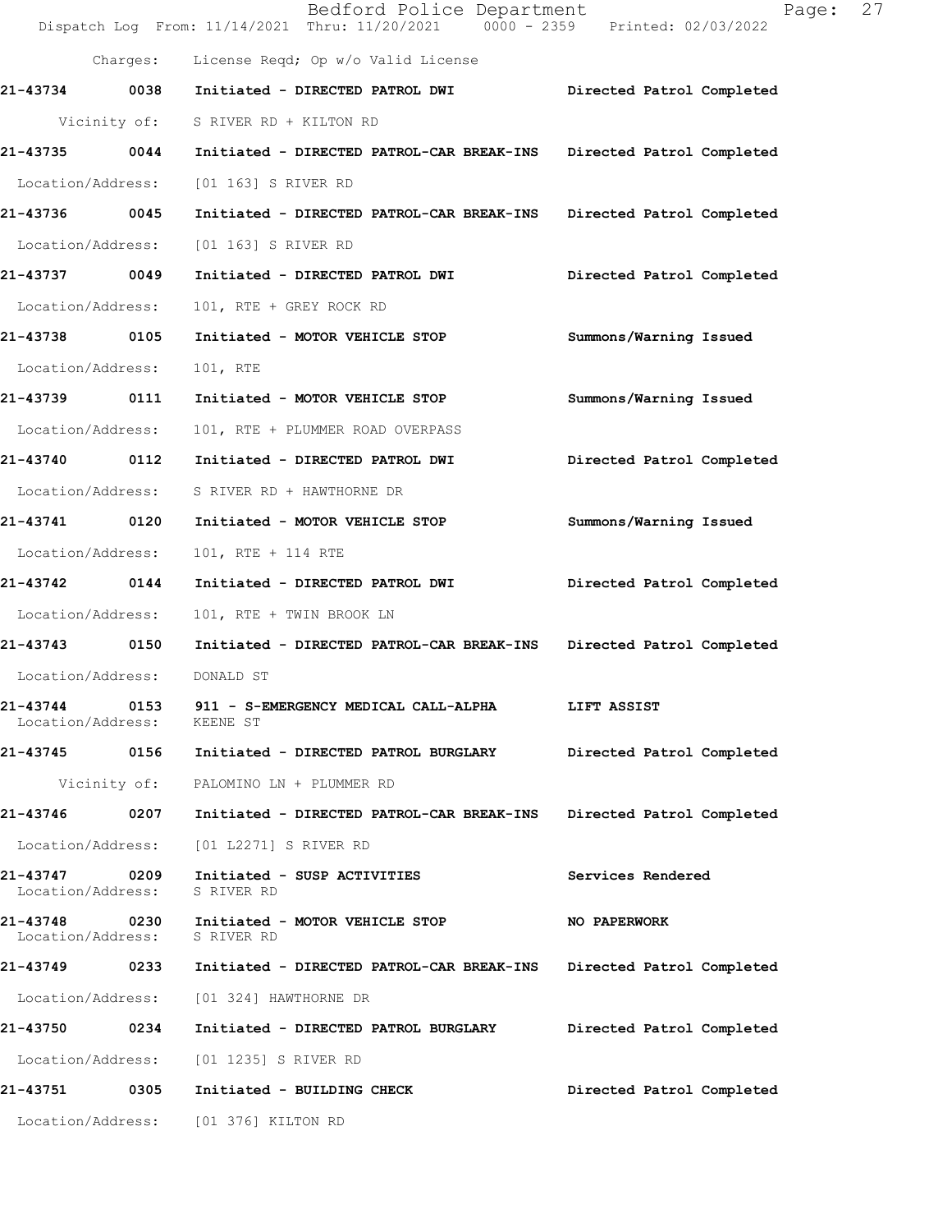|                                    |          | Bedford Police Department<br>Dispatch Log From: 11/14/2021 Thru: 11/20/2021 0000 - 2359 Printed: 02/03/2022 | 27<br>Page:               |
|------------------------------------|----------|-------------------------------------------------------------------------------------------------------------|---------------------------|
|                                    | Charges: | License Reqd; Op w/o Valid License                                                                          |                           |
| 21-43734 0038                      |          | Initiated - DIRECTED PATROL DWI                                                                             | Directed Patrol Completed |
|                                    |          | Vicinity of: S RIVER RD + KILTON RD                                                                         |                           |
| 21-43735                           | 0044     | Initiated - DIRECTED PATROL-CAR BREAK-INS Directed Patrol Completed                                         |                           |
| Location/Address:                  |          | [01 163] S RIVER RD                                                                                         |                           |
| 21-43736 0045                      |          | Initiated - DIRECTED PATROL-CAR BREAK-INS                                                                   | Directed Patrol Completed |
| Location/Address:                  |          | [01 163] S RIVER RD                                                                                         |                           |
| 21-43737 0049                      |          | Initiated - DIRECTED PATROL DWI                                                                             | Directed Patrol Completed |
| Location/Address:                  |          | 101, RTE + GREY ROCK RD                                                                                     |                           |
| 21-43738                           | 0105     | Initiated - MOTOR VEHICLE STOP                                                                              | Summons/Warning Issued    |
| Location/Address:                  |          | 101, RTE                                                                                                    |                           |
| 21-43739                           | 0111     | Initiated - MOTOR VEHICLE STOP                                                                              | Summons/Warning Issued    |
| Location/Address:                  |          | 101, RTE + PLUMMER ROAD OVERPASS                                                                            |                           |
| 21-43740 0112                      |          | Initiated - DIRECTED PATROL DWI                                                                             | Directed Patrol Completed |
| Location/Address:                  |          | S RIVER RD + HAWTHORNE DR                                                                                   |                           |
| 21-43741                           | 0120     | Initiated - MOTOR VEHICLE STOP                                                                              | Summons/Warning Issued    |
| Location/Address:                  |          | 101, RTE + 114 RTE                                                                                          |                           |
| 21-43742                           | 0144     | Initiated - DIRECTED PATROL DWI                                                                             | Directed Patrol Completed |
| Location/Address:                  |          | 101, RTE + TWIN BROOK LN                                                                                    |                           |
| 21-43743 0150                      |          | Initiated - DIRECTED PATROL-CAR BREAK-INS                                                                   | Directed Patrol Completed |
| Location/Address:                  |          | DONALD ST                                                                                                   |                           |
| 21-43744<br>Location/Address:      | 0153     | 911 - S-EMERGENCY MEDICAL CALL-ALPHA<br>KEENE ST                                                            | LIFT ASSIST               |
| 21-43745 0156                      |          | Initiated - DIRECTED PATROL BURGLARY                                                                        | Directed Patrol Completed |
|                                    |          | Vicinity of: PALOMINO LN + PLUMMER RD                                                                       |                           |
| 21-43746                           | 0207     | Initiated - DIRECTED PATROL-CAR BREAK-INS                                                                   | Directed Patrol Completed |
| Location/Address:                  |          | [01 L2271] S RIVER RD                                                                                       |                           |
| 21-43747 0209<br>Location/Address: |          | Initiated - SUSP ACTIVITIES<br>S RIVER RD                                                                   | Services Rendered         |
| 21-43748<br>Location/Address:      | 0230     | Initiated - MOTOR VEHICLE STOP<br>S RIVER RD                                                                | NO PAPERWORK              |
| 21-43749                           | 0233     | Initiated - DIRECTED PATROL-CAR BREAK-INS                                                                   | Directed Patrol Completed |
| Location/Address:                  |          | [01 324] HAWTHORNE DR                                                                                       |                           |
| 21-43750 0234                      |          | Initiated - DIRECTED PATROL BURGLARY                                                                        | Directed Patrol Completed |
| Location/Address:                  |          | [01 1235] S RIVER RD                                                                                        |                           |
| 21-43751                           | 0305     | Initiated - BUILDING CHECK                                                                                  | Directed Patrol Completed |
| Location/Address:                  |          | [01 376] KILTON RD                                                                                          |                           |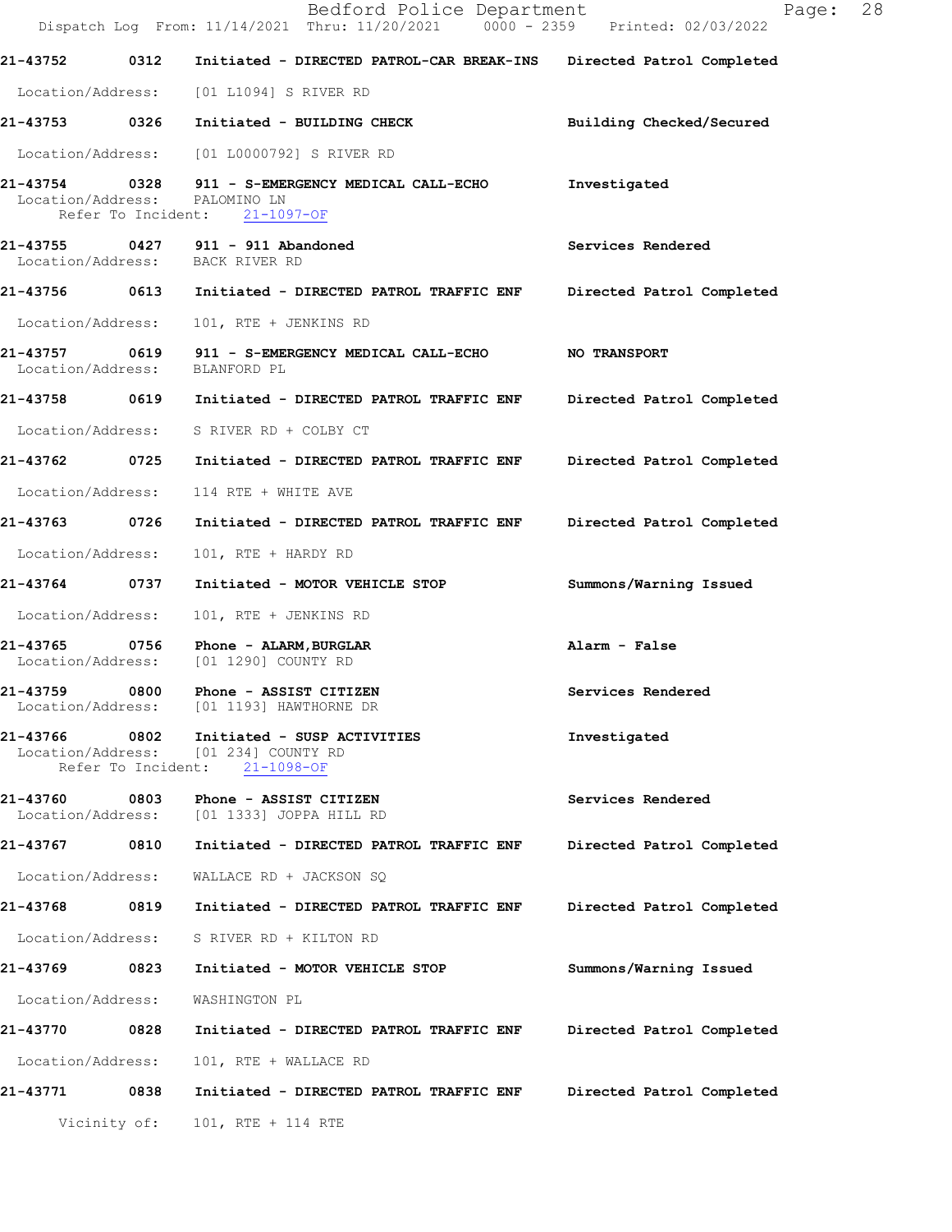|                               |              | Bedford Police Department<br>Dispatch Log From: 11/14/2021 Thru: 11/20/2021 0000 - 2359 Printed: 02/03/2022 | 28<br>Page:               |
|-------------------------------|--------------|-------------------------------------------------------------------------------------------------------------|---------------------------|
| 21-43752                      | 0312         | Initiated - DIRECTED PATROL-CAR BREAK-INS                                                                   | Directed Patrol Completed |
|                               |              | Location/Address: [01 L1094] S RIVER RD                                                                     |                           |
|                               |              | 21-43753 0326 Initiated - BUILDING CHECK                                                                    | Building Checked/Secured  |
|                               |              | Location/Address: [01 L0000792] S RIVER RD                                                                  |                           |
| Location/Address: PALOMINO LN |              | 21-43754 0328 911 - S-EMERGENCY MEDICAL CALL-ECHO<br>Refer To Incident: 21-1097-OF                          | Investigated              |
|                               |              | 21-43755 0427 911 - 911 Abandoned<br>Location/Address: BACK RIVER RD                                        | Services Rendered         |
|                               |              | 21-43756 0613 Initiated - DIRECTED PATROL TRAFFIC ENF Directed Patrol Completed                             |                           |
| Location/Address:             |              | 101, RTE + JENKINS RD                                                                                       |                           |
| 21-43757<br>Location/Address: |              | BLANFORD PL                                                                                                 |                           |
|                               |              | 21-43758 0619 Initiated - DIRECTED PATROL TRAFFIC ENF Directed Patrol Completed                             |                           |
|                               |              | Location/Address: S RIVER RD + COLBY CT                                                                     |                           |
| 21-43762 0725                 |              | Initiated - DIRECTED PATROL TRAFFIC ENF                                                                     | Directed Patrol Completed |
| Location/Address:             |              | 114 RTE + WHITE AVE                                                                                         |                           |
| 21-43763                      | 0726         | Initiated - DIRECTED PATROL TRAFFIC ENF                                                                     | Directed Patrol Completed |
| Location/Address:             |              | 101, RTE + HARDY RD                                                                                         |                           |
| 21-43764                      | 0737         | Initiated - MOTOR VEHICLE STOP                                                                              | Summons/Warning Issued    |
| Location/Address:             |              | 101, RTE + JENKINS RD                                                                                       |                           |
| 21-43765                      |              | 0756 Phone - ALARM, BURGLAR<br>Location/Address: [01 1290] COUNTY RD                                        | Alarm - False             |
| 21-43759                      | 0800         | Phone - ASSIST CITIZEN<br>Location/Address: [01 1193] HAWTHORNE DR                                          | Services Rendered         |
| 21-43766                      | 0802         | Initiated - SUSP ACTIVITIES<br>Location/Address: [01 234] COUNTY RD<br>Refer To Incident: 21-1098-OF        | Investigated              |
|                               |              | 21-43760 0803 Phone - ASSIST CITIZEN<br>Location/Address: [01 1333] JOPPA HILL RD                           | Services Rendered         |
| 21-43767 0810                 |              | Initiated - DIRECTED PATROL TRAFFIC ENF                                                                     | Directed Patrol Completed |
| Location/Address:             |              | WALLACE RD + JACKSON SQ                                                                                     |                           |
| 21-43768                      | 0819         | Initiated - DIRECTED PATROL TRAFFIC ENF                                                                     | Directed Patrol Completed |
| Location/Address:             |              | S RIVER RD + KILTON RD                                                                                      |                           |
| 21-43769                      | 0823         | Initiated - MOTOR VEHICLE STOP                                                                              | Summons/Warning Issued    |
| Location/Address:             |              | WASHINGTON PL                                                                                               |                           |
| 21-43770 0828                 |              | Initiated - DIRECTED PATROL TRAFFIC ENF                                                                     | Directed Patrol Completed |
| Location/Address:             |              | 101, RTE + WALLACE RD                                                                                       |                           |
| 21-43771                      | 0838         | Initiated - DIRECTED PATROL TRAFFIC ENF                                                                     | Directed Patrol Completed |
|                               | Vicinity of: | 101, RTE + 114 RTE                                                                                          |                           |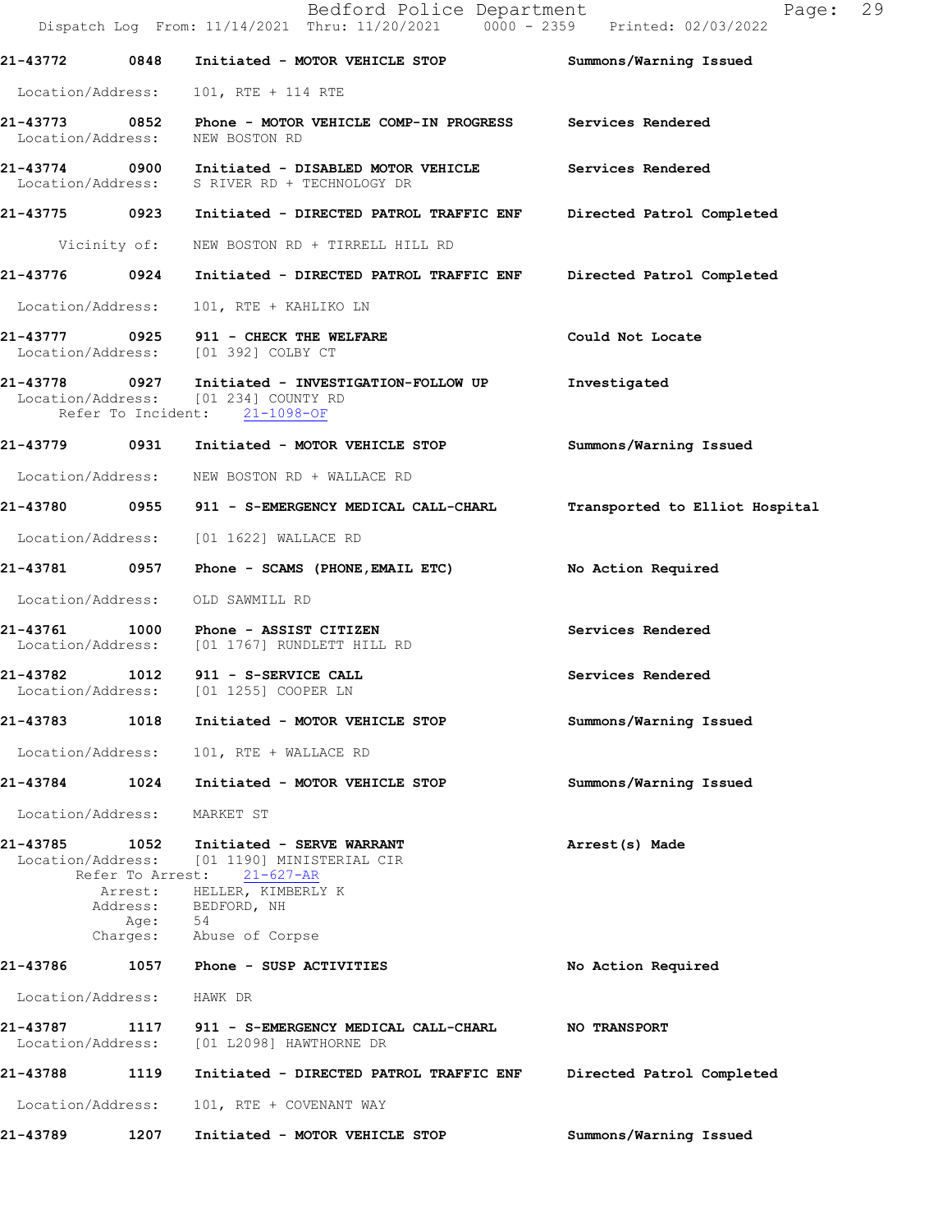|                               |                  | Bedford Police Department<br>Dispatch Log From: 11/14/2021 Thru: 11/20/2021 0000 - 2359 Printed: 02/03/2022                    | Page: 29                       |  |
|-------------------------------|------------------|--------------------------------------------------------------------------------------------------------------------------------|--------------------------------|--|
| 21-43772                      | 0848             | Initiated - MOTOR VEHICLE STOP                                                                                                 | Summons/Warning Issued         |  |
| Location/Address:             |                  | 101, RTE + 114 RTE                                                                                                             |                                |  |
| Location/Address:             |                  | 21-43773     0852  Phone - MOTOR VEHICLE COMP-IN PROGRESS     Services Rendered<br>NEW BOSTON RD                               |                                |  |
|                               |                  | 21-43774 0900 Initiated - DISABLED MOTOR VEHICLE<br>Location/Address: S RIVER RD + TECHNOLOGY DR                               | Services Rendered              |  |
|                               |                  | 21-43775 0923 Initiated - DIRECTED PATROL TRAFFIC ENF Directed Patrol Completed                                                |                                |  |
|                               |                  | Vicinity of: NEW BOSTON RD + TIRRELL HILL RD                                                                                   |                                |  |
| 21-43776 0924                 |                  | Initiated - DIRECTED PATROL TRAFFIC ENF                                                                                        | Directed Patrol Completed      |  |
| Location/Address:             |                  | 101, RTE + KAHLIKO LN                                                                                                          |                                |  |
|                               |                  | 21-43777 0925 911 - CHECK THE WELFARE<br>Location/Address: [01 392] COLBY CT                                                   | Could Not Locate               |  |
|                               |                  | 21-43778  0927    Initiated - INVESTIGATION-FOLLOW UP<br>Location/Address: [01 234] COUNTY RD<br>Refer To Incident: 21-1098-OF | Investigated                   |  |
|                               |                  | 21-43779 0931 Initiated - MOTOR VEHICLE STOP                                                                                   | Summons/Warning Issued         |  |
|                               |                  | Location/Address: NEW BOSTON RD + WALLACE RD                                                                                   |                                |  |
|                               |                  | 21-43780 0955 911 - S-EMERGENCY MEDICAL CALL-CHARL                                                                             | Transported to Elliot Hospital |  |
|                               |                  | Location/Address: [01 1622] WALLACE RD                                                                                         |                                |  |
|                               |                  | 21-43781 0957 Phone - SCAMS (PHONE, EMAIL ETC)                                                                                 | No Action Required             |  |
| Location/Address:             |                  | OLD SAWMILL RD                                                                                                                 |                                |  |
|                               |                  | 21-43761 1000 Phone - ASSIST CITIZEN<br>Location/Address: [01 1767] RUNDLETT HILL RD                                           | Services Rendered              |  |
|                               |                  | 21-43782 1012 911 - S-SERVICE CALL<br>Location/Address: [01 1255] COOPER LN                                                    | Services Rendered              |  |
| 21-43783                      | 1018             | Initiated - MOTOR VEHICLE STOP                                                                                                 | Summons/Warning Issued         |  |
| Location/Address:             |                  | 101, RTE + WALLACE RD                                                                                                          |                                |  |
| 21-43784 1024                 |                  | Initiated - MOTOR VEHICLE STOP                                                                                                 | Summons/Warning Issued         |  |
| Location/Address:             |                  | MARKET ST                                                                                                                      |                                |  |
| 21-43785                      | 1052             | Initiated - SERVE WARRANT<br>Location/Address: [01 1190] MINISTERIAL CIR<br>Refer To Arrest: 21-627-AR                         | Arrest(s) Made                 |  |
|                               | Address:<br>Age: | Arrest: HELLER, KIMBERLY K<br>BEDFORD, NH<br>54                                                                                |                                |  |
|                               |                  | Charges: Abuse of Corpse                                                                                                       |                                |  |
| 21-43786                      |                  | 1057 Phone - SUSP ACTIVITIES                                                                                                   | No Action Required             |  |
| Location/Address:             |                  | HAWK DR                                                                                                                        |                                |  |
| 21-43787<br>Location/Address: |                  | 1117 911 - S-EMERGENCY MEDICAL CALL-CHARL<br>[01 L2098] HAWTHORNE DR                                                           | <b>NO TRANSPORT</b>            |  |
| 21-43788                      | 1119             | Initiated - DIRECTED PATROL TRAFFIC ENF                                                                                        | Directed Patrol Completed      |  |
| Location/Address:             |                  | 101, RTE + COVENANT WAY                                                                                                        |                                |  |
| 21-43789                      | 1207             | Initiated - MOTOR VEHICLE STOP                                                                                                 | Summons/Warning Issued         |  |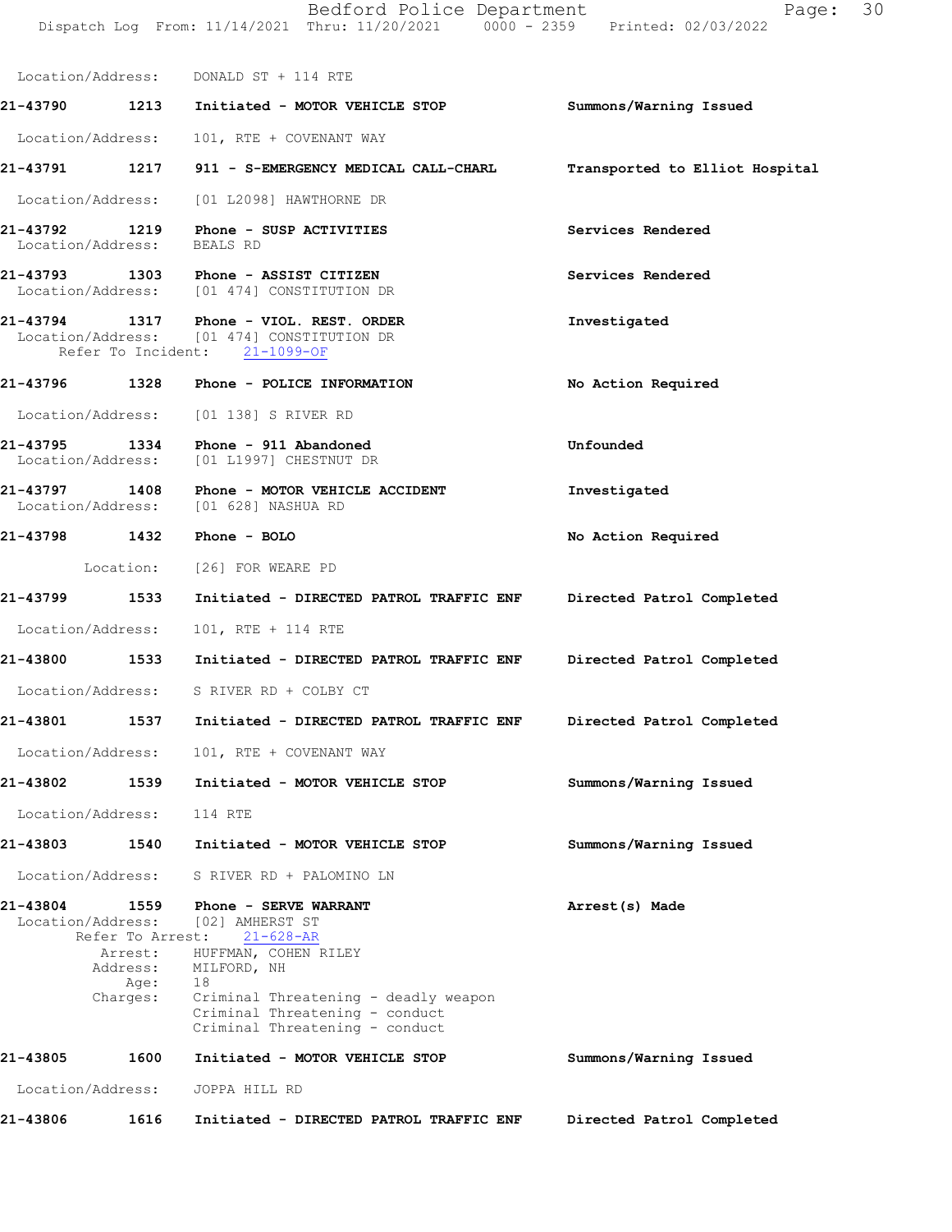Bedford Police Department Fage: 30 Dispatch Log From:  $11/14/2021$ 

|                   |      | Location/Address: 101, RTE + COVENANT WAY      |                                |  |                                   |  |
|-------------------|------|------------------------------------------------|--------------------------------|--|-----------------------------------|--|
| 21-43790          | 1213 |                                                | Initiated - MOTOR VEHICLE STOP |  | Summons/Warning Issued            |  |
| Location/Address: |      | DONALD ST + 114 RTE                            |                                |  |                                   |  |
|                   |      | Dispatch Log From: 11/14/2021 Thru: 11/20/2021 |                                |  | $0000 - 2359$ Printed: 02/03/2022 |  |

21-43791 1217 911 - S-EMERGENCY MEDICAL CALL-CHARL Transported to Elliot Hospital

Location/Address: [01 L2098] HAWTHORNE DR

- 21-43792 1219 Phone SUSP ACTIVITIES Services Rendered Services Rendered Services Rendered Location/Address:
- 21-43793 1303 Phone ASSIST CITIZEN Services Rendered Location/Address: [01 474] CONSTITUTION DR [01 474] CONSTITUTION DR

### 21-43794 1317 Phone - VIOL. REST. ORDER Investigated Location/Address: [01 474] CONSTITUTION DR Refer To Incident: 21-1099-OF

- 21-43796 1328 Phone POLICE INFORMATION No Action Required Location/Address: [01 138] S RIVER RD
- 21-43795 1334 Phone 911 Abandoned Unfounded Unfounded Unfounded Location/Address: [01 L1997] CHESTNUT DR [01 L1997] CHESTNUT DR
- 21-43797 1408 Phone MOTOR VEHICLE ACCIDENT Investigated Location/Address: [01 628] NASHUA RD Location/Address:
	- Location: [26] FOR WEARE PD
- 21-43799 1533 Initiated DIRECTED PATROL TRAFFIC ENF Directed Patrol Completed Location/Address: 101, RTE + 114 RTE

21-43798 1432 Phone - BOLO No Action Required

- 
- 21-43800 1533 Initiated DIRECTED PATROL TRAFFIC ENF Directed Patrol Completed Location/Address: S RIVER RD + COLBY CT
- 21-43801 1537 Initiated DIRECTED PATROL TRAFFIC ENF Directed Patrol Completed
	- Location/Address: 101, RTE + COVENANT WAY
	- 21-43802 1539 Initiated MOTOR VEHICLE STOP Summons/Warning Issued
	- Location/Address: 114 RTE
	- 21-43803 1540 Initiated MOTOR VEHICLE STOP Summons/Warning Issued
	- Location/Address: S RIVER RD + PALOMINO LN
- 21-438041559 Arrest(s)Made Phone-SERVEWARRANT Location/Address: [02]<br>Refer To Arrest: Refer To Arrest: 21-628-AR Arrest: HUFFMAN, COHEN RILEY Address: MILFORD, NH Age: 18<br>Charges: Cr
- Criminal Threatening deadly weapon Criminal Threatening - conduct Criminal Threatening - conduct
- Summons/Warning Issued 21-43805 1600 Initiated - MOTOR VEHICLE STOP Location/Address: JOPPA HILL RD
- 21-43806 1616 Initiated DIRECTED PATROL TRAFFIC ENF Directed Patrol Completed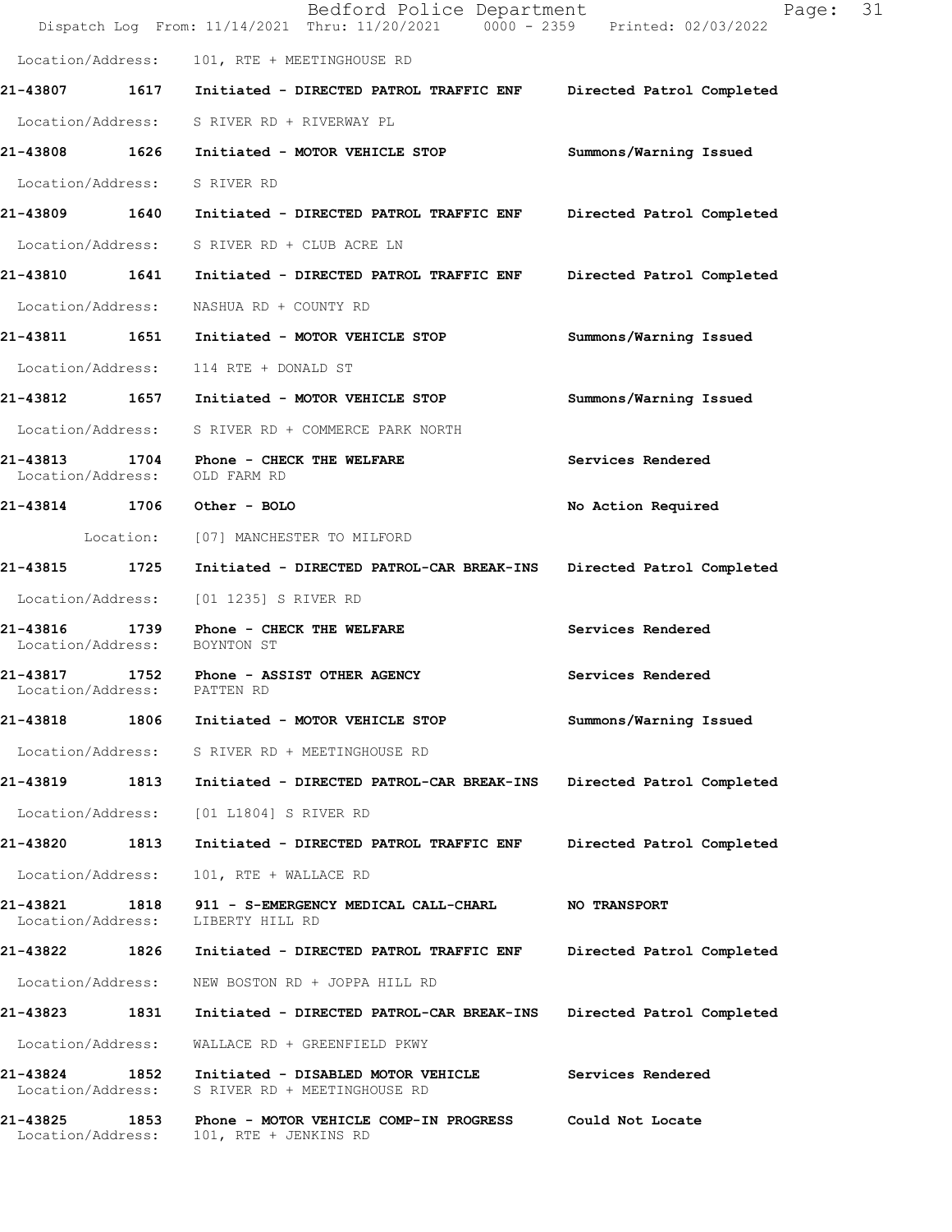|                               |      | Bedford Police Department<br>Dispatch Log From: 11/14/2021 Thru: 11/20/2021 0000 - 2359 Printed: 02/03/2022 | 31<br>Page:               |
|-------------------------------|------|-------------------------------------------------------------------------------------------------------------|---------------------------|
|                               |      | Location/Address: 101, RTE + MEETINGHOUSE RD                                                                |                           |
|                               |      | 21-43807 1617 Initiated - DIRECTED PATROL TRAFFIC ENF Directed Patrol Completed                             |                           |
|                               |      | Location/Address: S RIVER RD + RIVERWAY PL                                                                  |                           |
|                               |      | 21-43808 1626 Initiated - MOTOR VEHICLE STOP                                                                | Summons/Warning Issued    |
| Location/Address: S RIVER RD  |      |                                                                                                             |                           |
|                               |      | 21-43809 1640 Initiated - DIRECTED PATROL TRAFFIC ENF Directed Patrol Completed                             |                           |
|                               |      | Location/Address: S RIVER RD + CLUB ACRE LN                                                                 |                           |
|                               |      | 21-43810  1641  Initiated - DIRECTED PATROL TRAFFIC ENF                                                     | Directed Patrol Completed |
|                               |      | Location/Address: NASHUA RD + COUNTY RD                                                                     |                           |
|                               |      | 21-43811 1651 Initiated - MOTOR VEHICLE STOP                                                                | Summons/Warning Issued    |
|                               |      | Location/Address: 114 RTE + DONALD ST                                                                       |                           |
|                               |      | 21-43812 1657 Initiated - MOTOR VEHICLE STOP                                                                | Summons/Warning Issued    |
|                               |      | Location/Address: S RIVER RD + COMMERCE PARK NORTH                                                          |                           |
| Location/Address: OLD FARM RD |      | 21-43813 1704 Phone - CHECK THE WELFARE                                                                     | Services Rendered         |
| 21-43814 1706 Other - BOLO    |      |                                                                                                             | No Action Required        |
|                               |      | Location: [07] MANCHESTER TO MILFORD                                                                        |                           |
|                               |      | 21-43815 1725 Initiated - DIRECTED PATROL-CAR BREAK-INS                                                     | Directed Patrol Completed |
| Location/Address:             |      | [01 1235] S RIVER RD                                                                                        |                           |
| Location/Address:             |      | 21-43816 1739 Phone - CHECK THE WELFARE<br>BOYNTON ST                                                       | Services Rendered         |
| Location/Address: PATTEN RD   |      | 21-43817 1752 Phone - ASSIST OTHER AGENCY                                                                   | Services Rendered         |
| 21-43818                      | 1806 | Initiated - MOTOR VEHICLE STOP                                                                              | Summons/Warning Issued    |
| Location/Address:             |      | S RIVER RD + MEETINGHOUSE RD                                                                                |                           |
| 21-43819                      | 1813 | Initiated - DIRECTED PATROL-CAR BREAK-INS                                                                   | Directed Patrol Completed |
| Location/Address:             |      | [01 L1804] S RIVER RD                                                                                       |                           |
| 21-43820                      | 1813 | Initiated - DIRECTED PATROL TRAFFIC ENF                                                                     | Directed Patrol Completed |
| Location/Address:             |      | 101, RTE + WALLACE RD                                                                                       |                           |
| 21-43821<br>Location/Address: | 1818 | 911 - S-EMERGENCY MEDICAL CALL-CHARL<br>LIBERTY HILL RD                                                     | <b>NO TRANSPORT</b>       |
| 21-43822 1826                 |      | Initiated - DIRECTED PATROL TRAFFIC ENF                                                                     | Directed Patrol Completed |
| Location/Address:             |      | NEW BOSTON RD + JOPPA HILL RD                                                                               |                           |
| 21-43823                      | 1831 | Initiated - DIRECTED PATROL-CAR BREAK-INS                                                                   | Directed Patrol Completed |
| Location/Address:             |      | WALLACE RD + GREENFIELD PKWY                                                                                |                           |
| 21-43824<br>Location/Address: | 1852 | Initiated - DISABLED MOTOR VEHICLE<br>S RIVER RD + MEETINGHOUSE RD                                          | Services Rendered         |
| 21-43825<br>Location/Address: | 1853 | Phone - MOTOR VEHICLE COMP-IN PROGRESS<br>101, RTE + JENKINS RD                                             | Could Not Locate          |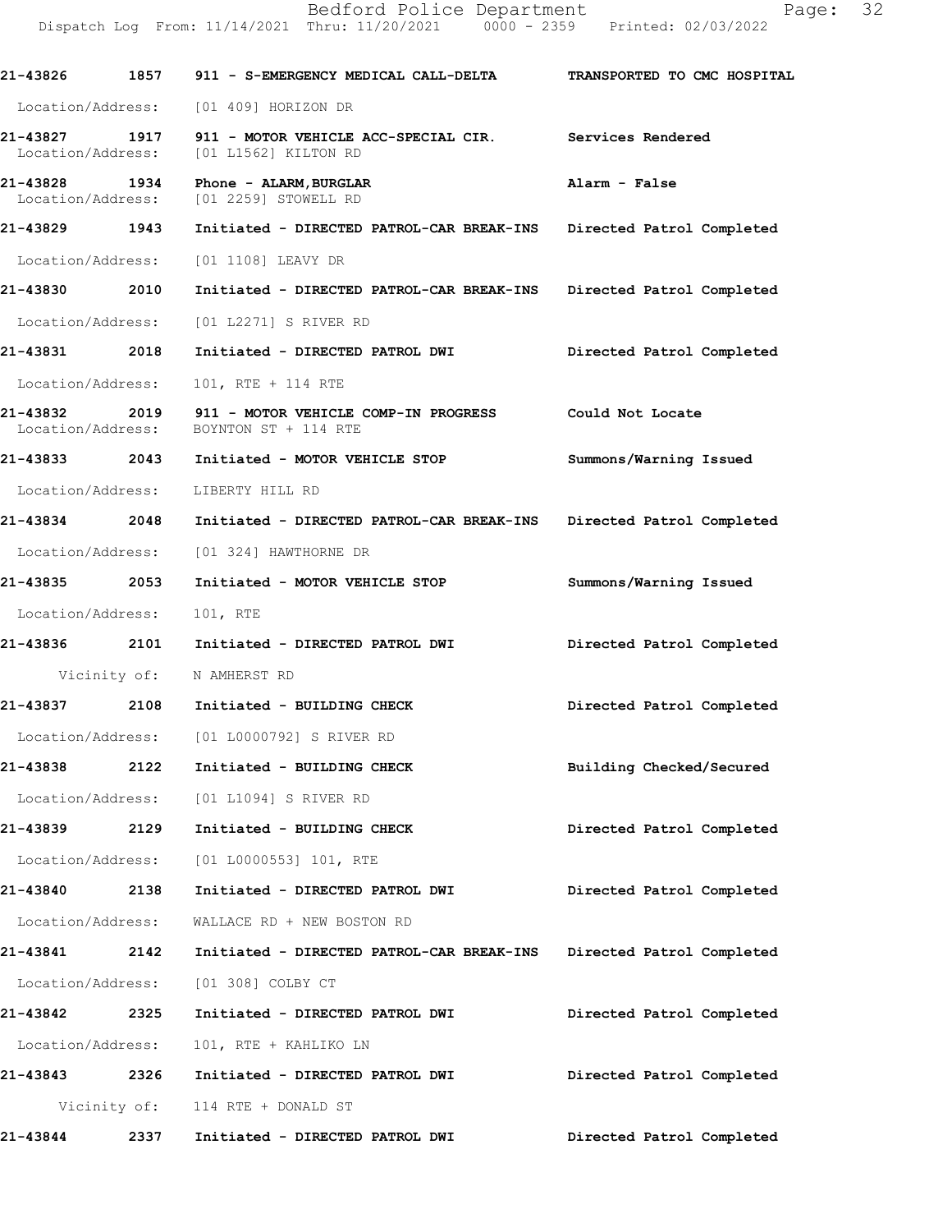|                                    |      | Dispatch Log From: 11/14/2021 Thru: 11/20/2021 0000 - 2359       | Printed: 02/03/2022         |
|------------------------------------|------|------------------------------------------------------------------|-----------------------------|
| 21-43826                           | 1857 | 911 - S-EMERGENCY MEDICAL CALL-DELTA                             | TRANSPORTED TO CMC HOSPITAL |
| Location/Address:                  |      | [01 409] HORIZON DR                                              |                             |
| 21-43827 1917<br>Location/Address: |      | 911 - MOTOR VEHICLE ACC-SPECIAL CIR.<br>[01 L1562] KILTON RD     | <b>Services Rendered</b>    |
| 21-43828 1934                      |      | Phone - ALARM, BURGLAR<br>Location/Address: [01 2259] STOWELL RD | Alarm - False               |
| 21-43829                           | 1943 | Initiated - DIRECTED PATROL-CAR BREAK-INS                        | Directed Patrol Completed   |
| Location/Address:                  |      | [01 1108] LEAVY DR                                               |                             |
| 21-43830                           | 2010 | Initiated - DIRECTED PATROL-CAR BREAK-INS                        | Directed Patrol Completed   |
| Location/Address:                  |      | [01 L2271] S RIVER RD                                            |                             |
| 21-43831                           | 2018 | Initiated - DIRECTED PATROL DWI                                  | Directed Patrol Completed   |
| Location/Address:                  |      | 101, RTE + 114 RTE                                               |                             |
| 21-43832<br>Location/Address:      | 2019 | 911 - MOTOR VEHICLE COMP-IN PROGRESS<br>BOYNTON ST + 114 RTE     | Could Not Locate            |
| 21-43833 2043                      |      | Initiated - MOTOR VEHICLE STOP                                   | Summons/Warning Issued      |
| Location/Address:                  |      | LIBERTY HILL RD                                                  |                             |
| 21-43834                           | 2048 | Initiated - DIRECTED PATROL-CAR BREAK-INS                        | Directed Patrol Completed   |
| Location/Address:                  |      | [01 324] HAWTHORNE DR                                            |                             |
| 21-43835                           | 2053 | Initiated - MOTOR VEHICLE STOP                                   | Summons/Warning Issued      |
| Location/Address:                  |      | 101, RTE                                                         |                             |
| 21-43836                           | 2101 | Initiated - DIRECTED PATROL DWI                                  | Directed Patrol Completed   |
|                                    |      | Vicinity of: N AMHERST RD                                        |                             |
| 21-43837                           | 2108 | Initiated - BUILDING CHECK                                       | Directed Patrol Completed   |
|                                    |      | Location/Address: [01 L0000792] S RIVER RD                       |                             |
| 21-43838                           | 2122 | Initiated - BUILDING CHECK                                       | Building Checked/Secured    |
| Location/Address:                  |      | [01 L1094] S RIVER RD                                            |                             |
| 21-43839                           | 2129 | Initiated - BUILDING CHECK                                       | Directed Patrol Completed   |
|                                    |      | Location/Address: [01 L0000553] 101, RTE                         |                             |
| 21-43840                           | 2138 | Initiated - DIRECTED PATROL DWI                                  | Directed Patrol Completed   |
| Location/Address:                  |      | WALLACE RD + NEW BOSTON RD                                       |                             |
| 21-43841                           | 2142 | Initiated - DIRECTED PATROL-CAR BREAK-INS                        | Directed Patrol Completed   |
| Location/Address:                  |      | [01 308] COLBY CT                                                |                             |
| 21-43842                           | 2325 | Initiated - DIRECTED PATROL DWI                                  | Directed Patrol Completed   |
| Location/Address:                  |      | 101, RTE + KAHLIKO LN                                            |                             |
| 21-43843                           | 2326 | Initiated - DIRECTED PATROL DWI                                  | Directed Patrol Completed   |
|                                    |      | Vicinity of: 114 RTE + DONALD ST                                 |                             |
| 21-43844                           | 2337 | Initiated - DIRECTED PATROL DWI                                  | Directed Patrol Completed   |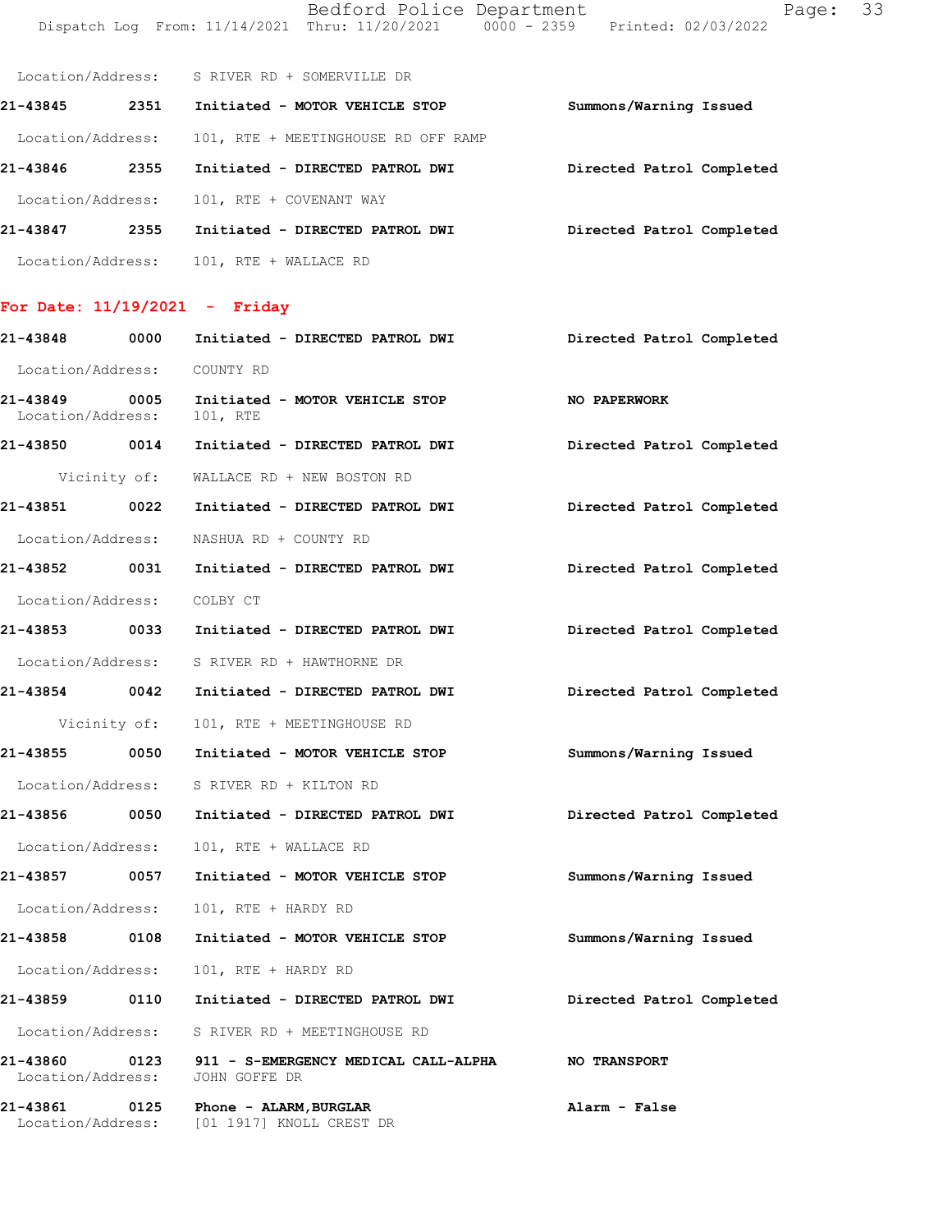Bedford Police Department Page: 33 Dispatch Log From: 11/14/2021 Thru: 11/20/2021 0000 - 2359 Printed: 02/03/2022

|          |                   | Location/Address: S RIVER RD + SOMERVILLE DR |                           |
|----------|-------------------|----------------------------------------------|---------------------------|
| 21-43845 | 2351              | Initiated - MOTOR VEHICLE STOP               | Summons/Warning Issued    |
|          | Location/Address: | 101, RTE + MEETINGHOUSE RD OFF RAMP          |                           |
| 21-43846 | 2355              | Initiated - DIRECTED PATROL DWI              | Directed Patrol Completed |
|          | Location/Address: | 101, RTE + COVENANT WAY                      |                           |
| 21-43847 | 2355              | Initiated - DIRECTED PATROL DWI              | Directed Patrol Completed |
|          | Location/Address: | 101, RTE + WALLACE RD                        |                           |

# For Date:  $11/19/2021$  - Friday

| 21-43848                           | 0000         | Initiated - DIRECTED PATROL DWI                                     | Directed Patrol Completed |
|------------------------------------|--------------|---------------------------------------------------------------------|---------------------------|
| Location/Address:                  |              | COUNTY RD                                                           |                           |
| 21-43849<br>Location/Address:      | 0005         | Initiated - MOTOR VEHICLE STOP<br>101, RTE                          | <b>NO PAPERWORK</b>       |
| 21-43850 0014                      |              | Initiated - DIRECTED PATROL DWI                                     | Directed Patrol Completed |
|                                    |              | Vicinity of: WALLACE RD + NEW BOSTON RD                             |                           |
|                                    |              | 21-43851 0022 Initiated - DIRECTED PATROL DWI                       | Directed Patrol Completed |
|                                    |              | Location/Address: NASHUA RD + COUNTY RD                             |                           |
|                                    |              | 21-43852 0031 Initiated - DIRECTED PATROL DWI                       | Directed Patrol Completed |
| Location/Address: COLBY CT         |              |                                                                     |                           |
|                                    |              |                                                                     | Directed Patrol Completed |
|                                    |              | Location/Address: S RIVER RD + HAWTHORNE DR                         |                           |
| 21-43854 0042                      |              | Initiated - DIRECTED PATROL DWI                                     | Directed Patrol Completed |
|                                    | Vicinity of: | 101, RTE + MEETINGHOUSE RD                                          |                           |
| 21-43855 0050                      |              | Initiated - MOTOR VEHICLE STOP                                      | Summons/Warning Issued    |
|                                    |              | Location/Address: S RIVER RD + KILTON RD                            |                           |
| 21-43856 0050                      |              | Initiated - DIRECTED PATROL DWI                                     | Directed Patrol Completed |
| Location/Address:                  |              | 101, RTE + WALLACE RD                                               |                           |
| 21-43857 0057                      |              | Initiated - MOTOR VEHICLE STOP                                      | Summons/Warning Issued    |
| Location/Address:                  |              | 101, RTE + HARDY RD                                                 |                           |
| 21-43858 0108                      |              | Initiated - MOTOR VEHICLE STOP                                      | Summons/Warning Issued    |
| Location/Address:                  |              | 101, RTE + HARDY RD                                                 |                           |
|                                    |              |                                                                     | Directed Patrol Completed |
|                                    |              | Location/Address: S RIVER RD + MEETINGHOUSE RD                      |                           |
| Location/Address:                  |              | 21-43860 0123 911 - S-EMERGENCY MEDICAL CALL-ALPHA<br>JOHN GOFFE DR | <b>NO TRANSPORT</b>       |
| 21-43861 0125<br>Location/Address: |              | Phone - ALARM, BURGLAR<br>[01 1917] KNOLL CREST DR                  | Alarm - False             |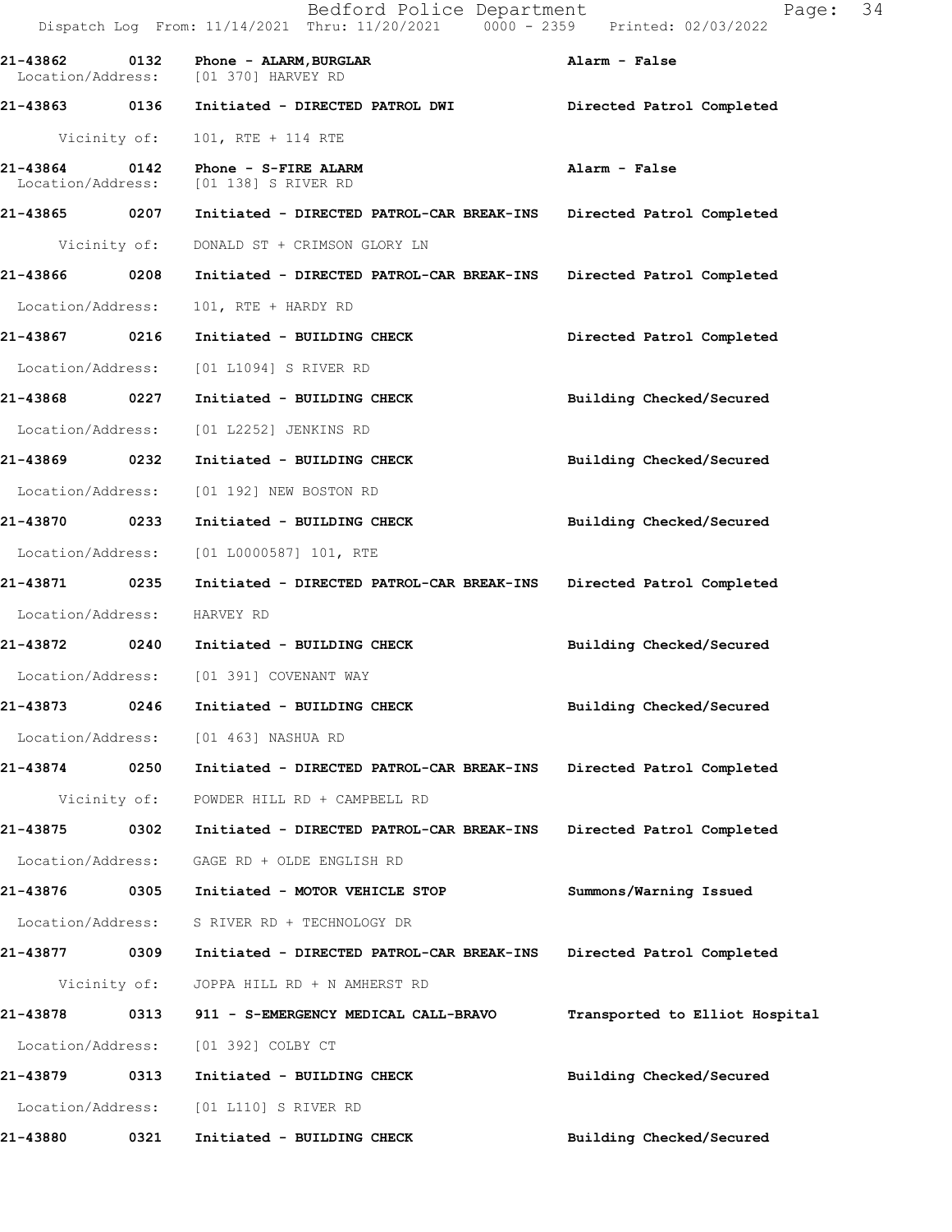|                               |              | Bedford Police Department<br>Dispatch Log From: 11/14/2021 Thru: 11/20/2021 0000 - 2359 Printed: 02/03/2022 | 34<br>Page:                    |
|-------------------------------|--------------|-------------------------------------------------------------------------------------------------------------|--------------------------------|
| 21-43862                      | 0132         | Phone - ALARM, BURGLAR<br>Location/Address: [01 370] HARVEY RD                                              | Alarm - False                  |
|                               |              | 21-43863 0136 Initiated - DIRECTED PATROL DWI                                                               | Directed Patrol Completed      |
| Vicinity of:                  |              | 101, RTE + 114 RTE                                                                                          |                                |
| 21-43864<br>Location/Address: | 0142         | Phone - S-FIRE ALARM<br>[01 138] S RIVER RD                                                                 | Alarm - False                  |
| 21-43865 0207                 |              | Initiated - DIRECTED PATROL-CAR BREAK-INS                                                                   | Directed Patrol Completed      |
|                               | Vicinity of: | DONALD ST + CRIMSON GLORY LN                                                                                |                                |
| 21-43866 0208                 |              | Initiated - DIRECTED PATROL-CAR BREAK-INS                                                                   | Directed Patrol Completed      |
| Location/Address:             |              | 101, RTE + HARDY RD                                                                                         |                                |
| 21-43867                      | 0216         | Initiated - BUILDING CHECK                                                                                  | Directed Patrol Completed      |
| Location/Address:             |              | [01 L1094] S RIVER RD                                                                                       |                                |
| 21-43868 0227                 |              | Initiated - BUILDING CHECK                                                                                  | Building Checked/Secured       |
| Location/Address:             |              | [01 L2252] JENKINS RD                                                                                       |                                |
| 21-43869 0232                 |              | Initiated - BUILDING CHECK                                                                                  | Building Checked/Secured       |
| Location/Address:             |              | [01 192] NEW BOSTON RD                                                                                      |                                |
| 21-43870                      | 0233         | Initiated - BUILDING CHECK                                                                                  | Building Checked/Secured       |
| Location/Address:             |              | $[01 L0000587] 101$ , RTE                                                                                   |                                |
| 21-43871                      | 0235         | Initiated - DIRECTED PATROL-CAR BREAK-INS                                                                   | Directed Patrol Completed      |
| Location/Address:             |              | HARVEY RD                                                                                                   |                                |
|                               |              | 21-43872 0240 Initiated - BUILDING CHECK                                                                    | Building Checked/Secured       |
|                               |              | Location/Address: [01 391] COVENANT WAY                                                                     |                                |
| 21-43873                      | 0246         | Initiated - BUILDING CHECK                                                                                  | Building Checked/Secured       |
| Location/Address:             |              | [01 463] NASHUA RD                                                                                          |                                |
| 21-43874 0250                 |              | Initiated - DIRECTED PATROL-CAR BREAK-INS                                                                   | Directed Patrol Completed      |
|                               | Vicinity of: | POWDER HILL RD + CAMPBELL RD                                                                                |                                |
| 21-43875                      | 0302         | Initiated - DIRECTED PATROL-CAR BREAK-INS                                                                   | Directed Patrol Completed      |
| Location/Address:             |              | GAGE RD + OLDE ENGLISH RD                                                                                   |                                |
| 21-43876                      | 0305         | Initiated - MOTOR VEHICLE STOP                                                                              | Summons/Warning Issued         |
| Location/Address:             |              | S RIVER RD + TECHNOLOGY DR                                                                                  |                                |
| 21-43877 0309                 |              | Initiated - DIRECTED PATROL-CAR BREAK-INS                                                                   | Directed Patrol Completed      |
|                               | Vicinity of: | JOPPA HILL RD + N AMHERST RD                                                                                |                                |
| 21-43878                      | 0313         | 911 - S-EMERGENCY MEDICAL CALL-BRAVO                                                                        | Transported to Elliot Hospital |
| Location/Address:             |              | [01 392] COLBY CT                                                                                           |                                |
| 21-43879                      | 0313         | Initiated - BUILDING CHECK                                                                                  | Building Checked/Secured       |
| Location/Address:             |              | [01 L110] S RIVER RD                                                                                        |                                |
| 21-43880                      | 0321         | Initiated - BUILDING CHECK                                                                                  | Building Checked/Secured       |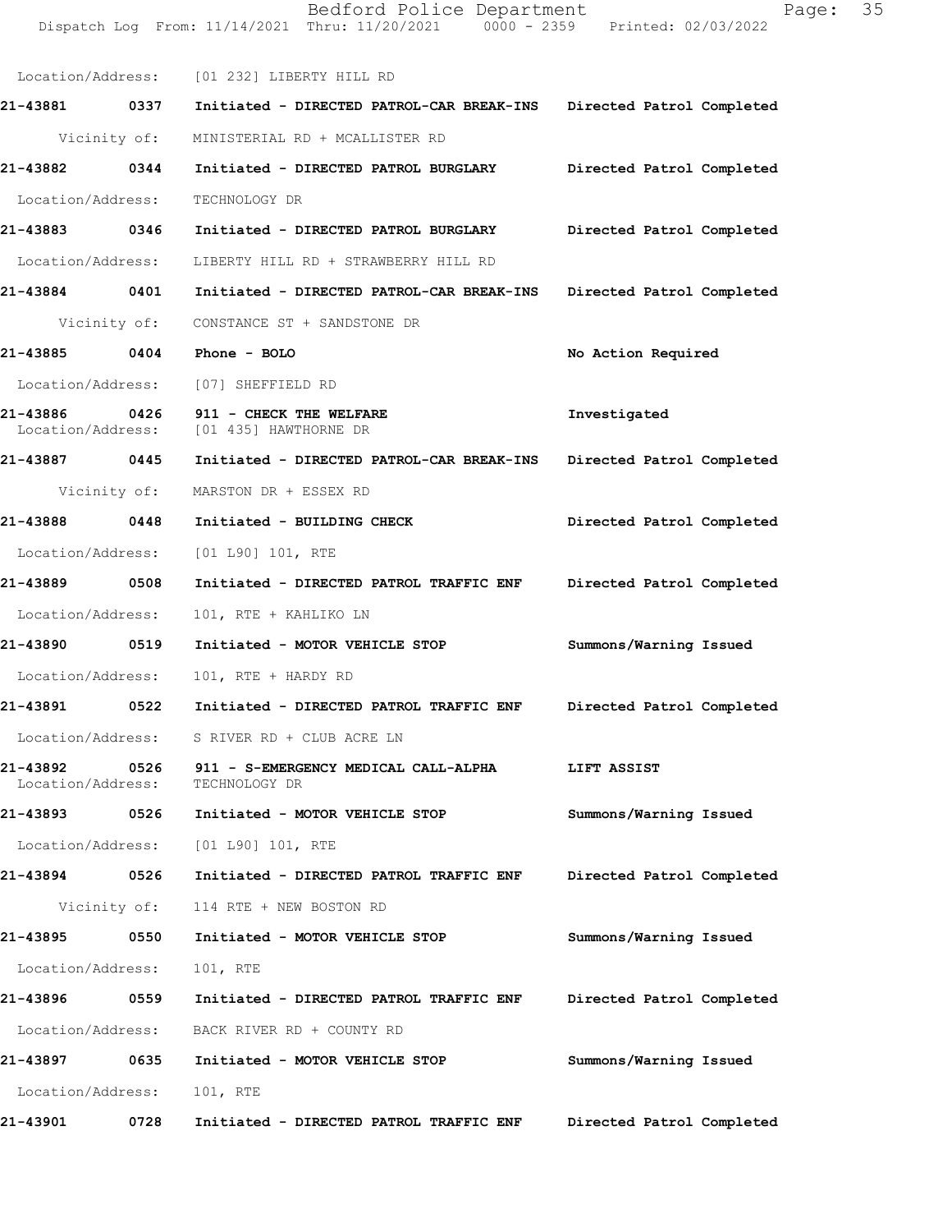|                               |              | Dispatch Log From: 11/14/2021 Thru: 11/20/2021 0000 - 2359 Printed: 02/03/2022    |                           |
|-------------------------------|--------------|-----------------------------------------------------------------------------------|---------------------------|
|                               |              | Location/Address: [01 232] LIBERTY HILL RD                                        |                           |
| 21-43881 0337                 |              | Initiated - DIRECTED PATROL-CAR BREAK-INS Directed Patrol Completed               |                           |
|                               |              | Vicinity of: MINISTERIAL RD + MCALLISTER RD                                       |                           |
| 21-43882 0344                 |              | Initiated - DIRECTED PATROL BURGLARY                                              | Directed Patrol Completed |
| Location/Address:             |              | TECHNOLOGY DR                                                                     |                           |
| 21-43883 0346                 |              | Initiated - DIRECTED PATROL BURGLARY                                              | Directed Patrol Completed |
|                               |              | Location/Address: LIBERTY HILL RD + STRAWBERRY HILL RD                            |                           |
|                               |              | 21-43884 0401 Initiated - DIRECTED PATROL-CAR BREAK-INS Directed Patrol Completed |                           |
|                               |              | Vicinity of: CONSTANCE ST + SANDSTONE DR                                          |                           |
| 21-43885 0404                 |              | Phone - BOLO                                                                      | No Action Required        |
|                               |              | Location/Address: [07] SHEFFIELD RD                                               |                           |
| 21-43886 0426                 |              | 911 - CHECK THE WELFARE<br>Location/Address: [01 435] HAWTHORNE DR                | Investigated              |
| 21-43887 0445                 |              | Initiated - DIRECTED PATROL-CAR BREAK-INS Directed Patrol Completed               |                           |
|                               |              | Vicinity of: MARSTON DR + ESSEX RD                                                |                           |
| 21-43888 0448                 |              | Initiated - BUILDING CHECK                                                        | Directed Patrol Completed |
|                               |              | Location/Address: [01 L90] 101, RTE                                               |                           |
| 21-43889                      | 0508         | Initiated - DIRECTED PATROL TRAFFIC ENF                                           | Directed Patrol Completed |
| Location/Address:             |              | 101, RTE + KAHLIKO LN                                                             |                           |
| 21-43890 0519                 |              | Initiated - MOTOR VEHICLE STOP                                                    | Summons/Warning Issued    |
| Location/Address:             |              | 101, RTE + HARDY RD                                                               |                           |
| 21-43891                      | 0522         | Initiated - DIRECTED PATROL TRAFFIC ENF Directed Patrol Completed                 |                           |
| Location/Address:             |              | S RIVER RD + CLUB ACRE LN                                                         |                           |
| 21-43892<br>Location/Address: | 0526         | 911 - S-EMERGENCY MEDICAL CALL-ALPHA<br>TECHNOLOGY DR                             | LIFT ASSIST               |
| 21-43893                      | 0526         | Initiated - MOTOR VEHICLE STOP                                                    | Summons/Warning Issued    |
| Location/Address:             |              | [01 L90] 101, RTE                                                                 |                           |
| 21-43894                      | 0526         | Initiated - DIRECTED PATROL TRAFFIC ENF                                           | Directed Patrol Completed |
|                               | Vicinity of: | 114 RTE + NEW BOSTON RD                                                           |                           |
| 21-43895                      | 0550         | Initiated - MOTOR VEHICLE STOP                                                    | Summons/Warning Issued    |
| Location/Address:             |              | 101, RTE                                                                          |                           |
| 21-43896                      | 0559         | Initiated - DIRECTED PATROL TRAFFIC ENF                                           | Directed Patrol Completed |
| Location/Address:             |              | BACK RIVER RD + COUNTY RD                                                         |                           |
| 21-43897                      | 0635         | Initiated - MOTOR VEHICLE STOP                                                    | Summons/Warning Issued    |
| Location/Address:             |              | 101, RTE                                                                          |                           |
| 21-43901                      | 0728         | Initiated - DIRECTED PATROL TRAFFIC ENF                                           | Directed Patrol Completed |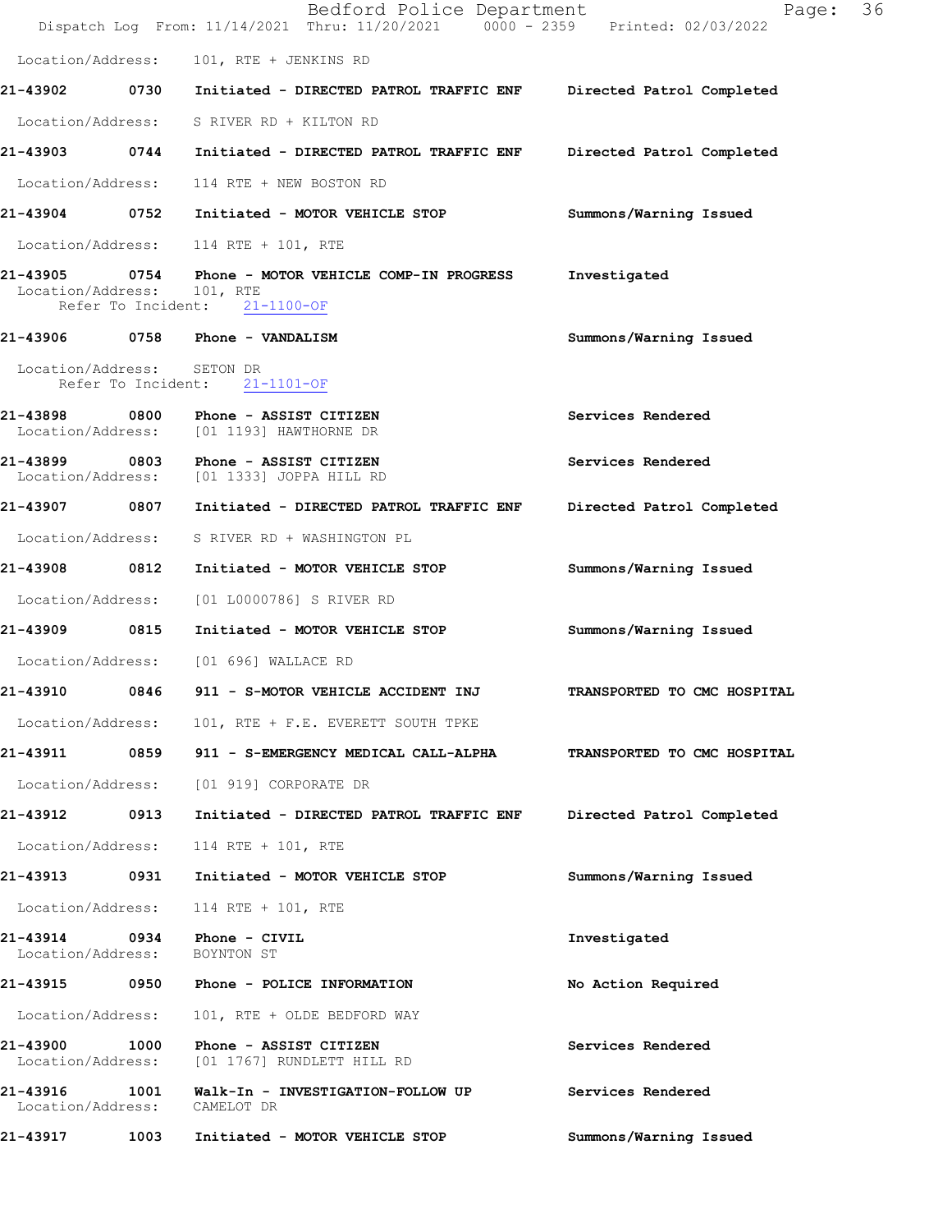|                               |      | Bedford Police Department<br>Dispatch Log From: 11/14/2021 Thru: 11/20/2021 0000 - 2359 Printed: 02/03/2022 | Page:                       | 36 |
|-------------------------------|------|-------------------------------------------------------------------------------------------------------------|-----------------------------|----|
| Location/Address:             |      | 101, RTE + JENKINS RD                                                                                       |                             |    |
|                               |      | 21-43902 0730 Initiated - DIRECTED PATROL TRAFFIC ENF Directed Patrol Completed                             |                             |    |
|                               |      | Location/Address: S RIVER RD + KILTON RD                                                                    |                             |    |
|                               |      | 21-43903 0744 Initiated - DIRECTED PATROL TRAFFIC ENF                                                       | Directed Patrol Completed   |    |
| Location/Address:             |      | 114 RTE + NEW BOSTON RD                                                                                     |                             |    |
|                               |      | 21-43904 0752 Initiated - MOTOR VEHICLE STOP                                                                | Summons/Warning Issued      |    |
|                               |      | Location/Address: 114 RTE + 101, RTE                                                                        |                             |    |
| Location/Address: 101, RTE    |      | 21-43905 0754 Phone - MOTOR VEHICLE COMP-IN PROGRESS<br>Refer To Incident: 21-1100-OF                       | Investigated                |    |
|                               |      | 21-43906 0758 Phone - VANDALISM                                                                             | Summons/Warning Issued      |    |
| Location/Address: SETON DR    |      | Refer To Incident: 21-1101-OF                                                                               |                             |    |
|                               |      | 21-43898 0800 Phone - ASSIST CITIZEN<br>Location/Address: [01 1193] HAWTHORNE DR                            | Services Rendered           |    |
|                               |      | 21-43899 0803 Phone - ASSIST CITIZEN<br>Location/Address: [01 1333] JOPPA HILL RD                           | Services Rendered           |    |
| 21-43907 0807                 |      | Initiated - DIRECTED PATROL TRAFFIC ENF                                                                     | Directed Patrol Completed   |    |
| Location/Address:             |      | S RIVER RD + WASHINGTON PL                                                                                  |                             |    |
| 21-43908 0812                 |      | Initiated - MOTOR VEHICLE STOP                                                                              | Summons/Warning Issued      |    |
| Location/Address:             |      | [01 L0000786] S RIVER RD                                                                                    |                             |    |
| 21-43909 0815                 |      | Initiated - MOTOR VEHICLE STOP                                                                              | Summons/Warning Issued      |    |
|                               |      | Location/Address: [01 696] WALLACE RD                                                                       |                             |    |
| 21-43910                      | 0846 | 911 - S-MOTOR VEHICLE ACCIDENT INJ                                                                          | TRANSPORTED TO CMC HOSPITAL |    |
|                               |      | Location/Address: 101, RTE + F.E. EVERETT SOUTH TPKE                                                        |                             |    |
| 21-43911                      |      | 0859 911 - S-EMERGENCY MEDICAL CALL-ALPHA                                                                   | TRANSPORTED TO CMC HOSPITAL |    |
| Location/Address:             |      | [01 919] CORPORATE DR                                                                                       |                             |    |
| 21-43912                      | 0913 | Initiated - DIRECTED PATROL TRAFFIC ENF                                                                     | Directed Patrol Completed   |    |
| Location/Address:             |      | 114 RTE + 101, RTE                                                                                          |                             |    |
| 21-43913 0931                 |      | Initiated - MOTOR VEHICLE STOP                                                                              | Summons/Warning Issued      |    |
| Location/Address:             |      | 114 RTE + 101, RTE                                                                                          |                             |    |
| 21-43914<br>Location/Address: | 0934 | Phone - CIVIL<br>BOYNTON ST                                                                                 | Investigated                |    |
| 21-43915                      |      | 0950 Phone - POLICE INFORMATION                                                                             | No Action Required          |    |
| Location/Address:             |      | 101, RTE + OLDE BEDFORD WAY                                                                                 |                             |    |
| 21-43900<br>Location/Address: | 1000 | Phone - ASSIST CITIZEN<br>[01 1767] RUNDLETT HILL RD                                                        | Services Rendered           |    |
| 21-43916<br>Location/Address: | 1001 | Walk-In - INVESTIGATION-FOLLOW UP<br>CAMELOT DR                                                             | Services Rendered           |    |
| 21-43917                      | 1003 | Initiated - MOTOR VEHICLE STOP                                                                              | Summons/Warning Issued      |    |
|                               |      |                                                                                                             |                             |    |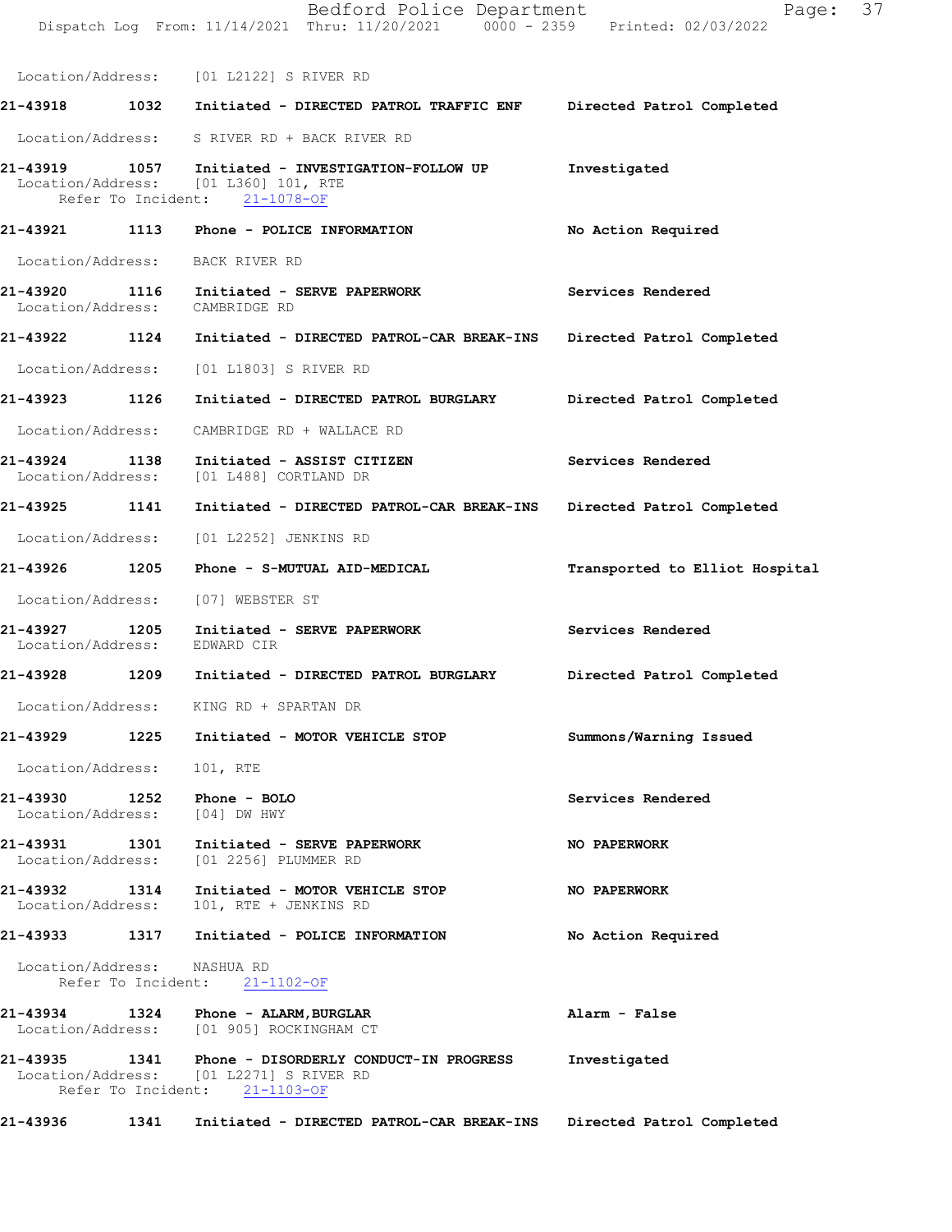|                                    |      | Bedford Police Department<br>Dispatch Log From: 11/14/2021 Thru: 11/20/2021 0000 - 2359 Printed: 02/03/2022                      | Page:                          | 37 |
|------------------------------------|------|----------------------------------------------------------------------------------------------------------------------------------|--------------------------------|----|
|                                    |      | Location/Address: [01 L2122] S RIVER RD                                                                                          |                                |    |
|                                    |      |                                                                                                                                  | Directed Patrol Completed      |    |
|                                    |      | Location/Address: S RIVER RD + BACK RIVER RD                                                                                     |                                |    |
|                                    |      | 21-43919 1057 Initiated - INVESTIGATION-FOLLOW UP<br>Location/Address: [01 L360] 101, RTE<br>Refer To Incident: 21-1078-OF       | Investigated                   |    |
|                                    |      | 21-43921 1113 Phone - POLICE INFORMATION                                                                                         | No Action Required             |    |
|                                    |      | Location/Address: BACK RIVER RD                                                                                                  |                                |    |
| Location/Address: CAMBRIDGE RD     |      | 21-43920 1116 Initiated - SERVE PAPERWORK                                                                                        | Services Rendered              |    |
|                                    |      | 21-43922 1124 Initiated - DIRECTED PATROL-CAR BREAK-INS                                                                          | Directed Patrol Completed      |    |
|                                    |      | Location/Address: [01 L1803] S RIVER RD                                                                                          |                                |    |
| 21-43923 1126                      |      | Initiated - DIRECTED PATROL BURGLARY                                                                                             | Directed Patrol Completed      |    |
| Location/Address:                  |      | CAMBRIDGE RD + WALLACE RD                                                                                                        |                                |    |
| 21-43924 1138                      |      | Initiated - ASSIST CITIZEN<br>Location/Address: [01 L488] CORTLAND DR                                                            | Services Rendered              |    |
|                                    |      | 21-43925 1141 Initiated - DIRECTED PATROL-CAR BREAK-INS Directed Patrol Completed                                                |                                |    |
| Location/Address:                  |      | [01 L2252] JENKINS RD                                                                                                            |                                |    |
|                                    |      | 21-43926 1205 Phone - S-MUTUAL AID-MEDICAL                                                                                       | Transported to Elliot Hospital |    |
| Location/Address:                  |      | [07] WEBSTER ST                                                                                                                  |                                |    |
| Location/Address: EDWARD CIR       |      | 21-43927 1205 Initiated - SERVE PAPERWORK                                                                                        | Services Rendered              |    |
|                                    |      | 21-43928 1209 Initiated - DIRECTED PATROL BURGLARY                                                                               | Directed Patrol Completed      |    |
|                                    |      | Location/Address: KING RD + SPARTAN DR                                                                                           |                                |    |
| 21-43929                           |      | 1225 Initiated - MOTOR VEHICLE STOP                                                                                              | Summons/Warning Issued         |    |
| Location/Address:                  |      | 101, RTE                                                                                                                         |                                |    |
| 21-43930 1252<br>Location/Address: |      | Phone - BOLO<br>[04] DW HWY                                                                                                      | Services Rendered              |    |
| 21-43931 1301<br>Location/Address: |      | Initiated - SERVE PAPERWORK<br>[01 2256] PLUMMER RD                                                                              | NO PAPERWORK                   |    |
| 21-43932 1314<br>Location/Address: |      | Initiated - MOTOR VEHICLE STOP<br>101, RTE + JENKINS RD                                                                          | NO PAPERWORK                   |    |
|                                    |      | 21-43933   1317   Initiated - POLICE INFORMATION                                                                                 | No Action Required             |    |
| Location/Address: NASHUA RD        |      | Refer To Incident: 21-1102-OF                                                                                                    |                                |    |
|                                    |      | Location/Address: [01 905] ROCKINGHAM CT                                                                                         | Alarm - False                  |    |
|                                    |      | 21-43935 1341 Phone - DISORDERLY CONDUCT-IN PROGRESS<br>Location/Address: [01 L2271] S RIVER RD<br>Refer To Incident: 21-1103-OF | Investigated                   |    |
| 21-43936                           | 1341 | Initiated - DIRECTED PATROL-CAR BREAK-INS                                                                                        | Directed Patrol Completed      |    |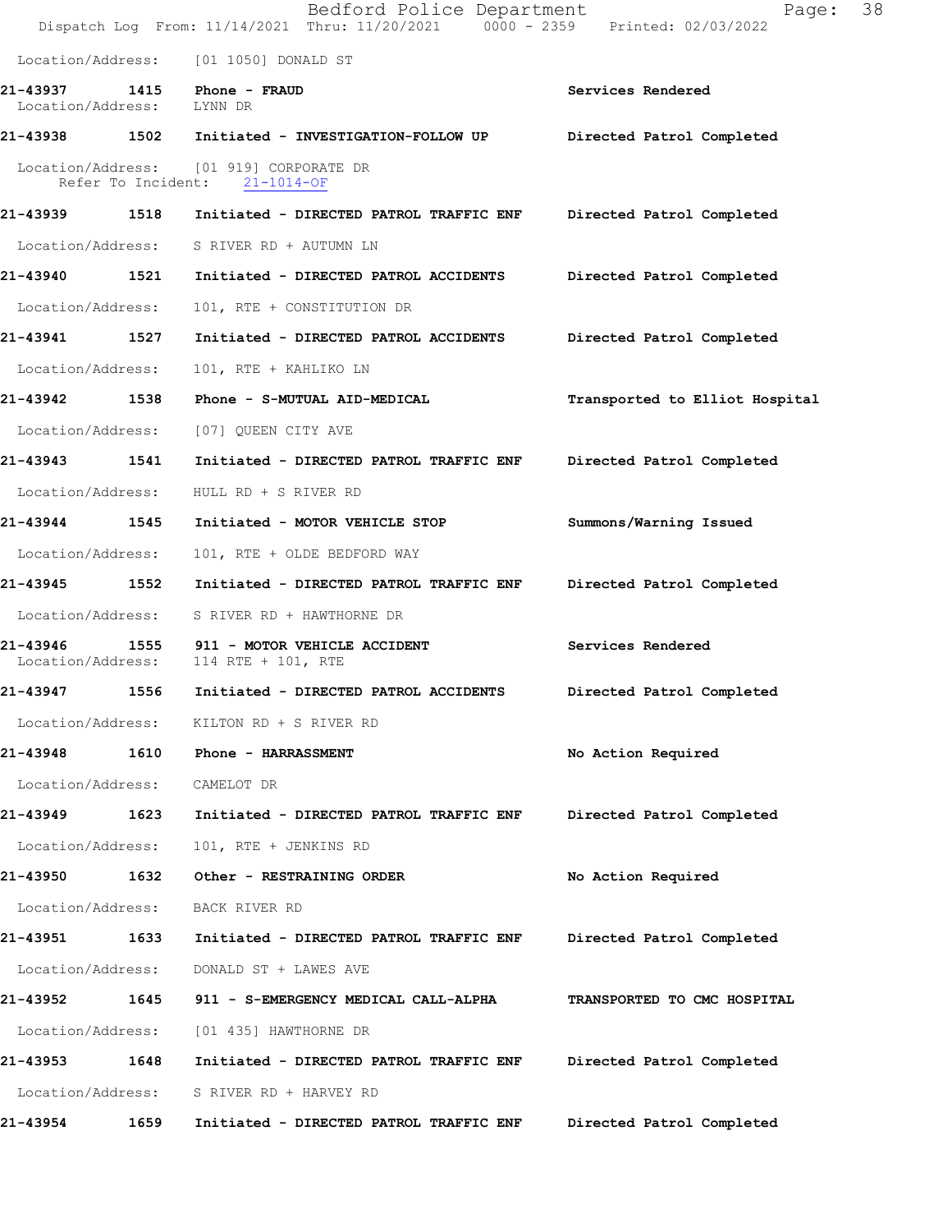|                           |      | Bedford Police Department<br>Dispatch Log From: 11/14/2021 Thru: 11/20/2021 0000 - 2359 Printed: 02/03/2022 | Page:                          | 38 |
|---------------------------|------|-------------------------------------------------------------------------------------------------------------|--------------------------------|----|
|                           |      | Location/Address: [01 1050] DONALD ST                                                                       |                                |    |
| Location/Address: LYNN DR |      | 21-43937 1415 Phone - FRAUD                                                                                 | Services Rendered              |    |
|                           |      | 21-43938 1502 Initiated - INVESTIGATION-FOLLOW UP Directed Patrol Completed                                 |                                |    |
|                           |      | Location/Address: [01 919] CORPORATE DR<br>Refer To Incident: 21-1014-OF                                    |                                |    |
| 21-43939 1518             |      | Initiated - DIRECTED PATROL TRAFFIC ENF                                                                     | Directed Patrol Completed      |    |
|                           |      | Location/Address: S RIVER RD + AUTUMN LN                                                                    |                                |    |
| 21-43940 1521             |      | Initiated - DIRECTED PATROL ACCIDENTS Directed Patrol Completed                                             |                                |    |
| Location/Address:         |      | 101, RTE + CONSTITUTION DR                                                                                  |                                |    |
| 21-43941 1527             |      | Initiated - DIRECTED PATROL ACCIDENTS Directed Patrol Completed                                             |                                |    |
| Location/Address:         |      | 101, RTE + KAHLIKO LN                                                                                       |                                |    |
| 21-43942 1538             |      | Phone - S-MUTUAL AID-MEDICAL                                                                                | Transported to Elliot Hospital |    |
| Location/Address:         |      | [07] QUEEN CITY AVE                                                                                         |                                |    |
| 21-43943 1541             |      | Initiated - DIRECTED PATROL TRAFFIC ENF                                                                     | Directed Patrol Completed      |    |
| Location/Address:         |      | HULL RD + S RIVER RD                                                                                        |                                |    |
| 21-43944 1545             |      | Initiated - MOTOR VEHICLE STOP                                                                              | Summons/Warning Issued         |    |
| Location/Address:         |      | 101, RTE + OLDE BEDFORD WAY                                                                                 |                                |    |
| 21-43945                  | 1552 | Initiated - DIRECTED PATROL TRAFFIC ENF                                                                     | Directed Patrol Completed      |    |
| Location/Address:         |      | S RIVER RD + HAWTHORNE DR                                                                                   |                                |    |
| Location/Address:         |      | 21-43946 1555 911 - MOTOR VEHICLE ACCIDENT<br>114 RTE + 101, RTE                                            | Services Rendered              |    |
| 21-43947                  | 1556 | Initiated - DIRECTED PATROL ACCIDENTS                                                                       | Directed Patrol Completed      |    |
|                           |      | Location/Address: KILTON RD + S RIVER RD                                                                    |                                |    |
| 21-43948                  |      | 1610 Phone - HARRASSMENT                                                                                    | No Action Required             |    |
| Location/Address:         |      | CAMELOT DR                                                                                                  |                                |    |
| 21-43949                  | 1623 | Initiated - DIRECTED PATROL TRAFFIC ENF                                                                     | Directed Patrol Completed      |    |
| Location/Address:         |      | 101, RTE + JENKINS RD                                                                                       |                                |    |
| 21-43950                  | 1632 | Other - RESTRAINING ORDER                                                                                   | No Action Required             |    |
| Location/Address:         |      | BACK RIVER RD                                                                                               |                                |    |
| 21-43951                  | 1633 | Initiated - DIRECTED PATROL TRAFFIC ENF                                                                     | Directed Patrol Completed      |    |
| Location/Address:         |      | DONALD ST + LAWES AVE                                                                                       |                                |    |
| 21-43952                  | 1645 | 911 - S-EMERGENCY MEDICAL CALL-ALPHA                                                                        | TRANSPORTED TO CMC HOSPITAL    |    |
| Location/Address:         |      | [01 435] HAWTHORNE DR                                                                                       |                                |    |
| 21-43953                  | 1648 | Initiated - DIRECTED PATROL TRAFFIC ENF                                                                     | Directed Patrol Completed      |    |
| Location/Address:         |      | S RIVER RD + HARVEY RD                                                                                      |                                |    |
| 21-43954                  | 1659 | Initiated - DIRECTED PATROL TRAFFIC ENF                                                                     | Directed Patrol Completed      |    |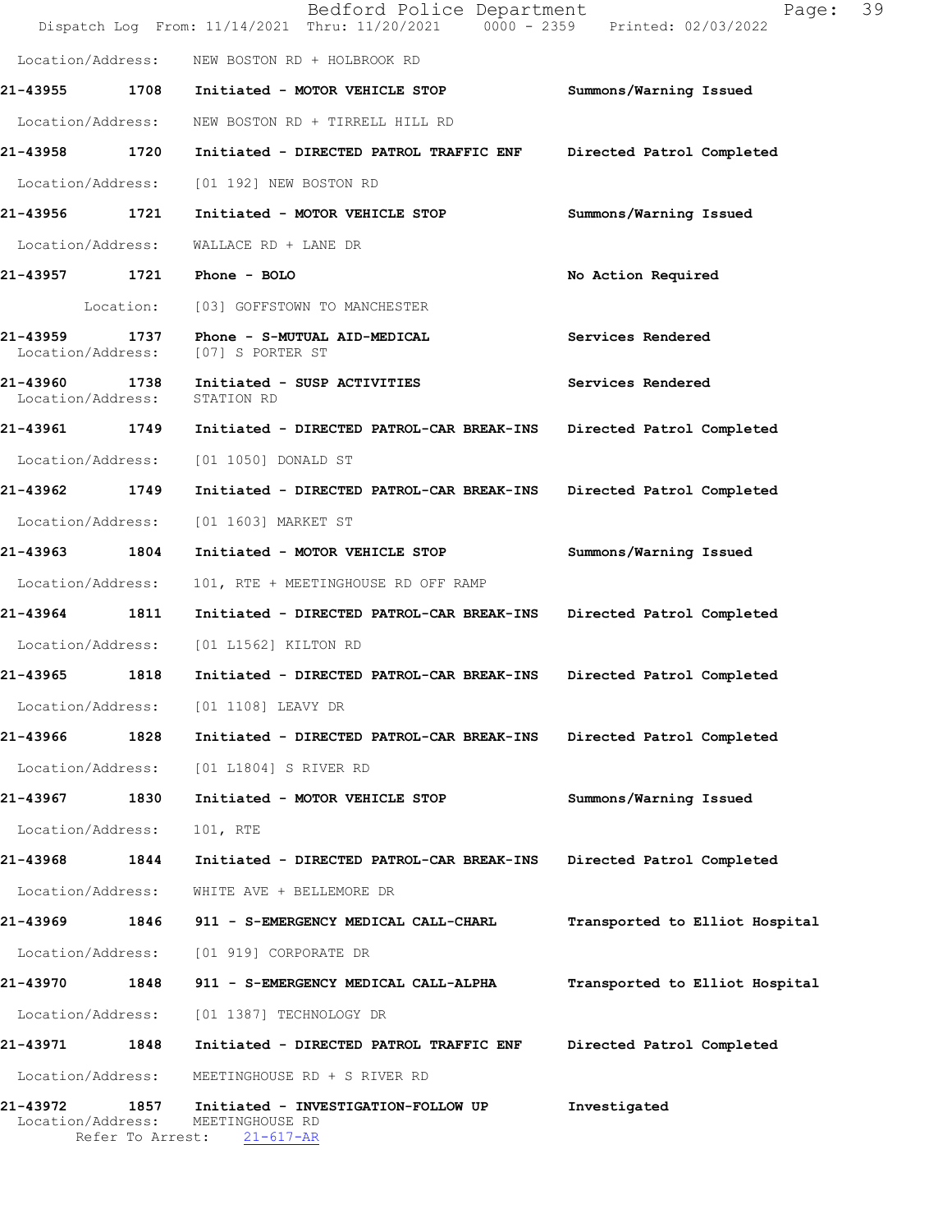|                               |                          | Bedford Police Department<br>Dispatch Log From: 11/14/2021 Thru: 11/20/2021 0000 - 2359 Printed: 02/03/2022 | 39<br>Page:                    |
|-------------------------------|--------------------------|-------------------------------------------------------------------------------------------------------------|--------------------------------|
| Location/Address:             |                          | NEW BOSTON RD + HOLBROOK RD                                                                                 |                                |
| 21-43955                      | 1708                     | Initiated - MOTOR VEHICLE STOP                                                                              | Summons/Warning Issued         |
| Location/Address:             |                          | NEW BOSTON RD + TIRRELL HILL RD                                                                             |                                |
| 21-43958                      | 1720                     | Initiated - DIRECTED PATROL TRAFFIC ENF                                                                     | Directed Patrol Completed      |
| Location/Address:             |                          | [01 192] NEW BOSTON RD                                                                                      |                                |
| 21-43956 1721                 |                          | Initiated - MOTOR VEHICLE STOP                                                                              | Summons/Warning Issued         |
| Location/Address:             |                          | WALLACE RD + LANE DR                                                                                        |                                |
| 21-43957 1721                 |                          | Phone - BOLO                                                                                                | No Action Required             |
|                               | Location:                | [03] GOFFSTOWN TO MANCHESTER                                                                                |                                |
| 21-43959<br>Location/Address: | 1737                     | Phone - S-MUTUAL AID-MEDICAL<br>[07] S PORTER ST                                                            | Services Rendered              |
| 21-43960<br>Location/Address: | 1738                     | Initiated - SUSP ACTIVITIES<br>STATION RD                                                                   | Services Rendered              |
| 21-43961 1749                 |                          | Initiated - DIRECTED PATROL-CAR BREAK-INS                                                                   | Directed Patrol Completed      |
| Location/Address:             |                          | [01 1050] DONALD ST                                                                                         |                                |
| 21-43962                      | 1749                     | Initiated - DIRECTED PATROL-CAR BREAK-INS                                                                   | Directed Patrol Completed      |
| Location/Address:             |                          | [01 1603] MARKET ST                                                                                         |                                |
| 21-43963 1804                 |                          | Initiated - MOTOR VEHICLE STOP                                                                              | Summons/Warning Issued         |
| Location/Address:             |                          | 101, RTE + MEETINGHOUSE RD OFF RAMP                                                                         |                                |
| 21-43964                      | 1811                     | Initiated - DIRECTED PATROL-CAR BREAK-INS                                                                   | Directed Patrol Completed      |
| Location/Address:             |                          | [01 L1562] KILTON RD                                                                                        |                                |
| 21-43965                      | 1818                     | Initiated - DIRECTED PATROL-CAR BREAK-INS                                                                   | Directed Patrol Completed      |
| Location/Address:             |                          | [01 1108] LEAVY DR                                                                                          |                                |
| 21-43966                      | 1828                     | Initiated - DIRECTED PATROL-CAR BREAK-INS                                                                   | Directed Patrol Completed      |
| Location/Address:             |                          | [01 L1804] S RIVER RD                                                                                       |                                |
| 21-43967                      | 1830                     | Initiated - MOTOR VEHICLE STOP                                                                              | Summons/Warning Issued         |
| Location/Address:             |                          | 101, RTE                                                                                                    |                                |
| 21-43968 1844                 |                          | Initiated - DIRECTED PATROL-CAR BREAK-INS                                                                   | Directed Patrol Completed      |
| Location/Address:             |                          | WHITE AVE + BELLEMORE DR                                                                                    |                                |
| 21-43969                      | 1846                     | 911 - S-EMERGENCY MEDICAL CALL-CHARL                                                                        | Transported to Elliot Hospital |
| Location/Address:             |                          | [01 919] CORPORATE DR                                                                                       |                                |
| 21-43970                      | 1848                     | 911 - S-EMERGENCY MEDICAL CALL-ALPHA                                                                        | Transported to Elliot Hospital |
| Location/Address:             |                          | [01 1387] TECHNOLOGY DR                                                                                     |                                |
| 21-43971 1848                 |                          | Initiated - DIRECTED PATROL TRAFFIC ENF                                                                     | Directed Patrol Completed      |
| Location/Address:             |                          | MEETINGHOUSE RD + S RIVER RD                                                                                |                                |
| 21-43972<br>Location/Address: | 1857<br>Refer To Arrest: | Initiated - INVESTIGATION-FOLLOW UP<br>MEETINGHOUSE RD<br>$21 - 617 - AR$                                   | Investigated                   |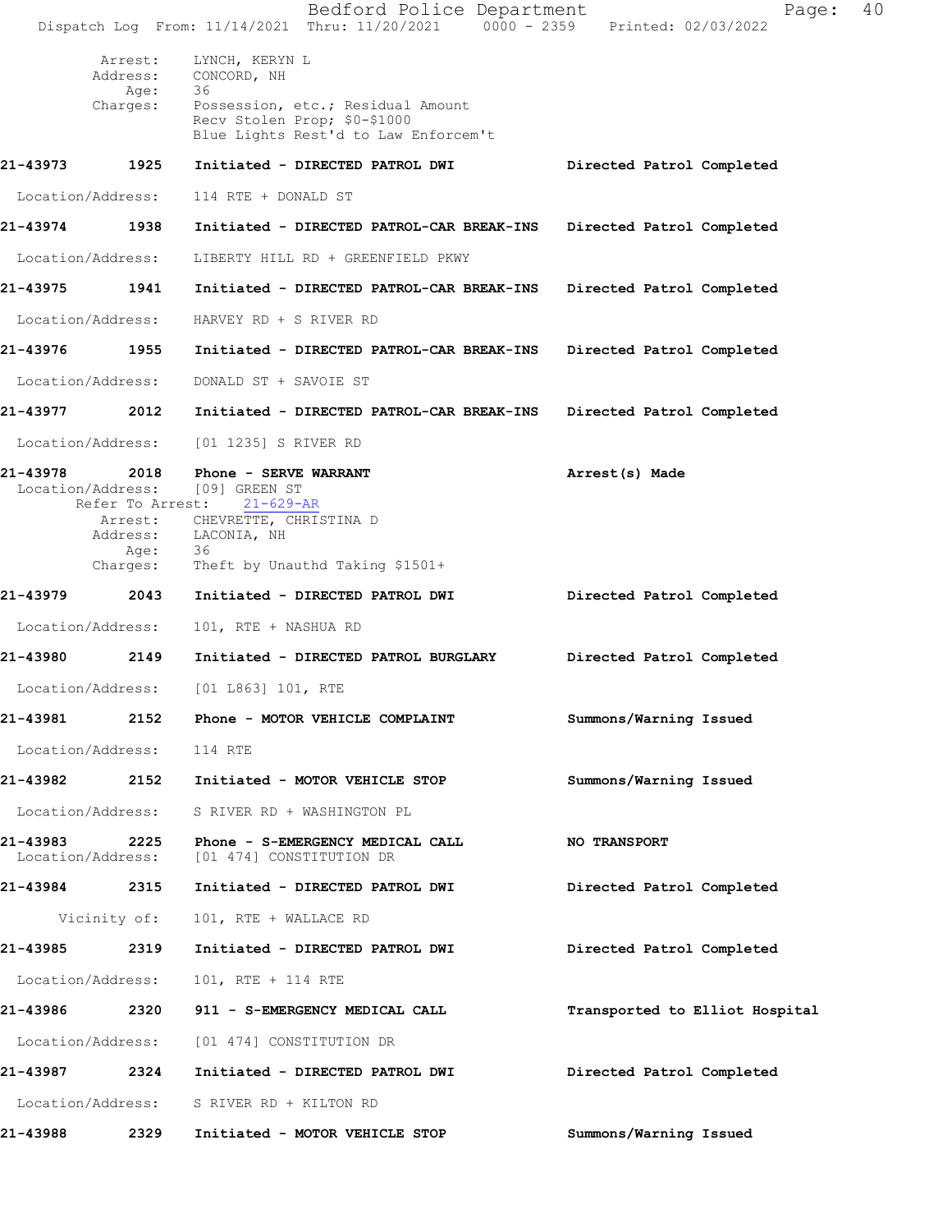|                                    |                             | Bedford Police Department<br>Dispatch Log From: 11/14/2021 Thru: 11/20/2021 0000 - 2359 Printed: 02/03/2022 | 40<br>Page:                    |  |
|------------------------------------|-----------------------------|-------------------------------------------------------------------------------------------------------------|--------------------------------|--|
|                                    | Arrest:<br>Address:<br>Age: | LYNCH, KERYN L<br>CONCORD, NH<br>36                                                                         |                                |  |
|                                    | Charges:                    | Possession, etc.; Residual Amount<br>Recv Stolen Prop; \$0-\$1000<br>Blue Lights Rest'd to Law Enforcem't   |                                |  |
| 21-43973                           | 1925                        | Initiated - DIRECTED PATROL DWI                                                                             | Directed Patrol Completed      |  |
| Location/Address:                  |                             | 114 RTE + DONALD ST                                                                                         |                                |  |
| 21-43974                           | 1938                        | Initiated - DIRECTED PATROL-CAR BREAK-INS Directed Patrol Completed                                         |                                |  |
| Location/Address:                  |                             | LIBERTY HILL RD + GREENFIELD PKWY                                                                           |                                |  |
| 21-43975 1941                      |                             | Initiated - DIRECTED PATROL-CAR BREAK-INS                                                                   | Directed Patrol Completed      |  |
| Location/Address:                  |                             | HARVEY RD + S RIVER RD                                                                                      |                                |  |
| 21-43976 1955                      |                             | Initiated - DIRECTED PATROL-CAR BREAK-INS                                                                   | Directed Patrol Completed      |  |
| Location/Address:                  |                             | DONALD ST + SAVOIE ST                                                                                       |                                |  |
| 21-43977                           | 2012                        | Initiated - DIRECTED PATROL-CAR BREAK-INS                                                                   | Directed Patrol Completed      |  |
| Location/Address:                  |                             | [01 1235] S RIVER RD                                                                                        |                                |  |
| 21-43978 2018<br>Location/Address: | Refer To Arrest:            | Phone - SERVE WARRANT<br>[09] GREEN ST<br>$21 - 629 - AR$                                                   | Arrest(s) Made                 |  |
|                                    |                             | Arrest: CHEVRETTE, CHRISTINA D                                                                              |                                |  |
|                                    | Age:<br>Charges:            | Address: LACONIA, NH<br>36<br>Theft by Unauthd Taking $$1501+$                                              |                                |  |
| 21-43979                           | 2043                        | Initiated - DIRECTED PATROL DWI                                                                             | Directed Patrol Completed      |  |
| Location/Address:                  |                             | 101, RTE + NASHUA RD                                                                                        |                                |  |
| 21-43980                           | 2149                        | Initiated - DIRECTED PATROL BURGLARY                                                                        | Directed Patrol Completed      |  |
| Location/Address:                  |                             | $[01 L863] 101$ , RTE                                                                                       |                                |  |
| 21-43981                           |                             | 2152 Phone - MOTOR VEHICLE COMPLAINT                                                                        | Summons/Warning Issued         |  |
| Location/Address:                  |                             | 114 RTE                                                                                                     |                                |  |
| 21-43982                           | 2152                        | Initiated - MOTOR VEHICLE STOP                                                                              | Summons/Warning Issued         |  |
| Location/Address:                  |                             | S RIVER RD + WASHINGTON PL                                                                                  |                                |  |
| 21-43983<br>Location/Address:      | 2225                        | Phone - S-EMERGENCY MEDICAL CALL<br>[01 474] CONSTITUTION DR                                                | NO TRANSPORT                   |  |
| 21-43984                           | 2315                        | Initiated - DIRECTED PATROL DWI                                                                             | Directed Patrol Completed      |  |
| Vicinity of:                       |                             | 101, RTE + WALLACE RD                                                                                       |                                |  |
| 21-43985                           | 2319                        | Initiated - DIRECTED PATROL DWI                                                                             | Directed Patrol Completed      |  |
| Location/Address:                  |                             | 101, RTE + 114 RTE                                                                                          |                                |  |
| 21-43986 2320                      |                             | 911 - S-EMERGENCY MEDICAL CALL                                                                              | Transported to Elliot Hospital |  |
| Location/Address:                  |                             | [01 474] CONSTITUTION DR                                                                                    |                                |  |
| 21-43987                           | 2324                        | Initiated - DIRECTED PATROL DWI                                                                             | Directed Patrol Completed      |  |
| Location/Address:                  |                             | S RIVER RD + KILTON RD                                                                                      |                                |  |
| 21-43988                           | 2329                        | Initiated - MOTOR VEHICLE STOP                                                                              | Summons/Warning Issued         |  |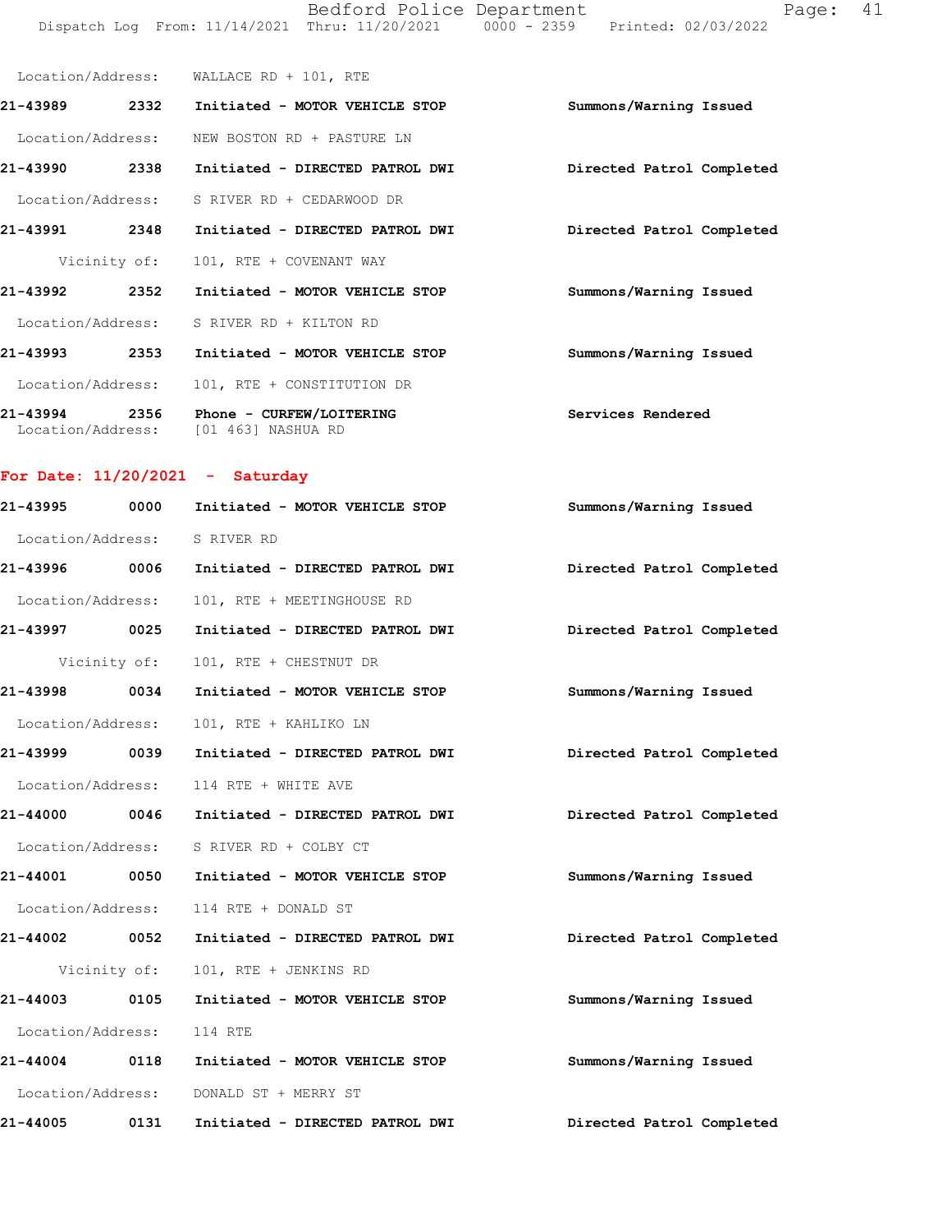Bedford Police Department Page: 41 Dispatch Log From: 11/14/2021 Thru: 11/20/2021 0000 - 2359 Printed: 02/03/2022

|                               |      | Location/Address: WALLACE RD + 101, RTE             |                           |
|-------------------------------|------|-----------------------------------------------------|---------------------------|
| 21-43989                      | 2332 | Initiated - MOTOR VEHICLE STOP                      | Summons/Warning Issued    |
|                               |      | Location/Address: NEW BOSTON RD + PASTURE LN        |                           |
| 21-43990                      | 2338 | Initiated - DIRECTED PATROL DWI                     | Directed Patrol Completed |
|                               |      | Location/Address: S RIVER RD + CEDARWOOD DR         |                           |
| 21-43991                      | 2348 | Initiated - DIRECTED PATROL DWI                     | Directed Patrol Completed |
|                               |      | Vicinity of: 101, RTE + COVENANT WAY                |                           |
| 21-43992                      | 2352 | Initiated - MOTOR VEHICLE STOP                      | Summons/Warning Issued    |
|                               |      | Location/Address: S RIVER RD + KILTON RD            |                           |
| 21-43993                      | 2353 | Initiated - MOTOR VEHICLE STOP                      | Summons/Warning Issued    |
|                               |      | Location/Address: 101, RTE + CONSTITUTION DR        |                           |
| 21-43994<br>Location/Address: |      | 2356 Phone - CURFEW/LOITERING<br>[01 463] NASHUA RD | Services Rendered         |

# For Date:  $11/20/2021$  - Saturday

| 21-43995          | 0000         | Initiated - MOTOR VEHICLE STOP          | Summons/Warning Issued    |  |
|-------------------|--------------|-----------------------------------------|---------------------------|--|
|                   |              | Location/Address: S RIVER RD            |                           |  |
| 21-43996 0006     |              | Initiated - DIRECTED PATROL DWI         | Directed Patrol Completed |  |
| Location/Address: |              | 101, RTE + MEETINGHOUSE RD              |                           |  |
| 21-43997 0025     |              | Initiated - DIRECTED PATROL DWI         | Directed Patrol Completed |  |
|                   | Vicinity of: | 101, RTE + CHESTNUT DR                  |                           |  |
| 21-43998 0034     |              | Initiated - MOTOR VEHICLE STOP          | Summons/Warning Issued    |  |
| Location/Address: |              | 101, RTE + KAHLIKO LN                   |                           |  |
| 21-43999 0039     |              | Initiated - DIRECTED PATROL DWI         | Directed Patrol Completed |  |
|                   |              | Location/Address: 114 RTE + WHITE AVE   |                           |  |
| 21-44000 0046     |              | Initiated - DIRECTED PATROL DWI         | Directed Patrol Completed |  |
|                   |              | Location/Address: S RIVER RD + COLBY CT |                           |  |
| 21-44001 0050     |              | Initiated - MOTOR VEHICLE STOP          | Summons/Warning Issued    |  |
|                   |              | Location/Address: 114 RTE + DONALD ST   |                           |  |
| 21-44002 0052     |              | Initiated - DIRECTED PATROL DWI         | Directed Patrol Completed |  |
|                   | Vicinity of: | 101, RTE + JENKINS RD                   |                           |  |
| 21-44003 0105     |              | Initiated - MOTOR VEHICLE STOP          | Summons/Warning Issued    |  |
| Location/Address: |              | 114 RTE                                 |                           |  |
| 21-44004 0118     |              | Initiated - MOTOR VEHICLE STOP          | Summons/Warning Issued    |  |
|                   |              | Location/Address: DONALD ST + MERRY ST  |                           |  |
| 21-44005          | 0131         | Initiated - DIRECTED PATROL DWI         | Directed Patrol Completed |  |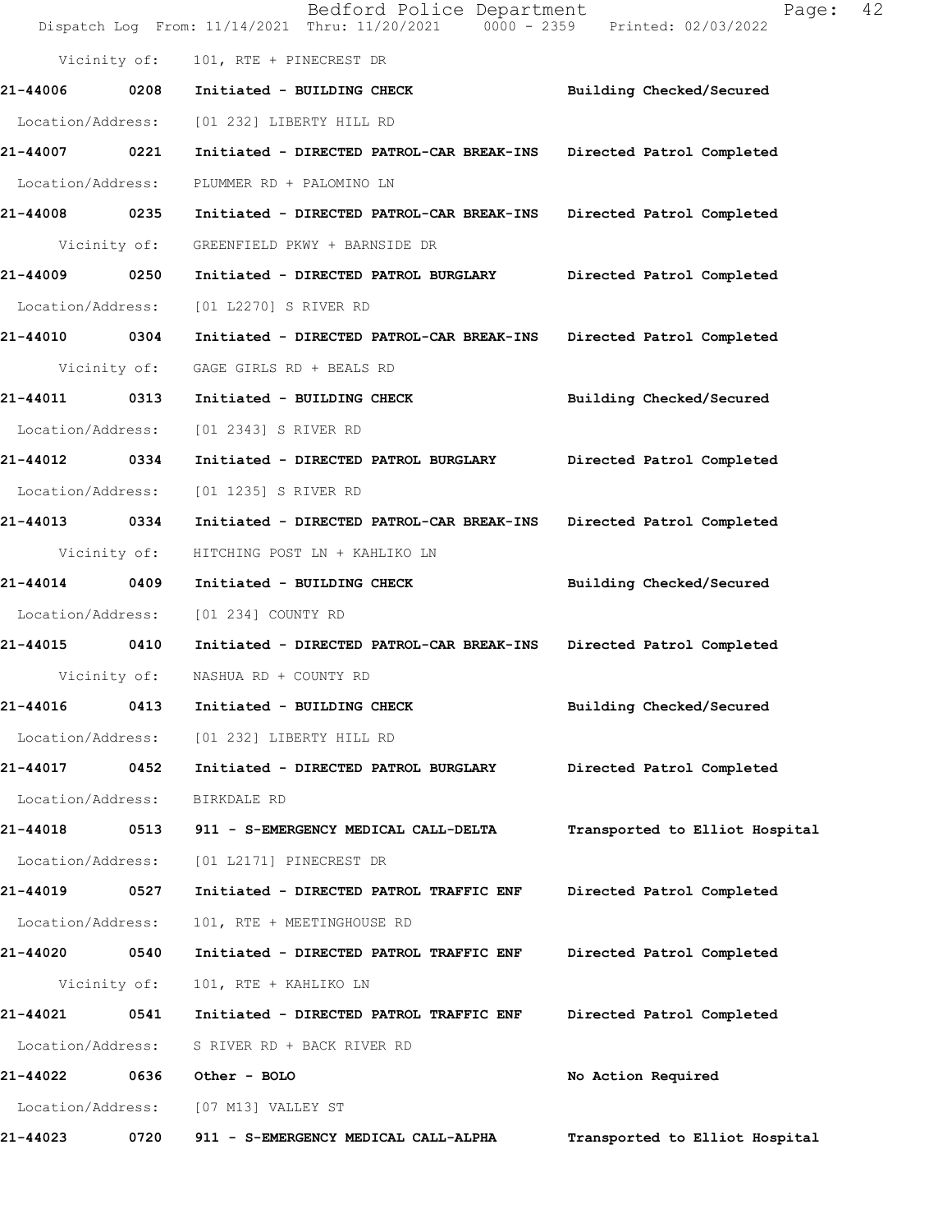|                   |      | Bedford Police Department<br>Dispatch Log From: 11/14/2021 Thru: 11/20/2021 0000 - 2359 Printed: 02/03/2022 | 42<br>Page:                    |
|-------------------|------|-------------------------------------------------------------------------------------------------------------|--------------------------------|
| Vicinity of:      |      | 101, RTE + PINECREST DR                                                                                     |                                |
| 21-44006          | 0208 | Initiated - BUILDING CHECK                                                                                  | Building Checked/Secured       |
| Location/Address: |      | [01 232] LIBERTY HILL RD                                                                                    |                                |
| 21-44007          | 0221 | Initiated - DIRECTED PATROL-CAR BREAK-INS                                                                   | Directed Patrol Completed      |
| Location/Address: |      | PLUMMER RD + PALOMINO LN                                                                                    |                                |
| 21-44008 0235     |      | Initiated - DIRECTED PATROL-CAR BREAK-INS                                                                   | Directed Patrol Completed      |
| Vicinity of:      |      | GREENFIELD PKWY + BARNSIDE DR                                                                               |                                |
| 21-44009 0250     |      | Initiated - DIRECTED PATROL BURGLARY                                                                        | Directed Patrol Completed      |
| Location/Address: |      | [01 L2270] S RIVER RD                                                                                       |                                |
| 21-44010 0304     |      | Initiated - DIRECTED PATROL-CAR BREAK-INS                                                                   | Directed Patrol Completed      |
| Vicinity of:      |      | GAGE GIRLS RD + BEALS RD                                                                                    |                                |
| 21-44011          | 0313 | Initiated - BUILDING CHECK                                                                                  | Building Checked/Secured       |
| Location/Address: |      | [01 2343] S RIVER RD                                                                                        |                                |
| 21-44012 0334     |      | Initiated - DIRECTED PATROL BURGLARY                                                                        | Directed Patrol Completed      |
| Location/Address: |      | [01 1235] S RIVER RD                                                                                        |                                |
| 21-44013 0334     |      | Initiated - DIRECTED PATROL-CAR BREAK-INS                                                                   | Directed Patrol Completed      |
| Vicinity of:      |      | HITCHING POST LN + KAHLIKO LN                                                                               |                                |
| 21-44014          | 0409 | Initiated - BUILDING CHECK                                                                                  | Building Checked/Secured       |
| Location/Address: |      | [01 234] COUNTY RD                                                                                          |                                |
| 21-44015 0410     |      | Initiated - DIRECTED PATROL-CAR BREAK-INS                                                                   | Directed Patrol Completed      |
|                   |      | Vicinity of: NASHUA RD + COUNTY RD                                                                          |                                |
| 21-44016          | 0413 | Initiated - BUILDING CHECK                                                                                  | Building Checked/Secured       |
| Location/Address: |      | [01 232] LIBERTY HILL RD                                                                                    |                                |
| 21-44017 0452     |      | Initiated - DIRECTED PATROL BURGLARY                                                                        | Directed Patrol Completed      |
| Location/Address: |      | BIRKDALE RD                                                                                                 |                                |
| 21-44018          | 0513 | 911 - S-EMERGENCY MEDICAL CALL-DELTA                                                                        | Transported to Elliot Hospital |
| Location/Address: |      | [01 L2171] PINECREST DR                                                                                     |                                |
| 21-44019          | 0527 | Initiated - DIRECTED PATROL TRAFFIC ENF                                                                     | Directed Patrol Completed      |
| Location/Address: |      | 101, RTE + MEETINGHOUSE RD                                                                                  |                                |
| 21-44020 0540     |      | Initiated - DIRECTED PATROL TRAFFIC ENF                                                                     | Directed Patrol Completed      |
| Vicinity of:      |      | 101, RTE + KAHLIKO LN                                                                                       |                                |
| 21-44021          | 0541 | Initiated - DIRECTED PATROL TRAFFIC ENF                                                                     | Directed Patrol Completed      |
| Location/Address: |      | S RIVER RD + BACK RIVER RD                                                                                  |                                |
| 21-44022          | 0636 | Other - BOLO                                                                                                | No Action Required             |
| Location/Address: |      | [07 M13] VALLEY ST                                                                                          |                                |
| 21-44023          | 0720 | 911 - S-EMERGENCY MEDICAL CALL-ALPHA                                                                        | Transported to Elliot Hospital |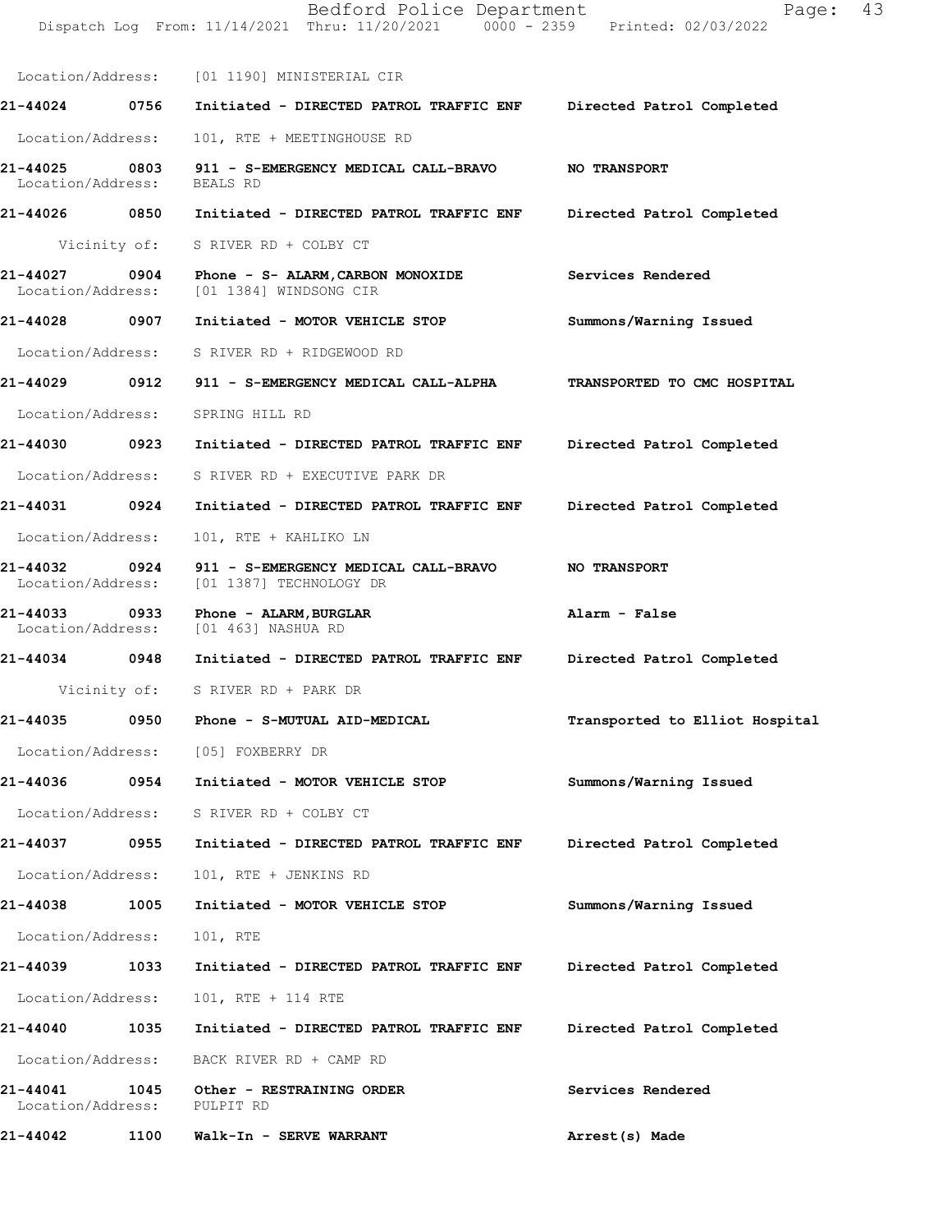|                                    |              | Bedford Police Department<br>Dispatch Log From: 11/14/2021 Thru: 11/20/2021 0000 - 2359 Printed: 02/03/2022 | Page:                          | 43 |
|------------------------------------|--------------|-------------------------------------------------------------------------------------------------------------|--------------------------------|----|
|                                    |              | Location/Address: [01 1190] MINISTERIAL CIR                                                                 |                                |    |
| 21-44024 0756                      |              | Initiated - DIRECTED PATROL TRAFFIC ENF Directed Patrol Completed                                           |                                |    |
| Location/Address:                  |              | 101, RTE + MEETINGHOUSE RD                                                                                  |                                |    |
| 21-44025<br>Location/Address:      | 0803         | 911 - S-EMERGENCY MEDICAL CALL-BRAVO<br>BEALS RD                                                            | <b>NO TRANSPORT</b>            |    |
| 21-44026 0850                      |              | Initiated - DIRECTED PATROL TRAFFIC ENF                                                                     | Directed Patrol Completed      |    |
|                                    | Vicinity of: | S RIVER RD + COLBY CT                                                                                       |                                |    |
| 21-44027<br>Location/Address:      | $\sim$ 0904  | Phone - S- ALARM, CARBON MONOXIDE<br>[01 1384] WINDSONG CIR                                                 | Services Rendered              |    |
| 21-44028                           | 0907         | Initiated - MOTOR VEHICLE STOP                                                                              | Summons/Warning Issued         |    |
| Location/Address:                  |              | S RIVER RD + RIDGEWOOD RD                                                                                   |                                |    |
| 21-44029                           | 0912         | 911 - S-EMERGENCY MEDICAL CALL-ALPHA                                                                        | TRANSPORTED TO CMC HOSPITAL    |    |
| Location/Address:                  |              | SPRING HILL RD                                                                                              |                                |    |
| 21-44030 0923                      |              | Initiated - DIRECTED PATROL TRAFFIC ENF                                                                     | Directed Patrol Completed      |    |
| Location/Address:                  |              | S RIVER RD + EXECUTIVE PARK DR                                                                              |                                |    |
| 21-44031 0924                      |              | Initiated - DIRECTED PATROL TRAFFIC ENF                                                                     | Directed Patrol Completed      |    |
| Location/Address:                  |              | 101, RTE + KAHLIKO LN                                                                                       |                                |    |
| 21-44032 0924<br>Location/Address: |              | 911 - S-EMERGENCY MEDICAL CALL-BRAVO<br>[01 1387] TECHNOLOGY DR                                             | NO TRANSPORT                   |    |
| 21-44033<br>Location/Address:      | 0933         | Phone - ALARM, BURGLAR<br>[01 463] NASHUA RD                                                                | Alarm - False                  |    |
| 21-44034 0948                      |              | Initiated - DIRECTED PATROL TRAFFIC ENF                                                                     | Directed Patrol Completed      |    |
|                                    | Vicinity of: | S RIVER RD + PARK DR                                                                                        |                                |    |
| 21-44035                           | 0950         | Phone - S-MUTUAL AID-MEDICAL                                                                                | Transported to Elliot Hospital |    |
|                                    |              | Location/Address: [05] FOXBERRY DR                                                                          |                                |    |
| 21-44036                           | 0954         | Initiated - MOTOR VEHICLE STOP                                                                              | Summons/Warning Issued         |    |
| Location/Address:                  |              | S RIVER RD + COLBY CT                                                                                       |                                |    |
| 21-44037 0955                      |              | Initiated - DIRECTED PATROL TRAFFIC ENF                                                                     | Directed Patrol Completed      |    |
| Location/Address:                  |              | 101, RTE + JENKINS RD                                                                                       |                                |    |
| 21-44038                           | 1005         | Initiated - MOTOR VEHICLE STOP                                                                              | Summons/Warning Issued         |    |
| Location/Address:                  |              | 101, RTE                                                                                                    |                                |    |
| 21-44039                           | 1033         | Initiated - DIRECTED PATROL TRAFFIC ENF                                                                     | Directed Patrol Completed      |    |
| Location/Address:                  |              | 101, RTE + 114 RTE                                                                                          |                                |    |
| 21-44040                           | 1035         | Initiated - DIRECTED PATROL TRAFFIC ENF                                                                     | Directed Patrol Completed      |    |
| Location/Address:                  |              | BACK RIVER RD + CAMP RD                                                                                     |                                |    |
| 21-44041<br>Location/Address:      | 1045         | Other - RESTRAINING ORDER<br>PULPIT RD                                                                      | Services Rendered              |    |
| 21-44042                           | 1100         | Walk-In - SERVE WARRANT                                                                                     | Arrest(s) Made                 |    |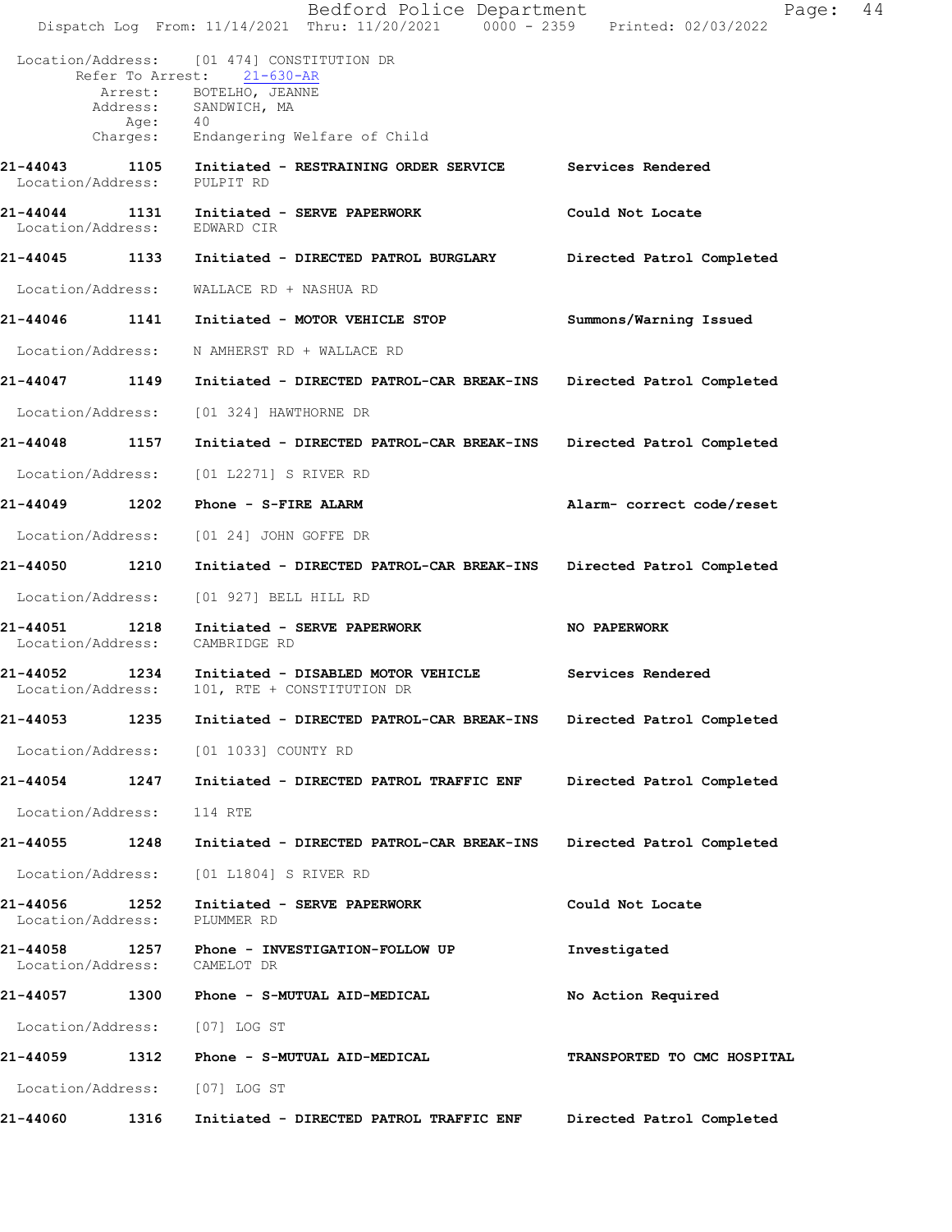|                                         |          | Bedford Police Department<br>Dispatch Log From: 11/14/2021 Thru: 11/20/2021 0000 - 2359 Printed: 02/03/2022 | Page:                       | 44 |
|-----------------------------------------|----------|-------------------------------------------------------------------------------------------------------------|-----------------------------|----|
|                                         |          | Location/Address: [01 474] CONSTITUTION DR                                                                  |                             |    |
|                                         |          | Refer To Arrest: 21-630-AR<br>Arrest: BOTELHO, JEANNE                                                       |                             |    |
|                                         | Age:     | Address: SANDWICH, MA<br>40                                                                                 |                             |    |
|                                         | Charges: | Endangering Welfare of Child                                                                                |                             |    |
| 21-44043<br>Location/Address: PULPIT RD |          | 1105 Initiated - RESTRAINING ORDER SERVICE Services Rendered                                                |                             |    |
| Location/Address:                       |          | 21-44044 1131 Initiated - SERVE PAPERWORK<br>EDWARD CIR                                                     | Could Not Locate            |    |
|                                         |          |                                                                                                             | Directed Patrol Completed   |    |
| Location/Address:                       |          | WALLACE RD + NASHUA RD                                                                                      |                             |    |
|                                         |          | 21-44046    1141    Initiated - MOTOR VEHICLE STOP                                                          | Summons/Warning Issued      |    |
| Location/Address:                       |          | N AMHERST RD + WALLACE RD                                                                                   |                             |    |
|                                         |          | 21-44047 1149 Initiated - DIRECTED PATROL-CAR BREAK-INS                                                     | Directed Patrol Completed   |    |
| Location/Address:                       |          | [01 324] HAWTHORNE DR                                                                                       |                             |    |
| 21-44048 1157                           |          | Initiated - DIRECTED PATROL-CAR BREAK-INS                                                                   | Directed Patrol Completed   |    |
| Location/Address:                       |          | [01 L2271] S RIVER RD                                                                                       |                             |    |
| 21-44049                                | 1202     | Phone - S-FIRE ALARM                                                                                        | Alarm- correct code/reset   |    |
|                                         |          | Location/Address: [01 24] JOHN GOFFE DR                                                                     |                             |    |
| 21-44050                                | 1210     | Initiated - DIRECTED PATROL-CAR BREAK-INS                                                                   | Directed Patrol Completed   |    |
| Location/Address:                       |          | [01 927] BELL HILL RD                                                                                       |                             |    |
| 21-44051<br>Location/Address:           | 1218     | Initiated - SERVE PAPERWORK<br>CAMBRIDGE RD                                                                 | NO PAPERWORK                |    |
| 21-44052 1234<br>Location/Address:      |          | Initiated - DISABLED MOTOR VEHICLE Services Rendered<br>101, RTE + CONSTITUTION DR                          |                             |    |
| 21-44053                                | 1235     | Initiated - DIRECTED PATROL-CAR BREAK-INS                                                                   | Directed Patrol Completed   |    |
| Location/Address:                       |          | [01 1033] COUNTY RD                                                                                         |                             |    |
| 21-44054                                | 1247     | Initiated - DIRECTED PATROL TRAFFIC ENF                                                                     | Directed Patrol Completed   |    |
| Location/Address:                       |          | 114 RTE                                                                                                     |                             |    |
| 21-44055                                | 1248     | Initiated - DIRECTED PATROL-CAR BREAK-INS                                                                   | Directed Patrol Completed   |    |
| Location/Address:                       |          | [01 L1804] S RIVER RD                                                                                       |                             |    |
| 21-44056<br>Location/Address:           | 1252     | Initiated - SERVE PAPERWORK<br>PLUMMER RD                                                                   | Could Not Locate            |    |
| 21-44058<br>Location/Address:           | 1257     | Phone - INVESTIGATION-FOLLOW UP<br>CAMELOT DR                                                               | Investigated                |    |
| 21-44057                                | 1300     | Phone - S-MUTUAL AID-MEDICAL                                                                                | No Action Required          |    |
| Location/Address:                       |          | [07] LOG ST                                                                                                 |                             |    |
| 21-44059                                | 1312     | Phone - S-MUTUAL AID-MEDICAL                                                                                | TRANSPORTED TO CMC HOSPITAL |    |
| Location/Address:                       |          | [07] LOG ST                                                                                                 |                             |    |
| 21-44060                                | 1316     | Initiated - DIRECTED PATROL TRAFFIC ENF                                                                     | Directed Patrol Completed   |    |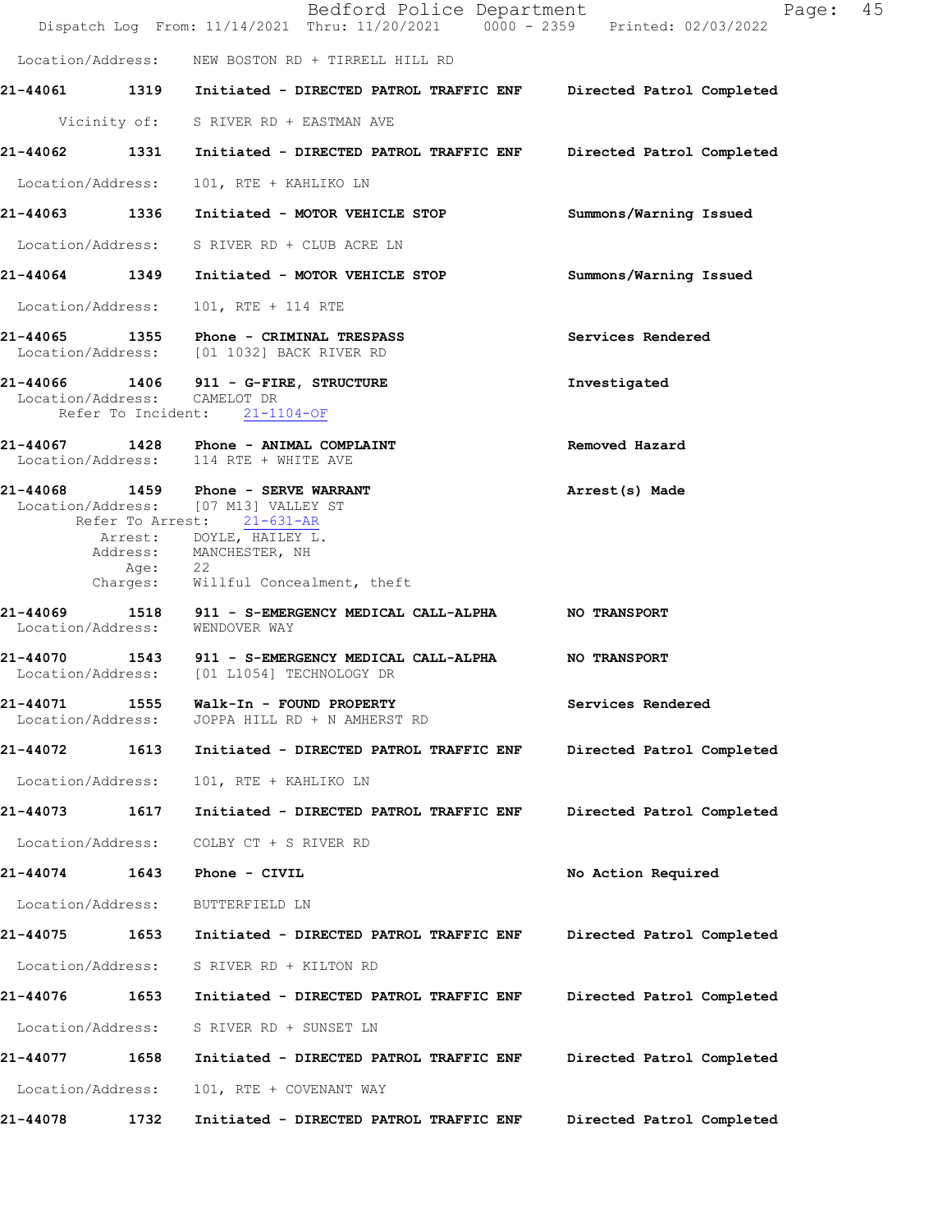|                              |         | Bedford Police Department<br>Dispatch Log From: 11/14/2021 Thru: 11/20/2021 0000 - 2359 Printed: 02/03/2022   | Page:                     | 45 |
|------------------------------|---------|---------------------------------------------------------------------------------------------------------------|---------------------------|----|
|                              |         | Location/Address: NEW BOSTON RD + TIRRELL HILL RD                                                             |                           |    |
|                              |         | 21-44061 1319 Initiated - DIRECTED PATROL TRAFFIC ENF Directed Patrol Completed                               |                           |    |
|                              |         | Vicinity of: S RIVER RD + EASTMAN AVE                                                                         |                           |    |
|                              |         | 21-44062 1331 Initiated - DIRECTED PATROL TRAFFIC ENF Directed Patrol Completed                               |                           |    |
|                              |         | Location/Address: 101, RTE + KAHLIKO LN                                                                       |                           |    |
|                              |         | 21-44063 1336 Initiated - MOTOR VEHICLE STOP                                                                  | Summons/Warning Issued    |    |
|                              |         | Location/Address: S RIVER RD + CLUB ACRE LN                                                                   |                           |    |
|                              |         | 21-44064 1349 Initiated - MOTOR VEHICLE STOP                                                                  | Summons/Warning Issued    |    |
|                              |         | Location/Address: 101, RTE + 114 RTE                                                                          |                           |    |
|                              |         | 21-44065 1355 Phone - CRIMINAL TRESPASS<br>Location/Address: [01 1032] BACK RIVER RD                          | Services Rendered         |    |
| Location/Address: CAMELOT DR |         | 21-44066 1406 911 - G-FIRE, STRUCTURE<br>Refer To Incident: 21-1104-OF                                        | Investigated              |    |
|                              |         | 21-44067 1428 Phone - ANIMAL COMPLAINT<br>Location/Address: 114 RTE + WHITE AVE                               | Removed Hazard            |    |
|                              |         | 21-44068 1459 Phone - SERVE WARRANT<br>Location/Address: [07 M13] VALLEY ST<br>Refer To Arrest: 21-631-AR     | Arrest(s) Made            |    |
|                              |         | Arrest: DOYLE, HAILEY L.<br>Address: MANCHESTER, NH                                                           |                           |    |
|                              | Age: 22 | Charges: Willful Concealment, theft                                                                           |                           |    |
|                              |         | 21-44069 1518 911 - S-EMERGENCY MEDICAL CALL-ALPHA NO TRANSPORT<br>Location/Address: WENDOVER WAY             |                           |    |
|                              |         | 21-44070 1543 911 - S-EMERGENCY MEDICAL CALL-ALPHA NO TRANSPORT<br>Location/Address: [01 L1054] TECHNOLOGY DR |                           |    |
| Location/Address:            |         | 21-44071 1555 Walk-In - FOUND PROPERTY<br>JOPPA HILL RD + N AMHERST RD                                        | Services Rendered         |    |
| 21-44072 1613                |         | Initiated - DIRECTED PATROL TRAFFIC ENF                                                                       | Directed Patrol Completed |    |
| Location/Address:            |         | 101, RTE + KAHLIKO LN                                                                                         |                           |    |
| 21-44073                     | 1617    | Initiated - DIRECTED PATROL TRAFFIC ENF                                                                       | Directed Patrol Completed |    |
| Location/Address:            |         | COLBY CT + S RIVER RD                                                                                         |                           |    |
| 21-44074                     | 1643    | Phone - CIVIL                                                                                                 | No Action Required        |    |
| Location/Address:            |         | BUTTERFIELD LN                                                                                                |                           |    |
| 21-44075                     | 1653    | Initiated - DIRECTED PATROL TRAFFIC ENF                                                                       | Directed Patrol Completed |    |
| Location/Address:            |         | S RIVER RD + KILTON RD                                                                                        |                           |    |
| 21-44076 1653                |         | Initiated - DIRECTED PATROL TRAFFIC ENF                                                                       | Directed Patrol Completed |    |
| Location/Address:            |         | S RIVER RD + SUNSET LN                                                                                        |                           |    |
| 21-44077                     | 1658    | Initiated - DIRECTED PATROL TRAFFIC ENF                                                                       | Directed Patrol Completed |    |
| Location/Address:            |         | 101, RTE + COVENANT WAY                                                                                       |                           |    |
| 21-44078                     | 1732    | Initiated - DIRECTED PATROL TRAFFIC ENF                                                                       | Directed Patrol Completed |    |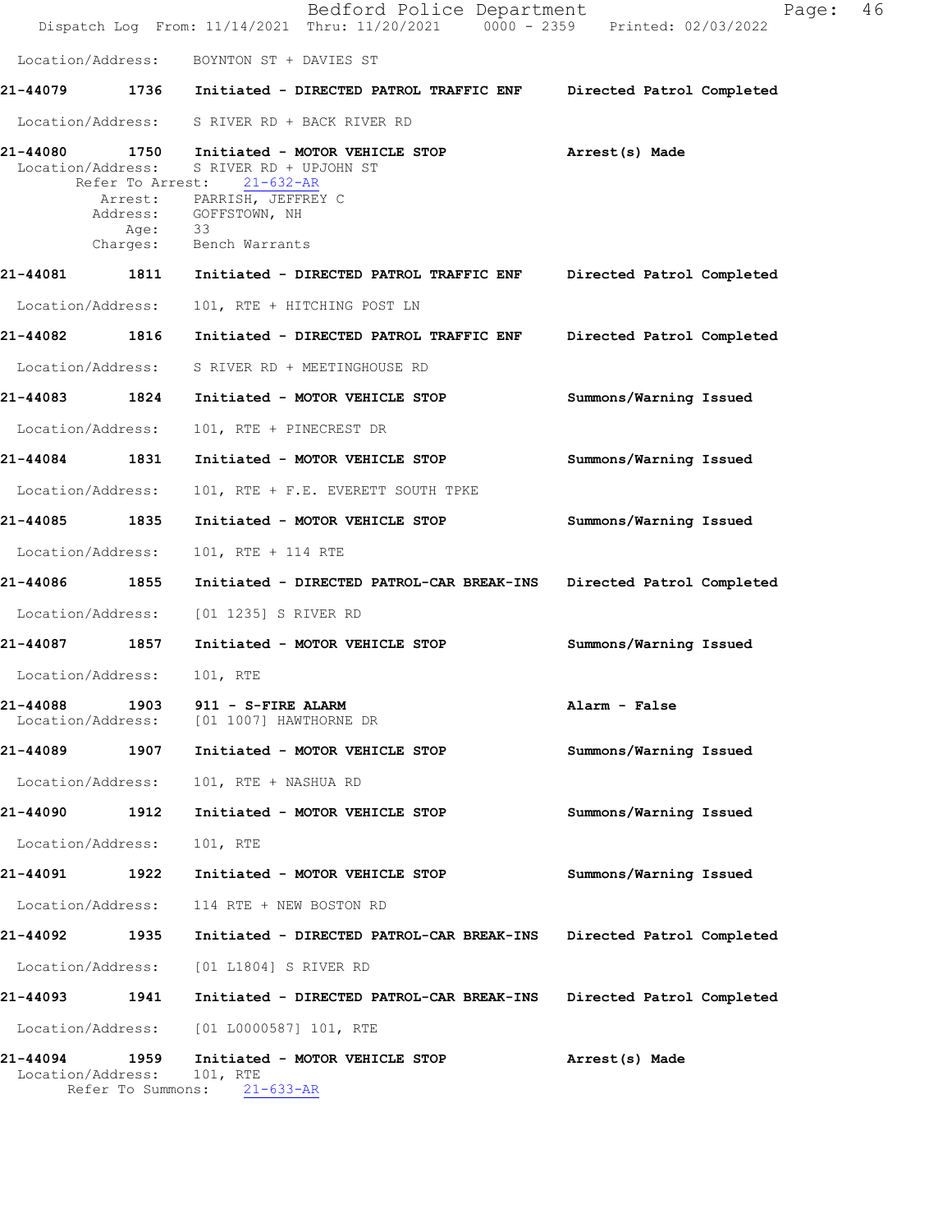|                                                    |      | Bedford Police Department<br>Dispatch Log From: 11/14/2021 Thru: 11/20/2021 0000 - 2359 Printed: 02/03/2022                                                                    | 46<br>Page:               |
|----------------------------------------------------|------|--------------------------------------------------------------------------------------------------------------------------------------------------------------------------------|---------------------------|
|                                                    |      | Location/Address: BOYNTON ST + DAVIES ST                                                                                                                                       |                           |
|                                                    |      | 21-44079 1736 Initiated - DIRECTED PATROL TRAFFIC ENF Directed Patrol Completed                                                                                                |                           |
|                                                    |      | Location/Address: S RIVER RD + BACK RIVER RD                                                                                                                                   |                           |
| 21-44080<br>Location/Address:<br>Refer To Arrest:  |      | 1750 Initiated - MOTOR VEHICLE STOP<br>S RIVER RD + UPJOHN ST<br>$21 - 632 - AR$<br>Arrest: PARRISH, JEFFREY C<br>Address: GOFFSTOWN, NH<br>Age: 33<br>Charges: Bench Warrants | Arrest(s) Made            |
|                                                    |      | 21-44081 1811 Initiated - DIRECTED PATROL TRAFFIC ENF                                                                                                                          | Directed Patrol Completed |
| Location/Address:                                  |      | 101, RTE + HITCHING POST LN                                                                                                                                                    |                           |
| 21-44082 1816                                      |      | Initiated - DIRECTED PATROL TRAFFIC ENF                                                                                                                                        | Directed Patrol Completed |
| Location/Address:                                  |      | S RIVER RD + MEETINGHOUSE RD                                                                                                                                                   |                           |
| 21-44083                                           | 1824 | Initiated - MOTOR VEHICLE STOP                                                                                                                                                 | Summons/Warning Issued    |
| Location/Address:                                  |      | 101, RTE + PINECREST DR                                                                                                                                                        |                           |
| 21-44084 1831                                      |      | Initiated - MOTOR VEHICLE STOP                                                                                                                                                 | Summons/Warning Issued    |
| Location/Address:                                  |      | 101, RTE + F.E. EVERETT SOUTH TPKE                                                                                                                                             |                           |
| 21-44085 1835                                      |      | Initiated - MOTOR VEHICLE STOP                                                                                                                                                 | Summons/Warning Issued    |
| Location/Address:                                  |      | 101, RTE + 114 RTE                                                                                                                                                             |                           |
| 21-44086                                           | 1855 | Initiated - DIRECTED PATROL-CAR BREAK-INS Directed Patrol Completed                                                                                                            |                           |
| Location/Address:                                  |      | [01 1235] S RIVER RD                                                                                                                                                           |                           |
| 21-44087 1857                                      |      | Initiated - MOTOR VEHICLE STOP                                                                                                                                                 | Summons/Warning Issued    |
| Location/Address: 101, RTE                         |      |                                                                                                                                                                                |                           |
| 21-44088<br>1903<br>Location/Address:              |      | 911 - S-FIRE ALARM<br>[01 1007] HAWTHORNE DR                                                                                                                                   | Alarm - False             |
| 21-44089                                           | 1907 | Initiated - MOTOR VEHICLE STOP                                                                                                                                                 | Summons/Warning Issued    |
| Location/Address:                                  |      | 101, RTE + NASHUA RD                                                                                                                                                           |                           |
| 21-44090                                           | 1912 | Initiated - MOTOR VEHICLE STOP                                                                                                                                                 | Summons/Warning Issued    |
| Location/Address:                                  |      | 101, RTE                                                                                                                                                                       |                           |
| 21-44091                                           | 1922 | Initiated - MOTOR VEHICLE STOP                                                                                                                                                 | Summons/Warning Issued    |
| Location/Address:                                  |      | 114 RTE + NEW BOSTON RD                                                                                                                                                        |                           |
| 21-44092                                           | 1935 | Initiated - DIRECTED PATROL-CAR BREAK-INS                                                                                                                                      | Directed Patrol Completed |
| Location/Address:                                  |      | [01 L1804] S RIVER RD                                                                                                                                                          |                           |
| 21-44093                                           | 1941 | Initiated - DIRECTED PATROL-CAR BREAK-INS                                                                                                                                      | Directed Patrol Completed |
| Location/Address:                                  |      | [01 L0000587] 101, RTE                                                                                                                                                         |                           |
| 21-44094<br>Location/Address:<br>Refer To Summons: | 1959 | Initiated - MOTOR VEHICLE STOP<br>101, RTE<br>$21 - 633 - AR$                                                                                                                  | Arrest(s) Made            |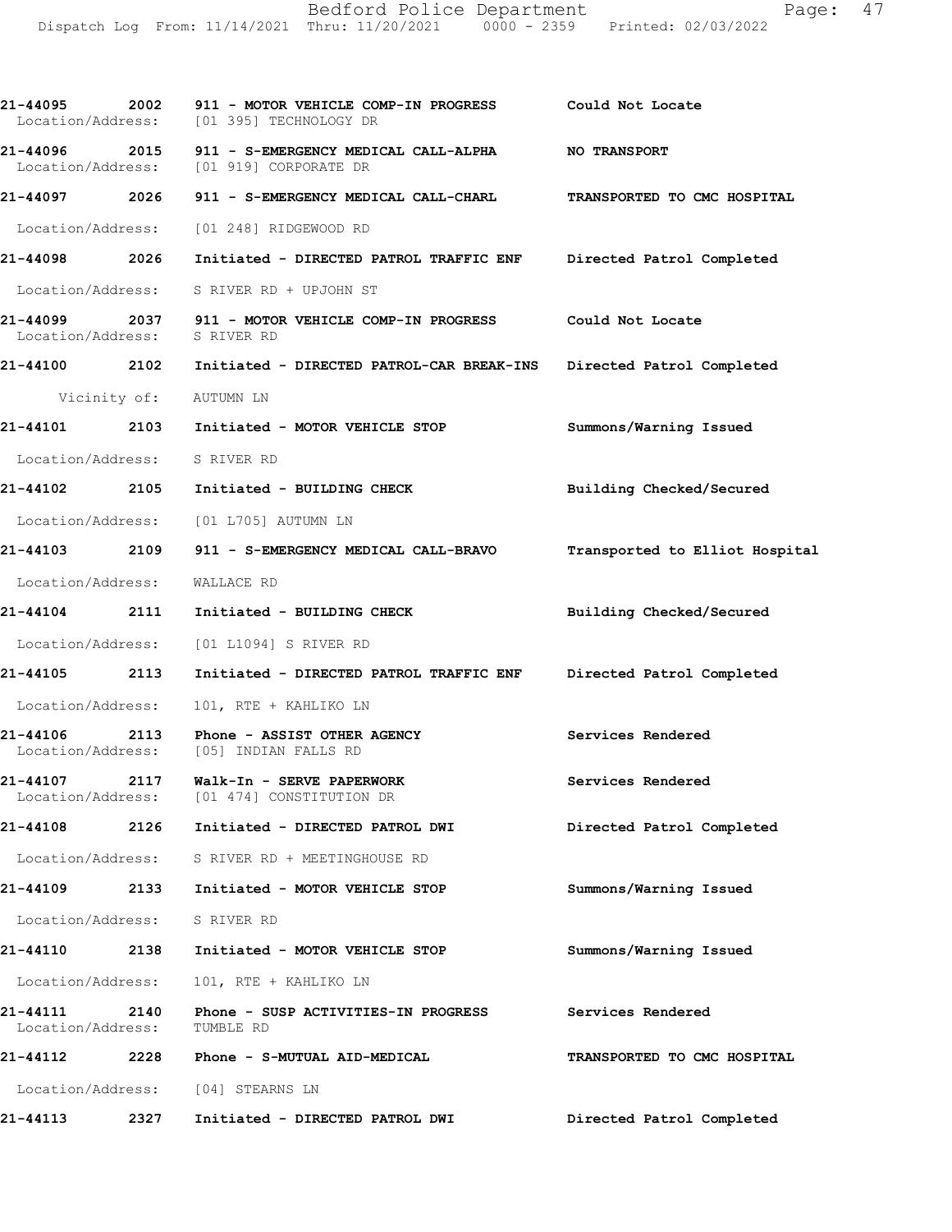| 21-44095 2002                      |      | 911 - MOTOR VEHICLE COMP-IN PROGRESS Could Not Locate<br>Location/Address: [01 395] TECHNOLOGY DR          |                                |
|------------------------------------|------|------------------------------------------------------------------------------------------------------------|--------------------------------|
|                                    |      | 21-44096 2015 911 - S-EMERGENCY MEDICAL CALL-ALPHA NO TRANSPORT<br>Location/Address: [01 919] CORPORATE DR |                                |
|                                    |      | 21-44097 2026 911 - S-EMERGENCY MEDICAL CALL-CHARL                                                         | TRANSPORTED TO CMC HOSPITAL    |
|                                    |      | Location/Address: [01 248] RIDGEWOOD RD                                                                    |                                |
| 21-44098 2026                      |      | Initiated - DIRECTED PATROL TRAFFIC ENF Directed Patrol Completed                                          |                                |
|                                    |      | Location/Address: S RIVER RD + UPJOHN ST                                                                   |                                |
| Location/Address: S RIVER RD       |      | 21-44099 2037 911 - MOTOR VEHICLE COMP-IN PROGRESS Could Not Locate                                        |                                |
|                                    |      | 21-44100 2102 Initiated - DIRECTED PATROL-CAR BREAK-INS Directed Patrol Completed                          |                                |
|                                    |      | Vicinity of: AUTUMN LN                                                                                     |                                |
|                                    |      | 21-44101 2103 Initiated - MOTOR VEHICLE STOP                                                               | Summons/Warning Issued         |
| Location/Address: S RIVER RD       |      |                                                                                                            |                                |
|                                    |      | 21-44102 2105 Initiated - BUILDING CHECK                                                                   | Building Checked/Secured       |
|                                    |      | Location/Address: [01 L705] AUTUMN LN                                                                      |                                |
|                                    |      | 21-44103 2109 911 - S-EMERGENCY MEDICAL CALL-BRAVO                                                         | Transported to Elliot Hospital |
| Location/Address: WALLACE RD       |      |                                                                                                            |                                |
| 21-44104 2111                      |      | Initiated - BUILDING CHECK                                                                                 | Building Checked/Secured       |
|                                    |      | Location/Address: [01 L1094] S RIVER RD                                                                    |                                |
| 21-44105 2113                      |      | Initiated - DIRECTED PATROL TRAFFIC ENF Directed Patrol Completed                                          |                                |
| Location/Address:                  |      | 101, RTE + KAHLIKO LN                                                                                      |                                |
|                                    |      | 21-44106 2113 Phone - ASSIST OTHER AGENCY<br>Location/Address: [05] INDIAN FALLS RD                        | Services Rendered              |
| 21-44107 2117<br>Location/Address: |      | Walk-In - SERVE PAPERWORK<br>[01 474] CONSTITUTION DR                                                      | Services Rendered              |
| 21-44108                           | 2126 | Initiated - DIRECTED PATROL DWI                                                                            | Directed Patrol Completed      |
|                                    |      | Location/Address: S RIVER RD + MEETINGHOUSE RD                                                             |                                |
| <b>21-44109</b>                    | 2133 | Initiated - MOTOR VEHICLE STOP                                                                             | Summons/Warning Issued         |
| Location/Address: S RIVER RD       |      |                                                                                                            |                                |
|                                    |      | 21-44110 2138 Initiated - MOTOR VEHICLE STOP                                                               | Summons/Warning Issued         |
| Location/Address:                  |      | 101, RTE + KAHLIKO LN                                                                                      |                                |
| 21-44111<br>Location/Address:      | 2140 | Phone - SUSP ACTIVITIES-IN PROGRESS<br>TUMBLE RD                                                           | Services Rendered              |
| 21-44112                           | 2228 | Phone - S-MUTUAL AID-MEDICAL                                                                               | TRANSPORTED TO CMC HOSPITAL    |
|                                    |      | Location/Address: [04] STEARNS LN                                                                          |                                |
| 21-44113                           | 2327 | Initiated - DIRECTED PATROL DWI                                                                            | Directed Patrol Completed      |